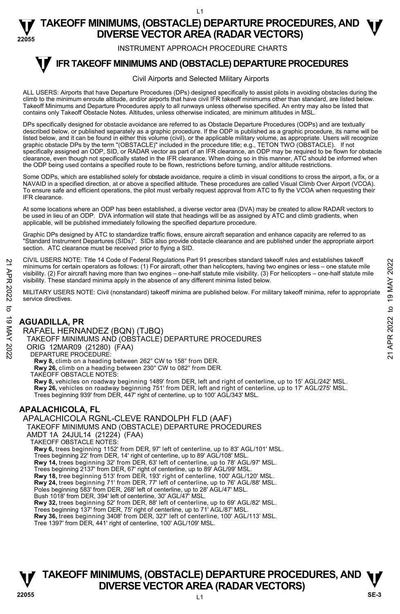#### **22055 TAKEOFF MINIMUMS, (OBSTACLE) DEPARTURE PROCEDURES, AND**  $\Psi$ **DIVERSE VECTOR AREA (RADAR VECTORS)**

INSTRUMENT APPROACH PROCEDURE CHARTS

#### **IFR TAKEOFF MINIMUMS AND (OBSTACLE) DEPARTURE PROCEDURES T**

#### Civil Airports and Selected Military Airports

ALL USERS: Airports that have Departure Procedures (DPs) designed specifically to assist pilots in avoiding obstacles during the climb to the minimum enroute altitude, and/or airports that have civil IFR takeoff minimums other than standard, are listed below. Takeoff Minimums and Departure Procedures apply to all runways unless otherwise specified. An entry may also be listed that contains only Takeoff Obstacle Notes. Altitudes, unless otherwise indicated, are minimum altitudes in MSL.

DPs specifically designed for obstacle avoidance are referred to as Obstacle Departure Procedures (ODPs) and are textually described below, or published separately as a graphic procedure. If the ODP is published as a graphic procedure, its name will be listed below, and it can be found in either this volume (civil), or the applicable military volume, as appropriate. Users will recognize graphic obstacle DPs by the term "(OBSTACLE)" included in the procedure title; e.g., TETON TWO (OBSTACLE). If not specifically assigned an ODP, SID, or RADAR vector as part of an IFR clearance, an ODP may be required to be flown for obstacle clearance, even though not specifically stated in the IFR clearance. When doing so in this manner, ATC should be informed when the ODP being used contains a specified route to be flown, restrictions before turning, and/or altitude restrictions.

Some ODPs, which are established solely for obstacle avoidance, require a climb in visual conditions to cross the airport, a fix, or a NAVAID in a specified direction, at or above a specified altitude. These procedures are called Visual Climb Over Airport (VCOA). To ensure safe and efficient operations, the pilot must verbally request approval from ATC to fly the VCOA when requesting their IFR clearance.

At some locations where an ODP has been established, a diverse vector area (DVA) may be created to allow RADAR vectors to be used in lieu of an ODP. DVA information will state that headings will be as assigned by ATC and climb gradients, when applicable, will be published immediately following the specified departure procedure.

Graphic DPs designed by ATC to standardize traffic flows, ensure aircraft separation and enhance capacity are referred to as "Standard Instrument Departures (SIDs)". SIDs also provide obstacle clearance and are published under the appropriate airport section. ATC clearance must be received prior to flying a SID.

CIVIL USERS NOTE: Title 14 Code of Federal Regulations Part 91 prescribes standard takeoff rules and establishes takeoff minimums for certain operators as follows: (1) For aircraft, other than helicopters, having two engines or less – one statute mile visibility. (2) For aircraft having more than two engines – one-half statute mile visibility. (3) For helicopters – one-half statute mile visibility. These standard minima apply in the absence of any different minima listed below. 21 CIVIL USERS NOTE: Thire 14 Code or Federal regulations Part 91 prescinces standard takeoff minimums for certain operators as follows: (1) For aircraft, due than helicopters, having two engines or less – one-half statu

MILITARY USERS NOTE: Civil (nonstandard) takeoff minima are published below. For military takeoff minima, refer to appropriate service directives.

#### **AGUADILLA, PR**

RAFAEL HERNANDEZ (BQN) (TJBQ) TAKEOFF MINIMUMS AND (OBSTACLE) DEPARTURE PROCEDURES ORIG 12MAR09 (21280) (FAA) DEPARTURE PROCEDURE: **Rwy 8,** climb on a heading between 262° CW to 158° from DER. **Rwy 26,** climb on a heading between 230° CW to 082° from DER. TAKEOFF OBSTACLE NOTES: **Rwy 8,** vehicles on roadway beginning 1489' from DER, left and right of centerline, up to 15' AGL/242' MSL. **Rwy 26,** vehicles on roadway beginning 751' from DER, left and right of centerline, up to 17' AGL/275' MSL.<br>Trees beginning 939' from DER, 447' right of centerline, up to 100' AGL/343' MSL. **APALACHICOLA, FL** 

APALACHICOLA RGNL-CLEVE RANDOLPH FLD (AAF) TAKEOFF MINIMUMS AND (OBSTACLE) DEPARTURE PROCEDURES

AMDT 1A 24JUL14 (21224) (FAA)

TAKEOFF OBSTACLE NOTES:

**Rwy 6,** trees beginning 1152' from DER, 97' left of centerline, up to 83' AGL/101' MSL.

Trees beginning 22' from DER, 14' right of centerline, up to 89' AGL/108' MSL. **Rwy 14,** trees beginning 32' from DER, 63' left of centerline, up to 78' AGL/97' MSL.

Trees beginning 2137' from DER, 67' right of centerline, up to 89' AGL/99' MSL.

**Rwy 18,** tree beginning 513' from DER, 193' right of centerline, 100' AGL/120' MSL. **Rwy 24,** trees beginning 71' from DER, 77' left of centerline, up to 76' AGL/88' MSL.

Poles beginning 583' from DER, 268' left of centerline, up to 28' AGL/47' MSL.

Bush 1018' from DER, 394' left of centerline, 30' AGL/47' MSL.

**Rwy 32,** trees beginning 52' from DER, 88' left of centerline, up to 69' AGL/82' MSL.<br>Trees beginning 137' from DER, 75' right of centerline, up to 71' AGL/87' MSL.

**Rwy 36,** trees beginning 3408' from DER, 327' left of centerline, 100' AGL/113' MSL. Tree 1397' from DER, 441' right of centerline, 100' AGL/109' MSL.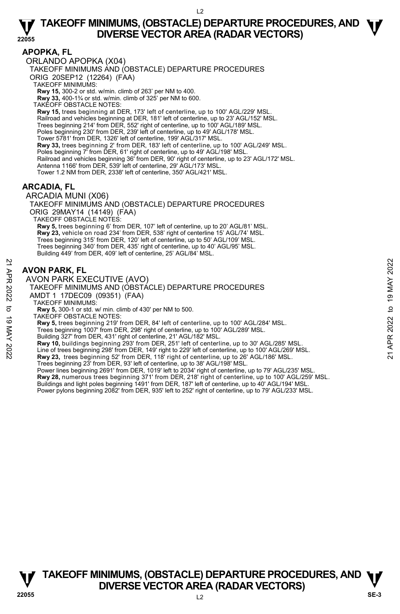#### **APOPKA, FL**

ORLANDO APOPKA (X04)

TAKEOFF MINIMUMS AND (OBSTACLE) DEPARTURE PROCEDURES

ORIG 20SEP12 (12264) (FAA)

TAKEOFF MINIMUMS:

**Rwy 15,** 300-2 or std. w/min. climb of 263' per NM to 400. **Rwy 33,** 400-1¾ or std. w/min. climb of 325' per NM to 600.

TAKEOFF OBSTACLE NOTES:

**Rwy 15,** trees beginning at DER, 173' left of centerline, up to 100' AGL/229' MSL. Railroad and vehicles beginning at DER, 181' left of centerline, up to 23' AGL/152' MSL. Trees beginning 214' from DER, 552' right of centerline, up to 100' AGL/189' MSL. Poles beginning 230' from DER, 239' left of centerline, up to 49' AGL/178' MSL. Tower 5781' from DER, 1326' left of centerline, 199' AGL/317' MSL. **Rwy 33,** trees beginning 2' from DER, 183' left of centerline, up to 100' AGL/249' MSL. Poles beginning 7' from DER, 61' right of centerline, up to 49' AGL/198' MSL. Railroad and vehicles beginning 36' from DER, 90' right of centerline, up to 23' AGL/172' MSL. Antenna 1166' from DER, 539' left of centerline, 29' AGL/173' MSL. Tower 1.2 NM from DER, 2338' left of centerline, 350' AGL/421' MSL.

#### **ARCADIA, FL**

ARCADIA MUNI (X06)

TAKEOFF MINIMUMS AND (OBSTACLE) DEPARTURE PROCEDURES ORIG 29MAY14 (14149) (FAA) TAKEOFF OBSTACLE NOTES: **Rwy 5,** trees beginning 6' from DER, 107' left of centerline, up to 20' AGL/81' MSL. **Rwy 23,** vehicle on road 234' from DER, 538' right of centerline 15' AGL/74' MSL. Trees beginning 315' from DER, 120' left of centerline, up to 50' AGL/109' MSL.

Trees beginning 340' from DER, 435' right of centerline, up to 40' AGL/95' MSL. Building 449' from DER, 409' left of centerline, 25' AGL/84' MSL.

### **AVON PARK, FL**

AVON PARK EXECUTIVE (AVO) TAKEOFF MINIMUMS AND (OBSTACLE) DEPARTURE PROCEDURES AMDT 1 17DEC09 (09351) (FAA) TAKEOFF MINIMUMS: **Rwy 5,** 300-1 or std. w/ min. climb of 430' per NM to 500. TAKEOFF OBSTACLE NOTES: **Rwy 5,** trees beginning 219' from DER, 84' left of centerline, up to 100' AGL/284' MSL. Trees beginning 1007' from DER, 298' right of centerline, up to 100' AGL/289' MSL. **AVON PARK, FL**<br>
22 **AVON PARK EXECUTIVE (AVO)**<br>
TAKEOFF MINIMUMS AND (OBSTACLE) DEPARTURE PROCEDURES<br>
22 TAKEOFF MINIMUMS:<br>
23 AMDT 1 17DEC09 (09351) (FAA)<br>
7 TAKEOFF MINIMUMS:<br>
23 TAKEOFF MINIMUMS:<br>
23 TAKEOFF MINIMUMS:

Building 327' from DER, 431' right of centerline, 21' AGL/182' MSL.

**Rwy 10,** buildings beginning 293' from DER, 251' left of centerline, up to 30' AGL/285' MSL.

Line of trees beginning 298' from DER, 149' right to 229' left of centerline, up to 100' AGL/269' MSL.

**Rwy 23,** trees beginning 52' from DER, 118' right of centerline, up to 26' AGL/186' MSL.

Trees beginning 23' from DER, 93' left of centerline, up to 38' AGL/198' MSL. Power lines beginning 2691' from DER, 1019' left to 2034' right of centerline, up to 79' AGL/235' MSL. **Rwy 28,** numerous trees beginning 371' from DER, 218' right of centerline, up to 100' AGL/259' MSL. Buildings and light poles beginning 1491' from DER, 187' left of centerline, up to 40' AGL/194' MSL. Power pylons beginning 2082' from DER, 935' left to 252' right of centerline, up to 79' AGL/233' MSL.

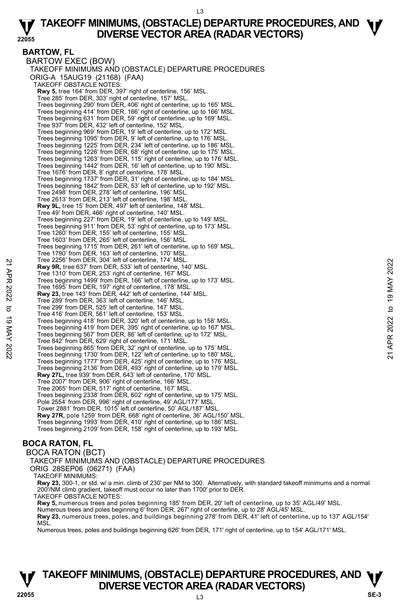#### **BARTOW, FL**

BARTOW EXEC (BOW) TAKEOFF MINIMUMS AND (OBSTACLE) DEPARTURE PROCEDURES ORIG-A 15AUG19 (21168) (FAA) TAKEOFF OBSTACLE NOTES: **Rwy 5,** tree 164' from DER, 397' right of centerline, 156' MSL. Tree 285' from DER, 303' right of centerline, 157' MSL. Trees beginning 290' from DER, 406' right of centerline, up to 165' MSL. Trees beginning 414' from DER, 166' right of centerline, up to 166' MSL. Trees beginning 631' from DER, 59' right of centerline, up to 169' MSL. Tree 937' from DER, 432' left of centerline, 152' MSL. Trees beginning 969' from DER, 19' left of centerline, up to 172' MSL. Trees beginning 1095' from DER, 9' left of centerline, up to 176' MSL. Trees beginning 1225' from DER, 234' left of centerline, up to 186' MSL. Trees beginning 1226' from DER, 68' right of centerline, up to 175' MSL. Trees beginning 1263' from DER, 115' right of centerline, up to 176' MSL. Trees beginning 1442' from DER, 16' left of centerline, up to 190' MSL. Tree 1676' from DER, 8' right of centerline, 178' MSL. Trees beginning 1737' from DER, 31' right of centerline, up to 184' MSL. Trees beginning 1842' from DER, 53' left of centerline, up to 192' MSL. Tree 2498' from DER, 278' left of centerline, 196' MSL. Tree 2613' from DER, 213' left of centerline, 198' MSL. **Rwy 9L,** tree 15' from DER, 497' left of centerline, 148' MSL. Tree 49' from DER, 466' right of centerline, 140' MSL. Trees beginning 227' from DER, 19' left of centerline, up to 149' MSL. Trees beginning 911' from DER, 53' right of centerline, up to 173' MSL. Tree 1260' from DER, 155' left of centerline, 155' MSL. Tree 1603' from DER, 265' left of centerline, 156' MSL. Trees beginning 1715' from DER, 261' left of centerline, up to 169' MSL. Tree 1790' from DER, 163' left of centerline, 170' MSL. Tree 2256' from DER, 304' left of centerline, 174' MSL. **Rwy 9R,** tree 637' from DER, 533' left of centerline, 140' MSL. Tree 1310' from DER, 253' right of centerline, 167' MSL. Trees beginning 1499' from DER, 166' left of centerline, up to 173' MSL. Tree 1695' from DER, 197' right of centerline, 178' MSL. **Rwy 23,** tree 143' from DER, 442' left of centerline, 144' MSL. Tree 289' from DER, 363' left of centerline, 146' MSL. Tree 299' from DER, 525' left of centerline, 147' MSL. Tree 416' from DER, 561' left of centerline, 153' MSL. Trees beginning 418' from DER, 320' left of centerline, up to 158' MSL. Trees beginning 419' from DER, 395' right of centerline, up to 167' MSL. Trees beginning 567' from DER, 86' left of centerline, up to 172' MSL. Tree 842' from DER, 629' right of centerline, 171' MSL. Trees beginning 865' from DER, 32' right of centerline, up to 175' MSL. Trees beginning 1730' from DER, 122' left of centerline, up to 180' MSL. Trees beginning 1777' from DER, 425' right of centerline, up to 176' MSL. Trees beginning 2136' from DER, 493' right of centerline, up to 179' MSL.<br>**Rwy 27L,** tree 939' from DER, 643' left of centerline, 170' MSL. Tree 2007' from DER, 906' right of centerline, 166' MSL. Tree 2065' from DER, 517' right of centerline, 167' MSL. Trees beginning 2338' from DER, 602' right of centerline, up to 175' MSL. Pole 2554' from DER, 996' right of centerline, 49' AGL/177' MSL. Tower 2881' from DER, 1015' left of centerline, 50' AGL/187' MSL. **Rwy 27R,** pole 1259' from DER, 668' right of centerline, 36' AGL/150' MSL. Trees beginning 1993' from DER, 410' right of centerline, up to 186' MSL. Trees beginning 2109' from DER, 158' right of centerline, up to 193' MSL. **Example 2256 from DER, 304 left of centerline, 147 MSL.**<br> **Particle 2256 from DER, 253' right of centerline, 140' MSL.**<br> **Particle beginning 1499' from DER, 166' left of centerline, up to 173' MSL.**<br> **Particle beginning** 

### **BOCA RATON, FL**

BOCA RATON (BCT) TAKEOFF MINIMUMS AND (OBSTACLE) DEPARTURE PROCEDURES

#### ORIG 28SEP06 (06271) (FAA)

TAKEOFF MINIMUMS:

**Rwy 23,** 300-1, or std. w/ a min. climb of 230' per NM to 300. Alternatively, with standard takeoff minimums and a normal 200'/NM climb gradient, takeoff must occur no later than 1700' prior to DER. TAKEOFF OBSTACLE NOTES:

**Rwy 5,** numerous trees and poles beginning 185' from DER, 20' left of centerline, up to 35' AGL/49' MSL.<br>Numerous trees and poles beginning 6' from DER, 267' right of centerline, up to 28' AGL/45' MSL.

**Rwy 23,** numerous trees, poles, and buildings beginning 278' from DER, 41' left of centerline, up to 137' AGL/154' **MS** 

Numerous trees, poles and buildings beginning 626' from DER, 171' right of centerline, up to 154' AGL/171' MSL.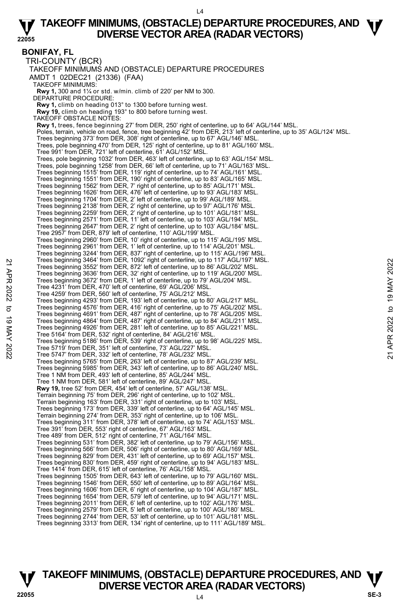#### **22055 TAKEOFF MINIMUMS, (OBSTACLE) DEPARTURE PROCEDURES, AND**  $\Psi$ **DIVERSE VECTOR AREA (RADAR VECTORS)**

**BONIFAY, FL**  TRI-COUNTY (BCR) TAKEOFF MINIMUMS AND (OBSTACLE) DEPARTURE PROCEDURES AMDT 1 02DEC21 (21336) (FAA) TAKEOFF MINIMUMS:  **Rwy 1,** 300 and 1¼ or std. w/min. climb of 220' per NM to 300. DEPARTURE PROCEDURE: **Rwy 1,** climb on heading 013° to 1300 before turning west.  **Rwy 19,** climb on heading 193° to 800 before turning west. TAKEOFF OBSTACLE NOTES:  **Rwy 1,** trees, fence beginning 27' from DER, 250' right of centerline, up to 64' AGL/144' MSL. Poles, terrain, vehicle on road, fence, tree beginning 42' from DER, 213' left of centerline, up to 35' AGL/124' MSL. Trees beginning 373' from DER, 308' right of centerline, up to 67' AGL/146' MSL. Trees, pole beginning 470' from DER, 125' right of centerline, up to 81' AGL/160' MSL. Tree 991' from DER, 721' left of centerline, 61' AGL/152' MSL. Trees, pole beginning 1032' from DER, 463' left of centerline, up to 63' AGL/154' MSL. Trees, pole beginning 1258' from DER, 66' left of centerline, up to 71' AGL/163' MSL. Trees beginning 1515' from DER, 119' right of centerline, up to 74' AGL/161' MSL. Trees beginning 1551' from DER, 190' right of centerline, up to 83' AGL/165' MSL. Trees beginning 1562' from DER, 7' right of centerline, up to 85' AGL/171' MSL. Trees beginning 1626' from DER, 476' left of centerline, up to 93' AGL/183' MSL. Trees beginning 1704' from DER, 2' left of centerline, up to 99' AGL/189' MSL. Trees beginning 2138' from DER, 2' right of centerline, up to 97' AGL/176' MSL. Trees beginning 2259' from DER, 2' right of centerline, up to 101' AGL/181' MSL. Trees beginning 2571' from DER, 11' left of centerline, up to 103' AGL/194' MSL. Trees beginning 2647' from DER, 2' right of centerline, up to 103' AGL/184' MSL. Tree 2957' from DER, 879' left of centerline, 110' AGL/199' MSL. Trees beginning 2960' from DER, 10' right of centerline, up to 115' AGL/195' MSL. Trees beginning 2961' from DER, 1' left of centerline, up to 114' AGL/201' MSL. Trees beginning 3244' from DER, 837' right of centerline, up to 115' AGL/196' MSL. Trees beginning 3464' from DER, 1092' right of centerline, up to 117' AGL/197' MSL. Trees beginning 3552' from DER, 872' left of centerline, up to 86' AGL/202' MSL. Trees beginning 3636' from DER, 32' right of centerline, up to 119' AGL/200' MSL. Trees beginning 3672' from DER, 1' left of centerline, up to 79' AGL/204' MSL. Tree 4231' from DER, 470' left of centerline, 69' AGL/206' MSL. Tree 4259' from DER, 560' left of centerline, 75' AGL/212' MSL. Trees beginning 4293' from DER, 193' left of centerline, up to 80' AGL/217' MSL. Trees beginning 4576' from DER, 416' right of centerline, up to 75' AGL/202' MSL.<br>Trees beginning 4691' from DER, 487' right of centerline, up to 78' AGL/205' MSL.<br>Trees beginning 4684' from DER, 487' right of centerline, Tree 5164' from DER, 532' right of centerline, 84' AGL/216' MSL. Trees beginning 5186' from DER, 539' right of centerline, up to 98' AGL/225' MSL. Tree 5719' from DER, 351' left of centerline, 73' AGL/227' MSL. Tree 5747' from DER, 332' left of centerline, 78' AGL/232' MSL. Trees beginning 5765' from DER, 263' left of centerline, up to 87' AGL/239' MSL. Trees beginning 5985' from DER, 343' left of centerline, up to 86' AGL/240' MSL. Tree 1 NM from DER, 493' left of centerline, 85' AGL/244' MSL. Tree 1 NM from DER, 581' left of centerline, 89' AGL/247' MSL. **Rwy 19,** tree 52' from DER, 454' left of centerline, 57' AGL/138' MSL. Terrain beginning 75' from DER, 296' right of centerline, up to 102' MSL. Terrain beginning 163' from DER, 331' right of centerline, up to 103' MSL. Trees beginning 173' from DER, 339' left of centerline, up to 64' AGL/145' MSL. Terrain beginning 274' from DER, 353' right of centerline, up to 106' MSL. Trees beginning 311' from DER, 378' left of centerline, up to 74' AGL/153' MSL. Tree 391' from DER, 553' right of centerline, 67' AGL/163' MSL. Tree 489' from DER, 512' right of centerline, 71' AGL/164' MSL. Trees beginning 531' from DER, 382' left of centerline, up to 79' AGL/156' MSL. Trees beginning 566' from DER, 506' right of centerline, up to 80' AGL/169' MSL. Trees beginning 829' from DER, 431' left of centerline, up to 69' AGL/157' MSL. Trees beginning 830' from DER, 459' right of centerline, up to 94' AGL/183' MSL. Tree 1414' from DER, 615' left of centerline, 76' AGL/158' MSL. Trees beginning 1505' from DER, 643' left of centerline, up to 79' AGL/160' MSL. Trees beginning 1546' from DER, 550' left of centerline, up to 89' AGL/164' MSL. Trees beginning 1606' from DER, 6' right of centerline, up to 104' AGL/187' MSL. Trees beginning 1654' from DER, 579' left of centerline, up to 94' AGL/171' MSL. Trees beginning 2011' from DER, 6' left of centerline, up to 102' AGL/176' MSL. Trees beginning 2579' from DER, 5' left of centerline, up to 100' AGL/180' MSL. Trees beginning 2744' from DER, 53' left of centerline, up to 101' AGL/181' MSL. Trees beginning 3313' from DER, 134' right of centerline, up to 111' AGL/189' MSL. Trees beginning 3464 Trom DER, 1092 Tight of centerline, up to 18<sup>1</sup> AGL/202<sup>7</sup> MSL.<br>
Trees beginning 3636' from DER, 32' right of centerline, up to 119' AGL/200' MSL.<br>
Trees beginning 3636' from DER, 32' right of centerl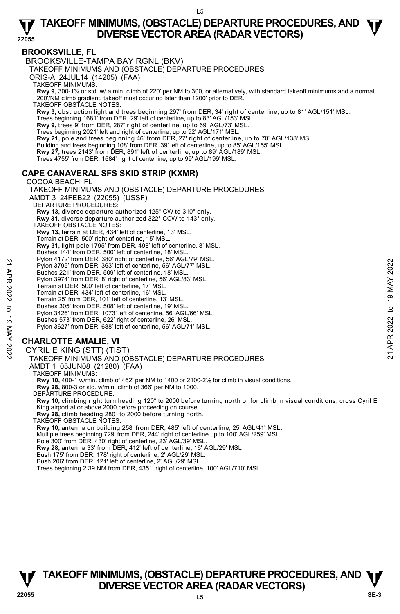#### **BROOKSVILLE, FL**

BROOKSVILLE-TAMPA BAY RGNL (BKV)

TAKEOFF MINIMUMS AND (OBSTACLE) DEPARTURE PROCEDURES

ORIG-A 24JUL14 (14205) (FAA)

TAKEOFF MINIMUMS:

**Rwy 9,** 300-1¼ or std. w/ a min. climb of 220' per NM to 300, or alternatively, with standard takeoff minimums and a normal 200'/NM climb gradient, takeoff must occur no later than 1200' prior to DER.

TAKEOFF OBSTACLE NOTES:

**Rwy 3,** obstruction light and trees beginning 297' from DER, 34' right of centerline, up to 81' AGL/151' MSL.

Trees beginning 1681' from DER, 29' left of centerline, up to 83' AGL/153' MSL. **Rwy 9,** trees 9' from DER, 287' right of centerline, up to 69' AGL/73' MSL.

Trees beginning 2021' left and right of centerline, up to 92' AGL/171' MSL.

**Rwy 21,** pole and trees beginning 46' from DER, 27' right of centerline, up to 70' AGL/138' MSL.

Building and trees beginning 108' from DER, 39' left of centerline, up to 85' AGL/155' MSL.

**Rwy 27,** trees 2143' from DER, 891' left of centerline, up to 89' AGL/189' MSL.

Trees 4755' from DER, 1684' right of centerline, up to 99' AGL/199' MSL.

#### **CAPE CANAVERAL SFS SKID STRIP (KXMR)**

COCOA BEACH, FL TAKEOFF MINIMUMS AND (OBSTACLE) DEPARTURE PROCEDURES AMDT 3 24FEB22 (22055) (USSF) DEPARTURE PROCEDURES: **Rwy 13,** diverse departure authorized 125° CW to 310° only.  **Rwy 31,** diverse departure authorized 322° CCW to 143° only. TAKEOFF OBSTACLE NOTES: **Rwy 13,** terrain at DER, 434' left of centerline, 13' MSL. Terrain at DER, 500' right of centerline, 15' MSL. **Rwy 31,** light pole 1795' from DER, 498' left of centerline, 8' MSL. Bushes 144' from DER, 500' left of centerline, 18' MSL. Pylon 4172' from DER, 380' right of centerline, 56' AGL/79' MSL. Pylon 3795' from DER, 363' left of centerline, 56' AGL/77' MSL. Bushes 221' from DER, 509' left of centerline, 18' MSL. Pylon 3974' from DER, 8' right of centerline, 56' AGL/83' MSL. Terrain at DER, 500' left of centerline, 17' MSL. Terrain at DER, 434' left of centerline, 16' MSL. Terrain 25' from DER, 101' left of centerline, 13' MSL. Bushes 305' from DER, 508' left of centerline, 19' MSL. Pylon 3426' from DER, 1073' left of centerline, 56' AGL/66' MSL. Bushes 573' from DER, 622' right of centerline, 26' MSL. Pylon 3627' from DER, 688' left of centerline, 56' AGL/71' MSL. **CHARLOTTE AMALIE, VI**  Pylon 3795' from DER, 363' left of centerline, 56' AGL/77' MSL.<br>
Pylon 3795' from DER, 363' left of centerline, 56' AGL/77' MSL.<br>
Bushes 221' from DER, 509' left of centerline, 18' MSL.<br>
Pylon 3874' from DER, 87' ght of c

CYRIL E KING (STT) (TIST)

TAKEOFF MINIMUMS AND (OBSTACLE) DEPARTURE PROCEDURES

AMDT 1 05JUN08 (21280) (FAA)

TAKEOFF MINIMUMS:

**Rwy 10,** 400-1 w/min. climb of 462' per NM to 1400 or 2100-2½ for climb in visual conditions. **Rwy 28,** 800-3 or std. w/min. climb of 366' per NM to 1000.

DEPARTURE PROCEDURE:

**Rwy 10,** climbing right turn heading 120° to 2000 before turning north or for climb in visual conditions, cross Cyril E King airport at or above 2000 before proceeding on course.

**Rwy 28,** climb heading 280° to 2000 before turning north.

TAKEOFF OBSTACLE NOTES:

**Rwy 10,** antenna on building 258' from DER, 485' left of centerline, 25' AGL/41' MSL.<br>Multiple trees beginning 729' from DER, 244' right of centerline up to 100' AGL/259' MSL.

Pole 300' from DER, 430' right of centerline, 23<sup>'</sup> AGL/39' MSL.

**Rwy 28,** antenna 33' from DER, 412' left of centerline, 16' AGL/29' MSL.

Bush 175' from DER, 178' right of centerline, 2' AGL/29' MSL. Bush 206' from DER, 121' left of centerline, 2' AGL/29' MSL.

Trees beginning 2.39 NM from DER, 4351' right of centerline, 100' AGL/710' MSL.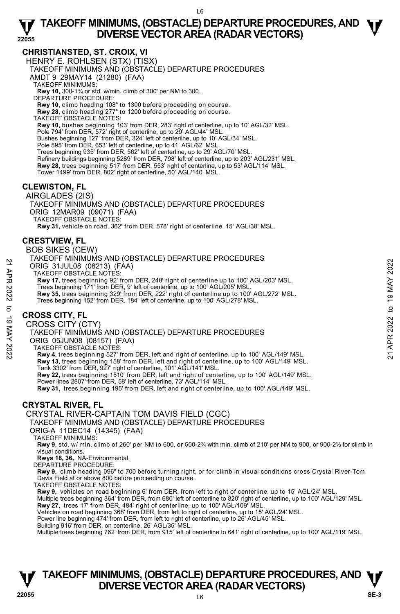#### **CHRISTIANSTED, ST. CROIX, VI**

HENRY E. ROHLSEN (STX) (TISX) TAKEOFF MINIMUMS AND (OBSTACLE) DEPARTURE PROCEDURES AMDT 9 29MAY14 (21280) (FAA) TAKEOFF MINIMUMS: **Rwy 10,** 300-1¾ or std. w/min. climb of 300' per NM to 300. DEPARTURE PROCEDURE: **Rwy 10**, climb heading 108° to 1300 before proceeding on course. **Rwy 28**, climb heading 277° to 1200 before proceeding on course. TAKEOFF OBSTACLE NOTES: **Rwy 10,** bushes beginning 103' from DER, 283' right of centerline, up to 10' AGL/32' MSL.

Pole 794' from DER, 572' right of centerline, up to 29' AGL/44' MSL. Bushes beginning 127' from DER, 324' left of centerline, up to 10' AGL/34' MSL. Pole 595' from DER, 653' left of centerline, up to 41' AGL/62' MSL. Trees beginning 935' from DER, 562' left of centerline, up to 29' AGL/70' MSL. Refinery buildings beginning 5289' from DER, 798' left of centerline, up to 203' AGL/231' MSL. **Rwy 28,** trees beginning 517' from DER, 553' right of centerline, up to 53' AGL/114' MSL. Tower 1499' from DER, 802' right of centerline, 50' AGL/140' MSL.

#### **CLEWISTON, FL**

AIRGLADES (2IS) TAKEOFF MINIMUMS AND (OBSTACLE) DEPARTURE PROCEDURES ORIG 12MAR09 (09071) (FAA) TAKEOFF OBSTACLE NOTES:

**Rwy 31,** vehicle on road, 362' from DER, 578' right of centerline, 15' AGL/38' MSL.

#### **CRESTVIEW, FL**

BOB SIKES (CEW)

TAKEOFF MINIMUMS AND (OBSTACLE) DEPARTURE PROCEDURES ORIG 31JUL08 (08213) (FAA) TAKEOFF OBSTACLE NOTES: **Rwy 17,** trees beginning 92' from DER, 248' right of centerline up to 100' AGL/203' MSL. Trees beginning 171' from DER, 9' left of centerline, up to 100' AGL/205' MSL. 21 ANCORE 31JUL08 (08213) (FAA)<br>
21 ARCORE OBSTACLE NOTES:<br>
22 TAKEOFF OBSTACLE NOTES:<br>
22 Trees beginning 32' from DER, 248' right of centerline up to 100' AGL/203' MSL.<br>
22 Trees heginning 171' from DER, 9' left of cent

**Rwy 35,** trees beginning 329' from DER, 222' right of centerline up to 100' AGL/272' MSL. Trees beginning 152' from DER, 184' left of centerline, up to 100' AGL/278' MSL.

#### **CROSS CITY, FL**

CROSS CITY (CTY)

TAKEOFF MINIMUMS AND (OBSTACLE) DEPARTURE PROCEDURES ORIG 05JUN08 (08157) (FAA)

TAKEOFF OBSTACLE NOTES:

**Rwy 4,** trees beginning 527' from DER, left and right of centerline, up to 100' AGL/149' MSL. **Rwy 13,** trees beginning 158' from DER, left and right of centerline, up to 100' AGL/149' MSL. Tank 3302' from DER, 927' right of centerline, 101' AGL/141' MSL. **Rwy 22,** trees beginning 1510' from DER, left and right of centerline, up to 100' AGL/149' MSL. Power lines 2807' from DER, 58' left of centerline, 73' AGL/114' MSL. **Rwy 31,** trees beginning 195' from DER, left and right of centerline, up to 100' AGL/149' MSL.

#### **CRYSTAL RIVER, FL**

CRYSTAL RIVER-CAPTAIN TOM DAVIS FIELD (CGC)

TAKEOFF MINIMUMS AND (OBSTACLE) DEPARTURE PROCEDURES

ORIG-A 11DEC14 (14345) (FAA)

TAKEOFF MINIMUMS:

**Rwy 9,** std. w/ min. climb of 260' per NM to 600, or 500-2¾ with min. climb of 210' per NM to 900, or 900-2½ for climb in visual conditions.

**Rwys 18, 36,** NA-Environmental. DEPARTURE PROCEDURE:

**Rwy 9,** climb heading 096º to 700 before turning right, or for climb in visual conditions cross Crystal River-Tom Davis Field at or above 800 before proceeding on course.

TAKEOFF OBSTACLE NOTES:

**Rwy 9,** vehicles on road beginning 6' from DER, from left to right of centerline, up to 15' AGL/24' MSL.

Multiple trees beginning 364' from DER, from 680' left of centerline to 820' right of centerline, up to 100' AGL/129' MSL. **Rwy 27,** trees 17' from DER, 484' right of centerline, up to 100' AGL/109' MSL.

Vehicles on road beginning 368' from DER, from left to right of centerline, up to 15' AGL/24' MSL.

Power line beginning 474' from DER, from left to right of centerline, up to 26' AGL/45' MSL.

Building 916' from DER, on centerline, 26' AGL/35' MSL.

Multiple trees beginning 762' from DER, from 915' left of centerline to 641' right of centerline, up to 100' AGL/119' MSL.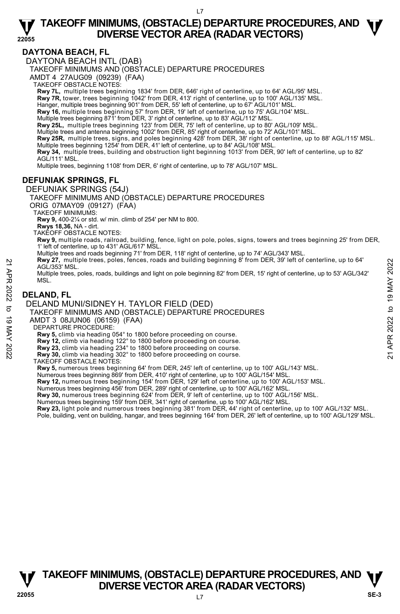#### **DAYTONA BEACH, FL**

DAYTONA BEACH INTL (DAB)

TAKEOFF MINIMUMS AND (OBSTACLE) DEPARTURE PROCEDURES

AMDT 4 27AUG09 (09239) (FAA)

```
TAKEOFF OBSTACLE NOTES:
```
**Rwy 7L,** multiple trees beginning 1834' from DER, 646' right of centerline, up to 64' AGL/95' MSL. **Rwy 7R,** tower, trees beginning 1042' from DER, 413' right of centerline, up to 100' AGL/135' MSL.

Hanger, multiple trees beginning 901' from DER, 55' left of centerline, up to 67' AGL/101' MSL.

**Rwy 16,** multiple trees beginning 57' from DER, 19' left of centerline, up to 75' AGL/104' MSL.

Multiple trees beginning 871' from DER, 3' right of centerline, up to 83' AGL/112' MSL.<br>**Rwy 25L,** multiple trees beginning 123' from DER, 75' left of centerline, up to 80' AGL/109' MSL.

Multiple trees and antenna beginning 1002' from DER, 85' right of centerline, up to 72' AGL/101' MSL.

**Rwy 25R,** multiple trees, signs, and poles beginning 428' from DER, 38' right of centerline, up to 88' AGL/115' MSL.<br>Multiple trees beginning 1254' from DER, 41' left of centerline, up to 84' AGL/108' MSL.

**Rwy 34,** multiple trees, building and obstruction light beginning 1013' from DER, 90' left of centerline, up to 82' AGL /111' MSL

Multiple trees, beginning 1108' from DER, 6' right of centerline, up to 78' AGL/107' MSL.

#### **DEFUNIAK SPRINGS, FL**

DEFUNIAK SPRINGS (54J)

TAKEOFF MINIMUMS AND (OBSTACLE) DEPARTURE PROCEDURES

ORIG 07MAY09 (09127) (FAA)

TAKEOFF MINIMUMS:

**Rwy 9,** 400-2¼ or std. w/ min. climb of 254' per NM to 800.

**Rwys 18,36,** NA - dirt.

TAKEOFF OBSTACLE NOTES:

**Rwy 9,** multiple roads, railroad, building, fence, light on pole, poles, signs, towers and trees beginning 25' from DER, 1' left of centerline, up to 431' AGL/617' MSL.

Multiple trees and roads beginning 71' from DER, 118' right of centerline, up to 74' AGL/343' MSL.

- **Rwy 27,** multiple trees, poles, fences, roads and building beginning 8' from DER, 39' left of centerline, up to 64' AGL/353' MSL.
- Multiple trees, poles, roads, buildings and light on pole beginning 82' from DER, 15' right of centerline, up to 53' AGL/342' MSL. 22<br>
AGL/353' MSL.<br>
AGL/353' MSL.<br>
Multiple trees, poles, roads, buildings and light on pole beginning 82' from DER, 15' right of centerline, up to 53' AGL/342'<br>
MSL.<br>
MSL.<br> **DELAND, FL<br>
DELAND MUNI/SIDNEY H. TAYLOR FIELD**

#### **DELAND, FL**

DELAND MUNI/SIDNEY H. TAYLOR FIELD (DED)

TAKEOFF MINIMUMS AND (OBSTACLE) DEPARTURE PROCEDURES

AMDT 3 08JUN06 (06159) (FAA)

DEPARTURE PROCEDURE:

**Rwy 5,** climb via heading 054° to 1800 before proceeding on course.

**Rwy 12,** climb via heading 122° to 1800 before proceeding on course.

**Rwy 23,** climb via heading 234° to 1800 before proceeding on course. **Rwy 30,** climb via heading 302° to 1800 before proceeding on course.

TAKEOFF OBSTACLE NOTES:

**Rwy 5,** numerous trees beginning 64' from DER, 245' left of centerline, up to 100' AGL/143' MSL.

Numerous trees beginning 869' from DER, 410' right of centerline, up to 100' AGL/154' MSL.

**Rwy 12,** numerous trees beginning 154' from DER, 129' left of centerline, up to 100' AGL/153' MSL.

Numerous trees beginning 456' from DER, 289' right of centerline, up to 100' AGL/162' MSL.<br>**Rwy 30,** numerous trees beginning 624' from DER, 9' left of centerline, up to 100' AGL/156' MSL.

Numerous trees beginning 159' from DER, 341' right of centerline, up to 100' AGL/162' MSL.

**Rwy 23,** light pole and numerous trees beginning 381' from DER, 44' right of centerline, up to 100' AGL/132' MSL. Pole, building, vent on building, hangar, and trees beginning 164' from DER, 26' left of centerline, up to 100' AGL/129' MSL.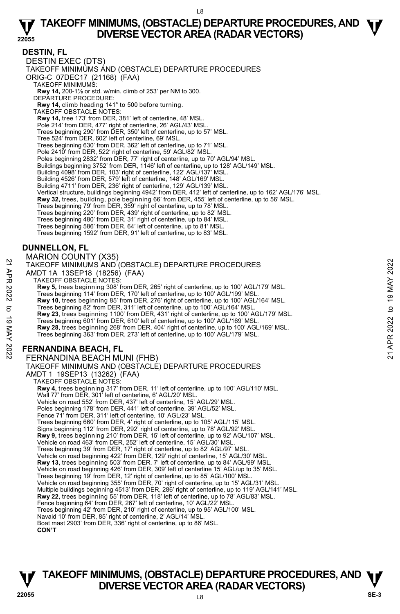#### **DESTIN, FL**

DESTIN EXEC (DTS) TAKEOFF MINIMUMS AND (OBSTACLE) DEPARTURE PROCEDURES ORIG-C 07DEC17 (21168) (FAA) TAKEOFF MINIMUMS: **Rwy 14,** 200-1⅛ or std. w/min. climb of 253' per NM to 300. DEPARTURE PROCEDURE: **Rwy 14,** climb heading 141° to 500 before turning. TAKEOFF OBSTACLE NOTES: **Rwy 14,** tree 173' from DER, 381' left of centerline, 48' MSL. Pole 214' from DER, 477' right of centerline, 26' AGL/43' MSL. Trees beginning 290' from DER, 350' left of centerline, up to 57' MSL. Tree 524' from DER, 602' left of centerline, 69' MSL. Trees beginning 630' from DER, 362' left of centerline, up to 71' MSL. Pole 2410' from DER, 522' right of centerline, 59' AGL/82' MSL. Poles beginning 2832' from DER, 77' right of centerline, up to 70' AGL/94' MSL. Buildings beginning 3752' from DER, 1146' left of centerline, up to 128' AGL/149' MSL. Building 4098' from DER, 103' right of centerline, 122' AGL/137' MSL. Building 4526' from DER, 579' left of centerline, 148' AGL/169' MSL. Building 4711' from DER, 236' right of centerline, 129' AGL/139' MSL. Vertical structure, buildings beginning 4942' from DER, 412' left of centerline, up to 162' AGL/176' MSL. **Rwy 32,** trees, building, pole beginning 66' from DER, 455' left of centerline, up to 56' MSL. Trees beginning 79' from DER, 359' right of centerline, up to 78' MSL. Trees beginning 220' from DER, 439' right of centerline, up to 82' MSL. Trees beginning 480' from DER, 31' right of centerline, up to 84' MSL. Trees beginning 586' from DER, 64' left of centerline, up to 81' MSL. Trees beginning 1592' from DER, 91' left of centerline, up to 83' MSL. **DUNNELLON, FL**  MARION COUNTY (X35) TAKEOFF MINIMUMS AND (OBSTACLE) DEPARTURE PROCEDURES AMDT 1A 13SEP18 (18256) (FAA) TAKEOFF OBSTACLE NOTES: **Rwy 5,** trees beginning 308' from DER, 265' right of centerline, up to 100' AGL/179' MSL. Trees beginning 114' from DER, 170' left of centerline, up to 100' AGL/199' MSL. **Rwy 10,** trees beginning 85' from DER, 276' right of centerline, up to 100' AGL/164' MSL.<br>Trees beginning 82' from DER, 311' left of centerline, up to 100' AGL/164' MSL. **Rwy 23**, trees beginning 1100' from DER, 431' right of centerline, up to 100' AGL/179' MSL. Trees beginning 601' from DER, 610' left of centerline, up to 100' AGL/169' MSL. **Rwy 28,** trees beginning 268' from DER, 404' right of centerline, up to 100' AGL/169' MSL. Trees beginning 363' from DER, 273' left of centerline, up to 100' AGL/179' MSL. **FERNANDINA BEACH, FL**  FERNANDINA BEACH MUNI (FHB) TAKEOFF MINIMUMS AND (OBSTACLE) DEPARTURE PROCEDURES AMDT 1 19SEP13 (13262) (FAA) TAKEOFF OBSTACLE NOTES: **Rwy 4,** trees beginning 317' from DER, 11' left of centerline, up to 100' AGL/110' MSL. Wall 77' from DER, 301' left of centerline, 6' AGL/20' MSL. Vehicle on road 552' from DER, 437' left of centerline, 15' AGL/29' MSL. Poles beginning 178' from DER, 441' left of centerline, 39' AGL/52' MSL. Fence 71' from DER, 311' left of centerline, 10' AGL/23' MSL. Trees beginning 660' from DER, 4' right of centerline, up to 105' AGL/115' MSL. Signs beginning 112' from DER, 292' right of centerline, up to 78' AGL/92' MSL. **Rwy 9,** trees beginning 210' from DER, 15' left of centerline, up to 92' AGL/107' MSL. Vehicle on road 463' from DER, 252' left of centerline, 15' AGL/30' MSL. Trees beginning 39' from DER, 17' right of centerline, up to 82' AGL/97' MSL. Vehicle on road beginning 422' from DER, 129' right of centerline, 15' AGL/30' MSL. **Rwy 13,** trees beginning 503' from DER. 7' left of centerline, up to 84' AGL/99' MSL.<br>Vehicle on road beginning 426' from DER, 309' left of centerline 15' AGL/up to 35' MSL. Trees beginning 19' from DER, 12' right of centerline, up to 85' AGL/100' MSL. Vehicle on road beginning 355' from DER, 70' right of centerline, up to 15' AGL/31' MSL.<br>Multiple buildings beginning 4513' from DER, 286' right of centerline, up to 119' AGL/141' MSL. **Rwy 22,** trees beginning 55' from DER, 118' left of centerline, up to 78' AGL/83' MSL. Fence beginning 64' from DER, 267' left of centerline, 10' AGL/22' MSL. Trees beginning 42' from DER, 210' right of centerline, up to 95' AGL/100' MSL. 21 TAKEOFF MINIMUMS AND (OBSTACLE) DEPARTURE PROCEDURES<br>
22 TAKEOFF MINIMUMS AND (OBSTACLE) DEPARTURE PROCEDURES<br>
22 TAKEOFF MINIMUMS AND (OBSTACLE) (FAA)<br>
22 TAKEOFF MINIMUMS AND (OBSTACLE) DEPARTURE PROCEDURES<br>
22 TAWY

Navaid 10' from DER, 85' right of centerline, 2' AGL/14' MSL.

Boat mast 2903' from DER, 336' right of centerline, up to 86' MSL.

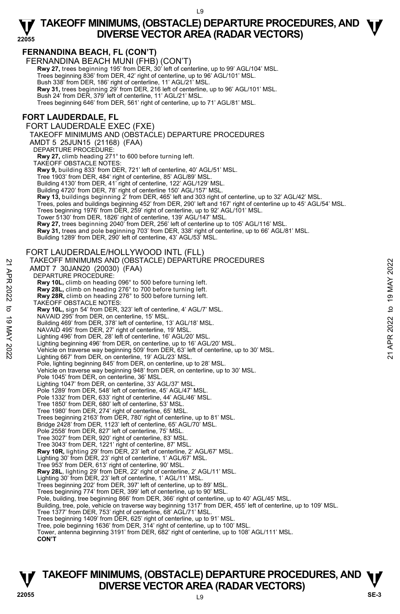#### **FERNANDINA BEACH, FL (CON'T)**

FERNANDINA BEACH MUNI (FHB) (CON'T) **Rwy 27,** trees beginning 195' from DER, 30' left of centerline, up to 99' AGL/104' MSL. Trees beginning 836' from DER, 42' right of centerline, up to 96' AGL/101' MSL. Bush 338' from DER, 186' right of centerline, 11' AGL/21' MSL. **Rwy 31,** trees beginning 29' from DER, 216 left of centerline, up to 96' AGL/101' MSL. Bush 24' from DER, 379' left of centerline, 11' AGL/21' MSL. Trees beginning 646' from DER, 561' right of centerline, up to 71' AGL/81' MSL.

#### **FORT LAUDERDALE, FL**

FORT LAUDERDALE EXEC (FXE)

TAKEOFF MINIMUMS AND (OBSTACLE) DEPARTURE PROCEDURES

AMDT 5 25JUN15 (21168) (FAA)

DEPARTURE PROCEDURE:

**Rwy 27,** climb heading 271° to 600 before turning left.

TAKEOFF OBSTACLE NOTES:

**Rwy 9,** building 833' from DER, 721' left of centerline, 40' AGL/51' MSL.

Tree 1903' from DER, 484' right of centerline, 85' AGL/89' MSL.

Building 4130' from DER, 41' right of centerline, 122' AGL/129' MSL. Building 4720' from DER, 78' right of centerline 150' AGL/157' MSL.

Rwy 13, buildings beginning 2' from DER, 465' left and 303 right of centerline, up to 32' AGL/42' MSL

Trees, poles and buildings beginning 452' from DER, 290' left and 167' right of centerline up to 45' AGL/54' MSL.<br>Trees beginning 1976' from DER, 259' right of centerline, up to 92' AGL/101' MSL.

Tower 5130' from DER, 1826' right of centerline, 139' AGL/147' MSL.

**Rwy 27,** trees beginning 2040' from DER, 256' left of centerline up to 105' AGL/116' MSL.

**Rwy 31,** trees and pole beginning 703' from DER, 338' right of centerline, up to 66' AGL/81' MSL.<br>Building 1289' from DER, 290' left of centerline, 43' AGL/53' MSL.

FORT LAUDERDALE/HOLLYWOOD INTL (FLL) TAKEOFF MINIMUMS AND (OBSTACLE) DEPARTURE PROCEDURES AMDT 7 30JAN20 (20030) (FAA) DEPARTURE PROCEDURE: **Rwy 10L,** climb on heading 096° to 500 before turning left. **Rwy 28L,** climb on heading 276° to 700 before turning left. **Rwy 28R,** climb on heading 276° to 500 before turning left. TAKEOFF OBSTACLE NOTES: **Rwy 10L,** sign 54' from DER, 323' left of centerline, 4' AGL/7' MSL. NAVAID 295' from DER, on centerline, 15' MSL. Building 469' from DER, 378' left of centerline, 13' AGL/18' MSL. NAVAID 495' from DER, 27' right of centerline, 19' MSL. Lighting 496' from DER, 28' left of centerline, 16' AGL/20' MSL. Lighting beginning 496' from DER, on centerline, up to 16' AGL/20' MSL. Vehicle on traverse way beginning 509' from DER, 63' left of centerline, up to 30' MSL. Lighting 667' from DER, on centerline, 19' AGL/23' MSL. Pole, lighting beginning 845' from DER, on centerline, up to 28' MSL. Vehicle on traverse way beginning 948' from DER, on centerline, up to 30' MSL. Pole 1045' from DER, on centerline, 36' MSL. Lighting 1047' from DER, on centerline, 33' AGL/37' MSL. Pole 1289' from DER, 548' left of centerline, 45' AGL/47' MSL Pole 1332' from DER, 633' right of centerline, 44' AGL/46' MSL. Tree 1850' from DER, 680' left of centerline, 53' MSL. Tree 1980' from DER, 274' right of centerline, 65' MSL. Trees beginning 2163' from DER, 780' right of centerline, up to 81' MSL. Bridge 2428' from DER, 1123' left of centerline, 65' AGL/70' MSL. Pole 2558' from DER, 827' left of centerline, 75' MSL. Tree 3027' from DER, 920' right of centerline, 83' MSL. Tree 3043' from DER, 1221' right of centerline, 87' MSL. **Rwy 10R,** lighting 29' from DER, 23' left of centerline, 2' AGL/67' MSL. Lighting 30' from DER, 23' right of centerline, 1' AGL/67' MSL. Tree 953' from DER, 613' right of centerline, 90' MSL. **Rwy 28L**, lighting 29' from DER, 22' right of centerline, 2' AGL/11' MSL. Lighting 30' from DER, 23' left of centerline, 1' AGL/11' MSL. Trees beginning 202' from DER, 397' left of centerline, up to 89' MSL. Trees beginning 774' from DER, 399' left of centerline, up to 90' MSL. Pole, building, tree beginning 866' from DER, 366' right of centerline, up to 40' AGL/45' MSL. Building, tree, pole, vehicle on traverse way beginning 1317' from DER, 455' left of centerline, up to 109' MSL. Tree 1377' from DER, 753' right of centerline, 68' AGL/71' MSL. Trees beginning 1409' from DER, 625' right of centerline, up to 91' MSL. Tree, pole beginning 1636' from DER, 314' right of centerline, up to 100' MSL. Tower, antenna beginning 3191' from DER, 682' right of centerline, up to 108' AGL/111' MSL. **CON'T**  1 AKEOFF MINIMUMS AND (OBSTACLE) DEPARTURE PROCEDURES<br>
AMDT 7 30JAN20 (20030) (FAA)<br>
DEPARTURE PROCEDURE:<br>
Rwy 10L, climb on heading 206° to 500 before turning left.<br>
Rwy 28R, climb on heading 276° to 700 before turning l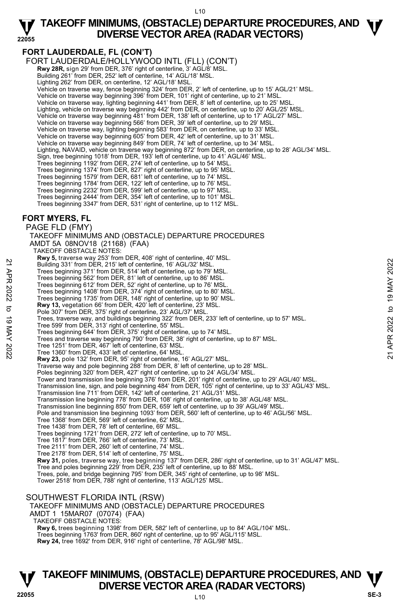#### **22055 TAKEOFF MINIMUMS, (OBSTACLE) DEPARTURE PROCEDURES, AND**  $\Psi$ **DIVERSE VECTOR AREA (RADAR VECTORS)**

#### **FORT LAUDERDALE, FL (CON'T)**

FORT LAUDERDALE/HOLLYWOOD INTL (FLL) (CON'T) **Rwy 28R,** sign 29' from DER, 376' right of centerline, 3' AGL/8' MSL. Building 261' from DER, 252' left of centerline, 14' AGL/18' MSL. Lighting 262' from DER, on centerline, 12' AGL/18' MSL. Vehicle on traverse way, fence beginning 324' from DER, 2' left of centerline, up to 15' AGL/21' MSL. Vehicle on traverse way beginning 396' from DER, 101' right of centerline, up to 21' MSL. Vehicle on traverse way, lighting beginning 441' from DER, 8' left of centerline, up to 25' MSL. Lighting, vehicle on traverse way beginning 442' from DER, on centerline, up to 20' AGL/25' MSL. Vehicle on traverse way beginning 481' from DER, 138' left of centerline, up to 17' AGL/27' MSL. Vehicle on traverse way beginning 566' from DER, 39' left of centerline, up to 29' MSL. Vehicle on traverse way, lighting beginning 583' from DER, on centerline, up to 33' MSL. Vehicle on traverse way beginning 605' from DER, 42' left of centerline, up to 31' MSL. Vehicle on traverse way beginning 849' from DER, 74' left of centerline, up to 34' MSL. Lighting, NAVAID, vehicle on traverse way beginning 872' from DER, on centerline, up to 28' AGL/34' MSL. Sign, tree beginning 1018' from DER, 193' left of centerline, up to 41' AGL/46' MSL. Trees beginning 1192' from DER, 274' left of centerline, up to 54' MSL. Trees beginning 1374' from DER, 827' right of centerline, up to 95' MSL. Trees beginning 1579' from DER, 681' left of centerline, up to 74' MSL. Trees beginning 1784' from DER, 122' left of centerline, up to 76' MSL. Trees beginning 2232' from DER, 599' left of centerline, up to 97' MSL. Trees beginning 2444' from DER, 354' left of centerline, up to 101' MSL. Trees beginning 3347' from DER, 531' right of centerline, up to 112' MSL.

#### **FORT MYERS, FL**

PAGE FLD (FMY)

TAKEOFF MINIMUMS AND (OBSTACLE) DEPARTURE PROCEDURES

AMDT 5A 08NOV18 (21168) (FAA)

TAKEOFF OBSTACLE NOTES:

**Rwy 5,** traverse way 253' from DER, 408' right of centerline, 40' MSL.

Building 331' from DER, 215' left of centerline, 16' AGL/32' MSL.

Trees beginning 371' from DER, 514' left of centerline, up to 79' MSL.

Trees beginning 562' from DER, 81' left of centerline, up to 86' MSL. Trees beginning 612' from DER, 52' right of centerline, up to 76' MSL.

Trees beginning 1408' from DER, 374' right of centerline, up to 80' MSL.

Trees beginning 1735' from DER, 148' right of centerline, up to 90' MSL. **Rwy 13,** vegetation 66' from DER, 420' left of centerline, 23' MSL.

Pole 307' from DER, 375' right of centerline, 23' AGL/37' MSL

Trees, traverse way, and buildings beginning 322' from DER, 233' left of centerline, up to 57' MSL. Tree 599' from DER, 313' right of centerline, 55' MSL. 22 Trees beginning 371' from DER, 215' left of centerline, 16' AGL/32' MSL.<br>
Trees beginning 371' from DER, 52' fight of centerline, up to 78' MSL.<br>
Trees beginning 52' from DER, 82' right of centerline, up to 86' MSL.<br>
Tr

Trees beginning 644' from DER, 375' right of centerline, up to 74' MSL.

Trees and traverse way beginning 790' from DER, 38' right of centerline, up to 87' MSL.

Tree 1251' from DER, 467' left of centerline, 63' MSL. Tree 1360' from DER, 433' left of centerline, 64' MSL.

**Rwy 23,** pole 132' from DER, 95' right of centerline, 16' AGL/27' MSL.

Traverse way and pole beginning 288' from DER, 8' left of centerline, up to 28' MSL. Poles beginning 320' from DER, 427' right of centerline, up to 24' AGL/34' MSL.

Tower and transmission line beginning 376' from DER, 201' right of centerline, up to 29' AGL/40' MSL.

- Transmission line, sign, and pole beginning 484' from DER, 105' right of centerline, up to 33' AGL/43' MSL.
- 
- Transmission line 711' from DER, 142' left of centerline, 21' AGL/31' MSL. Transmission line beginning 778' from DER, 108' right of centerline, up to 38' AGL/48' MSL.

Transmission line beginning 850' from DER, 659' left of centerline, up to 39' AGL/49' MSL.

Pole and transmission line beginning 1093' from DER, 560' left of centerline, up to 46' AGL/56' MSL.

Tree 1368' from DER, 569' left of centerline, 62' MSL.

Tree 1438' from DER, 78' left of centerline, 69' MSL.

Trees beginning 1721' from DER, 272' left of centerline, up to 70' MSL.

Tree 1817' from DER, 766' left of centerline, 73' MSL. Tree 2111' from DER, 260' left of centerline, 74' MSL.

Tree 2178' from DER, 514' left of centerline, 75' MSL.

**Rwy 31,** poles, traverse way, tree beginning 137' from DER, 286' right of centerline, up to 31' AGL/47' MSL.<br>Tree and poles beginning 229' from DER, 235' left of centerline, up to 88' MSL.

Trees, pole, and bridge beginning 795' from DER, 345' right of centerline, up to 98' MSL.

Tower 2518' from DER, 788' right of centerline, 113' AGL/125' MSL.

#### SOUTHWEST FLORIDA INTL (RSW)

TAKEOFF MINIMUMS AND (OBSTACLE) DEPARTURE PROCEDURES AMDT 1 15MAR07 (07074) (FAA) TAKEOFF OBSTACLE NOTES: **Rwy 6,** trees beginning 1398' from DER, 582' left of centerline, up to 84' AGL/104' MSL. Trees beginning 1763' from DER, 860' right of centerline, up to 95' AGL/115' MSL.

**Rwy 24,** tree 1692' from DER, 916' right of centerline, 78' AGL/98' MSL.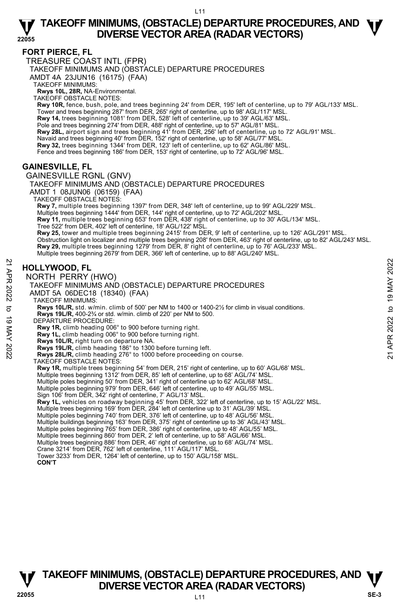#### **FORT PIERCE, FL**

TREASURE COAST INTL (FPR) TAKEOFF MINIMUMS AND (OBSTACLE) DEPARTURE PROCEDURES

AMDT 4A 23JUN16 (16175) (FAA)

TAKEOFF MINIMUMS:

**Rwys 10L, 28R,** NA-Environmental. TAKEOFF OBSTACLE NOTES:

**Rwy 10R,** fence, bush, pole, and trees beginning 24' from DER, 195' left of centerline, up to 79' AGL/133' MSL. Tower and trees beginning 287' from DER, 265' right of centerline, up to 98' AGL/117' MSL. **Rwy 14,** trees beginning 1081' from DER, 528' left of centerline, up to 39' AGL/63' MSL.<br>Pole and trees beginning 274' from DER, 488' right of centerline, up to 57' AGL/81' MSL. **Rwy 28L,** airport sign and trees beginning 41' from DER, 256' left of centerline, up to 72' AGL/91' MSL. Navaid and trees beginning 40' from DER, 152' right of centerline, up to 58' AGL/77' MSL. **Rwy 32,** trees beginning 1344' from DER, 123' left of centerline, up to 62' AGL/86' MSL. Fence and trees beginning 186' from DER, 153' right of centerline, up to 72' AGL/96' MSL.

#### **GAINESVILLE, FL**

GAINESVILLE RGNL (GNV) TAKEOFF MINIMUMS AND (OBSTACLE) DEPARTURE PROCEDURES AMDT 1 08JUN06 (06159) (FAA) TAKEOFF OBSTACLE NOTES: **Rwy 7,** multiple trees beginning 1397' from DER, 348' left of centerline, up to 99' AGL/229' MSL.<br>Multiple trees beginning 1444' from DER, 144' right of centerline, up to 72' AGL/202' MSL. **Rwy 11,** multiple trees beginning 653' from DER, 438' right of centerline, up to 30' AGL/134' MSL. Tree 522' from DER, 402' left of centerline, 18' AGL/122' MSL. **Rwy 25,** tower and multiple trees beginning 2415' from DER, 9' left of centerline, up to 126' AGL/291' MSL. Obstruction light on localizer and multiple trees beginning 208' from DER, 463' right of centerline, up to 82' AGL/243' MSL. **Rwy 29,** multiple trees beginning 1279' from DER, 8' right of centerline, up to 76' AGL/233' MSL. Multiple trees beginning 2679' from DER, 366' left of centerline, up to 88' AGL/240' MSL. **HOLLYWOOD, FL**  NORTH PERRY (HWO) TAKEOFF MINIMUMS AND (OBSTACLE) DEPARTURE PROCEDURES AMDT 5A 06DEC18 (18340) (FAA) TAKEOFF MINIMUMS: **Rwys 10L/R,** std. w/min. climb of 500' per NM to 1400 or 1400-2½ for climb in visual conditions. **Rwys 19L/R,** 400-2¾ or std. w/min. climb of 220' per NM to 500. DEPARTURE PROCEDURE: **Rwy 1R,** climb heading 006° to 900 before turning right. **Rwy 1L,** climb heading 006° to 900 before turning right. **Rwys 10L/R,** right turn on departure NA. **Rwys 19L/R,** climb heading 186° to 1300 before turning left. **Rwys 28L/R,** climb heading 276° to 1000 before proceeding on course. TAKEOFF OBSTACLE NOTES: **Rwy 1R,** multiple trees beginning 54' from DER, 215' right of centerline, up to 60' AGL/68' MSL.<br>Multiple trees beginning 1312' from DER, 85' left of centerline, up to 68' AGL/74' MSL. Multiple poles beginning 50' from DER, 341' right of centerline up to 62' AGL/68' MSL. Multiple poles beginning 979' from DER, 646' left of centerline, up to 49' AGL/55' MSL. Sign 106' from DER, 342' right of centerline, 7' AGL/13' MSL. **Rwy 1L,** vehicles on roadway beginning 45' from DER, 322' left of centerline, up to 15' AGL/22' MSL. Multiple trees beginning 169' from DER, 284' left of centerline up to 31' AGL/39' MSL. Multiple poles beginning 740' from DER, 376' left of centerline, up to 48' AGL/56' MSL. Multiple buildings beginning 163' from DER, 375' right of centerline up to 36' AGL/43' MSL. Multiple poles beginning 765' from DER, 386' right of centerline, up to 48' AGL/55' MSL. **HOLLYWOOD, FL**<br> **21 MORTH PERRY (HWO)**<br>
TAKEOFF MINIMUMS AND (OBSTACLE) DEPARTURE PROCEDURES<br>
AMDT 5A 06DEC18 (18340) (FAA)<br>
TAKEOFF MINIMUMS AND (OBSTACLE) DEPARTURE PROCEDURES<br>
AMDT 5A 06DEC18 (18340) (FAA)<br>
TAKEOFF MI

Multiple trees beginning 860' from DER, 2' left of centerline, up to 58' AGL/66' MSL. Multiple trees beginning 886' from DER, 46' right of centerline, up to 68' AGL/74' MSL.

Crane 3214' from DER, 762' left of centerline, 111' AGL/117' MSL.

Tower 3233' from DER, 1264' left of centerline, up to 150' AGL/158' MSL.

#### **CON'T**

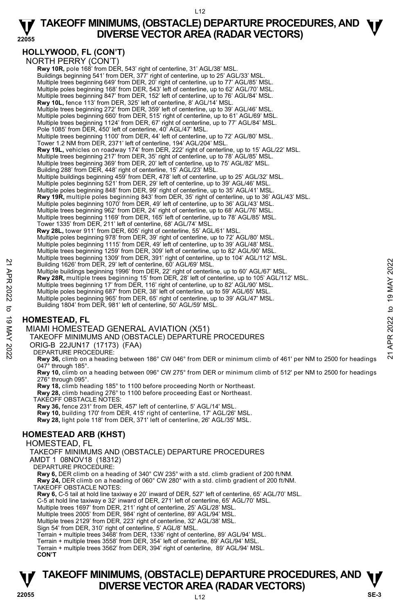#### **22055 TAKEOFF MINIMUMS, (OBSTACLE) DEPARTURE PROCEDURES, AND**  $\Psi$ **DIVERSE VECTOR AREA (RADAR VECTORS)**

**HOLLYWOOD, FL (CON'T)** 

NORTH PERRY (CON'T)  **Rwy 10R,** pole 168' from DER, 543' right of centerline, 31' AGL/38' MSL. Buildings beginning 541' from DER, 377' right of centerline, up to 25' AGL/33' MSL. Multiple trees beginning 649' from DER, 20' right of centerline, up to 77' AGL/85' MSL. Multiple poles beginning 168' from DER, 543' left of centerline, up to 62' AGL/70' MSL. Multiple trees beginning 847' from DER, 152' left of centerline, up to 76' AGL/84' MSL. **Rwy 10L,** fence 113' from DER, 325' left of centerline, 8' AGL/14' MSL. Multiple trees beginning 272' from DER, 359' left of centerline, up to 39' AGL/46' MSL. Multiple poles beginning 660' from DER, 515' right of centerline, up to 61' AGL/69' MSL. Multiple trees beginning 1124' from DER, 67' right of centerline, up to 77' AGL/84' MSL. Pole 1085' from DER, 450' left of centerline, 40' AGL/47' MSL. Multiple trees beginning 1100' from DER, 44' left of centerline, up to 72' AGL/80' MSL. Tower 1.2 NM from DER, 2371' left of centerline, 194' AGL/204' MSL. **Rwy 19L,** vehicles on roadway 174' from DER, 222' right of centerline, up to 15' AGL/22' MSL. Multiple trees beginning 217' from DER, 35' right of centerline, up to 78' AGL/85' MSL. Multiple trees beginning 369' from DER, 20' left of centerline, up to 75' AGL/82' MSL. Building 288' from DER, 448' right of centerline, 15' AGL/23' MSL. Multiple buildings beginning 459' from DER, 478' left of centerline, up to 25' AGL/32' MSL.<br>Multiple poles beginning 521' from DER, 29' left of centerline, up to 39' AGL/46' MSL.<br>Multiple poles beginning 848' from DER, 99' **Rwy 19R,** multiple poles beginning 843' from DER, 35' right of centerline, up to 36' AGL/43' MSL. Multiple poles beginning 1070' from DER, 49' left of centerline, up to 36' AGL/43' MSL. Multiple trees beginning 962' from DER, 24' right of centerline, up to 68' AGL/76' MSL. Multiple trees beginning 1169' from DER, 165' left of centerline, up to 78' AGL/85' MSL. Tower 1335' from DER, 211' left of centerline, 68' AGL/74' MSL.  **Rwy 28L,** tower 911' from DER, 605' right of centerline, 55' AGL/61' MSL. Multiple poles beginning 978' from DER, 39' right of centerline, up to 72' AGL/80' MSL. Multiple poles beginning 1115' from DER, 49' left of centerline, up to 39' AGL/48' MSL. Multiple trees beginning 1259' from DER, 309' left of centerline, up to 82' AGL/90' MSL. Multiple trees beginning 1309' from DER, 391' right of centerline, up to 104' AGL/112' MSL. Building 1626' from DER, 29' left of centerline, 60' AGL/69' MSL. Multiple buildings beginning 1996' from DER, 22' right of centerline, up to 60' AGL/67' MSL. **Rwy 28R,** multiple trees beginning 15' from DER, 28' left of centerline, up to 105' AGL/112' MSL.<br>Multiple trees beginning 17' from DER, 116' right of centerline, up to 82' AGL/90' MSL. Multiple poles beginning 687' from DER, 38' left of centerline, up to 59' AGL/65' MSL. Multiple poles beginning 965' from DER, 65' right of centerline, up to 39' AGL/47' MSL. Building 1804' from DER, 981' left of centerline, 50' AGL/59' MSL. Building 1626' from DER, 29' left of centerline, 60' AGL/69' MSL.<br>
Multiple building 1626' from DER, 29' left of centerline, 60' AGL/69' MSL.<br>
Multiple trees beginning 1996' from DER, 22' right of centerline, up to 60' AG

#### **HOMESTEAD, FL**

MIAMI HOMESTEAD GENERAL AVIATION (X51)

TAKEOFF MINIMUMS AND (OBSTACLE) DEPARTURE PROCEDURES

ORIG-B 22JUN17 (17173) (FAA)

DEPARTURE PROCEDURE:

**Rwy 36,** climb on a heading between 186° CW 046° from DER or minimum climb of 461' per NM to 2500 for headings 047° through 185°.

**Rwy 10,** climb on a heading between 096° CW 275° from DER or minimum climb of 512' per NM to 2500 for headings 276° through 095°.

**Rwy 18,** climb heading 185° to 1100 before proceeding North or Northeast.

**Rwy 28,** climb heading 276° to 1100 before proceeding East or Northeast. TAKEOFF OBSTACLE NOTES:

**Rwy 36,** fence 231' from DER, 457' left of centerline, 5' AGL/14' MSL.

**Rwy 10,** building 170' from DER, 415' right of centerline, 17' AGL/26' MSL. **Rwy 28,** light pole 118' from DER, 371' left of centerline, 26' AGL/35' MSL.

### **HOMESTEAD ARB (KHST)**

HOMESTEAD, FL

TAKEOFF MINIMUMS AND (OBSTACLE) DEPARTURE PROCEDURES

AMDT 1 08NOV18 (18312)

DEPARTURE PROCEDURE:

**Rwy 6,** DER climb on a heading of 340° CW 235° with a std. climb gradient of 200 ft/NM.

**Rwy 24,** DER climb on a heading of 060° CW 280° with a std. climb gradient of 200 ft/NM. TAKEOFF OBSTACLE NOTES:

**Rwy 6,** C-5 tail at hold line taxiway e 20' inward of DER, 527' left of centerline, 65' AGL/70' MSL.

C-5 at hold line taxiway e 32' inward of DER, 271' left of centerline, 65' AGL/70' MSL.

Multiple trees 1697' from DER, 211' right of centerline, 25' AGL/28' MSL. Multiple trees 2005' from DER, 984' right of centerline, 89' AGL/94' MSL.

Multiple trees 2129' from DER, 223' right of centerline, 32' AGL/38' MSL. Sign 54' from DER, 310' right of centerline, 5' AGL/8' MSL.

Terrain + multiple trees 3468' from DER, 1336' right of centerline, 89' AGL/94' MSL.

Terrain + multiple trees 3558' from DER, 354' left of centerline, 89' AGL/94' MSL.

Terrain + multiple trees 3562' from DER, 394' right of centerline, 89' AGL/94' MSL. **CON'T**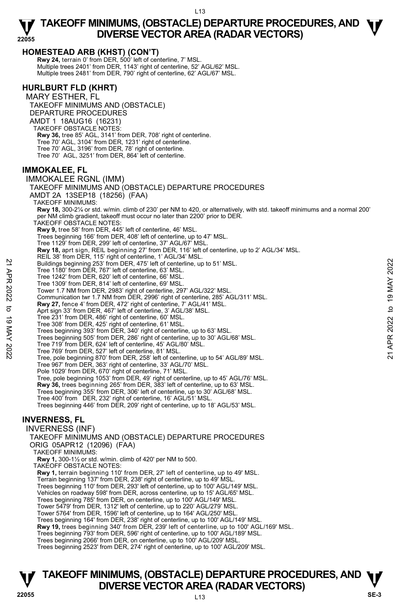#### **HOMESTEAD ARB (KHST) (CON'T)**

**Rwy 24,** terrain 0' from DER, 500' left of centerline, 7' MSL. Multiple trees 2401' from DER, 1143' right of centerline, 52' AGL/62' MSL. Multiple trees 2481' from DER, 790' right of centerline, 62' AGL/67' MSL.

#### **HURLBURT FLD (KHRT)**

MARY ESTHER, FL TAKEOFF MINIMUMS AND (OBSTACLE) DEPARTURE PROCEDURES AMDT 1 18AUG16 (16231) TAKEOFF OBSTACLE NOTES: **Rwy 36,** tree 85' AGL, 3141' from DER, 708' right of centerline. Tree 70' AGL, 3104' from DER, 1231' right of centerline. Tree 70' AGL, 3196' from DER, 78' right of centerline. Tree 70' AGL, 3251' from DER, 864' left of centerline.

#### **IMMOKALEE, FL**

IMMOKALEE RGNL (IMM) TAKEOFF MINIMUMS AND (OBSTACLE) DEPARTURE PROCEDURES AMDT 2A 13SEP18 (18256) (FAA) TAKEOFF MINIMUMS: **Rwy 18,** 300-2¼ or std. w/min. climb of 230' per NM to 420, or alternatively, with std. takeoff minimums and a normal 200' per NM climb gradient, takeoff must occur no later than 2200' prior to DER. TAKEOFF OBSTACLE NOTES: **Rwy 9,** tree 58' from DER, 445' left of centerline, 46' MSL. Trees beginning 166' from DER, 408' left of centerline, up to 47' MSL. Tree 1129' from DER, 299' left of centerline, 37' AGL/67' MSL **Rwy 18,** aprt sign, REIL beginning 27' from DER, 116' left of centerline, up to 2' AGL/34' MSL. REIL 38' from DER, 115' right of centerline, 1' AGL/34' MSL. Buildings beginning 253' from DER, 475' left of centerline, up to 51' MSL. Tree 1180' from DER, 767' left of centerline, 63' MSL. Tree 1242' from DER, 620' left of centerline, 66' MSL. Tree 1309' from DER, 814' left of centerline, 69' MSL. Tower 1.7 NM from DER, 2983' right of centerline, 297' AGL/322' MSL.<br>Communication twr 1.7 NM from DER, 2996' right of centerline, 285' AGL/311' MSL. **Rwy 27,** fence 4' from DER, 472' right of centerline, 7' AGL/41' MSL. Aprt sign 33' from DER, 467' left of centerline, 3' AGL/38' MSL. Tree 231' from DER, 486' right of centerline, 60' MSL. Tree 308' from DER, 425' right of centerline, 61' MSL. Trees beginning 393' from DER, 340' right of centerline, up to 63' MSL. Trees beginning 505' from DER, 286' right of centerline, up to 30' AGL/68' MSL. Tree 719' from DER, 624' left of centerline, 45' AGL/80' MSL. Tree 769' from DER, 527' left of centerline, 81' MSL. Tree, pole beginning 870' from DER, 258' left of centerline, up to 54' AGL/89' MSL. Tree 967' from DER, 363' right of centerline, 33' AGL/70' MSL. Pole 1029' from DER, 670' right of centerline, 71' MSL. Tree, pole beginning 1053' from DER, 49' right of centerline, up to 45' AGL/76' MSL.<br>**Rwy 36,** trees beginning 265' from DER, 383' left of centerline, up to 63' MSL. Trees beginning 355' from DER, 306' left of centerline, up to 30' AGL/68' MSL. Tree 400' from DER, 232' right of centerline, 16' AGL/51' MSL Trees beginning 446' from DER, 209' right of centerline, up to 18' AGL/53' MSL. **INVERNESS, FL**  INVERNESS (INF) TAKEOFF MINIMUMS AND (OBSTACLE) DEPARTURE PROCEDURES ORIG 05APR12 (12096) (FAA) TAKEOFF MINIMUMS: **Rwy 1,** 300-1½ or std. w/min. climb of 420' per NM to 500. TAKEOFF OBSTACLE NOTES: **Rwy 1,** terrain beginning 110' from DER, 27' left of centerline, up to 49' MSL. Terrain beginning 137' from DER, 238' right of centerline, up to 49' MSL. Trees beginning 110' from DER, 293' left of centerline, up to 100' AGL/149' MSL. Vehicles on roadway 598' from DER, across centerline, up to 15' AGL/65' MSL. Trees beginning 785' from DER, on centerline, up to 100' AGL/149' MSL. Tower 5479' from DER, 1312' left of centerline, up to 220' AGL/279' MSL. Tower 5764' from DER, 1596' left of centerline, up to 164' AGL/250' MSL. Trees beginning 164' from DER, 238' right of centerline, up to 100' AGL/149' MSL. **Rwy 19,** trees beginning 340' from DER, 239' left of centerline, up to 100' AGL/169' MSL. Trees beginning 793' from DER, 596' right of centerline, up to 100' AGL/189' MSL. Trees beginning 2066' from DER, on centerline, up to 100' AGL/209' MSL. Trees beginning 2523' from DER, 274' right of centerline, up to 100' AGL/209' MSL. Buildings beginning 253' from DER, 475' left of centerline, up to 51' MSL.<br>
Tree 1242' from DER, 620' left of centerline, 63' MSL.<br>
Tree 1242' from DER, 820' left of centerline, 68' MSL.<br>
Tree 1309' from DER, 2022 iel of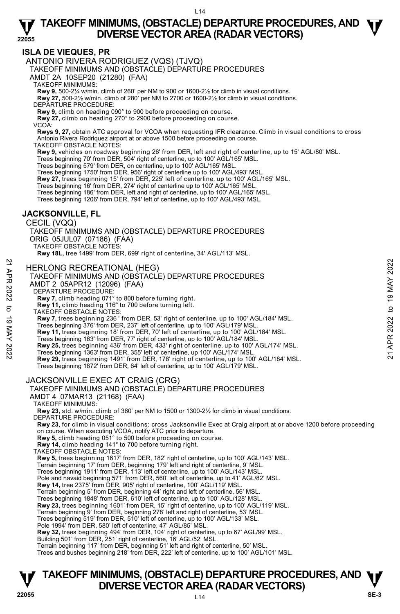#### **ISLA DE VIEQUES, PR**

ANTONIO RIVERA RODRIGUEZ (VQS) (TJVQ)

TAKEOFF MINIMUMS AND (OBSTACLE) DEPARTURE PROCEDURES

AMDT 2A 10SEP20 (21280) (FAA)

TAKEOFF MINIMUMS:

**Rwy 9,** 500-2¼ w/min. climb of 260' per NM to 900 or 1600-2½ for climb in visual conditions. **Rwy 27,** 500-2½ w/min. climb of 280' per NM to 2700 or 1600-2½ for climb in visual conditions.

DEPARTURE PROCEDURE:

**Rwy 9,** climb on heading 090° to 900 before proceeding on course.

**Rwy 27,** climb on heading 270° to 2900 before proceeding on course. VCOA:

**Rwys 9, 27,** obtain ATC approval for VCOA when requesting IFR clearance. Climb in visual conditions to cross Antonio Rivera Rodriquez airport at or above 1500 before proceeding on course.

TAKEOFF OBSTACLE NOTES:

**Rwy 9,** vehicles on roadway beginning 26' from DER, left and right of centerline, up to 15' AGL/80' MSL.

Trees beginning 70' from DER, 504' right of centerline, up to 100' AGL/165' MSL. Trees beginning 579' from DER, on centerline, up to 100' AGL/165' MSL.

Trees beginning 1750' from DER, 956' right of centerline up to 100' AGL/493' MSL.

**Rwy 27,** trees beginning 15' from DER, 225' left of centerline, up to 100' AGL/165' MSL.

Trees beginning 16' from DER, 274' right of centerline up to 100' AGL/165' MSL.

Trees beginning 186' from DER, left and right of centerline, up to 100' AGL/165' MSL.

Trees beginning 1206' from DER, 794' left of centerline, up to 100' AGL/493' MSL.

#### **JACKSONVILLE, FL**

CECIL (VQQ)

TAKEOFF MINIMUMS AND (OBSTACLE) DEPARTURE PROCEDURES ORIG 05JUL07 (07186) (FAA) TAKEOFF OBSTACLE NOTES:

**Rwy 18L,** tree 1499' from DER, 699' right of centerline, 34' AGL/113' MSL.

HERLONG RECREATIONAL (HEG)

# TAKEOFF MINIMUMS AND (OBSTACLE) DEPARTURE PROCEDURES AMDT 2 05APR12 (12096) (FAA) 21 APR 2022 to 19 MAY 202221 APR 2022 to 19 MAY 2022

DEPARTURE PROCEDURE:

**Rwy 7,** climb heading 071° to 800 before turning right.

**Rwy 11,** climb heading 116° to 700 before turning left.

TAKEOFF OBSTACLE NOTES:

**Rwy 7,** trees beginning 236 ' from DER, 53' right of centerline, up to 100' AGL/184' MSL.

Trees beginning 376' from DER, 237' left of centerline, up to 100' AGL/179' MSL.

**Rwy 11,** trees beginning 18' from DER, 70' left of centerline, up to 100' AGL/184' MSL.

Trees beginning 163' from DER, 77' right of centerline, up to 100' AGL/184' MSL.

**Rwy 25,** trees beginning 436' from DER, 433' right of centerline, up to 100' AGL/174' MSL.

Trees beginning 1363' from DER, 355' left of centerline, up 100' AGL/174' MSL.

**Rwy 29,** trees beginning 1491' from DER, 178' right of centerline, up to 100' AGL/184' MSL. Trees beginning 1872' from DER, 64' left of centerline, up to 100' AGL/179' MSL.

#### JACKSONVILLE EXEC AT CRAIG (CRG)

| TAKEOFF MINIMUMS AND (OBSTACLE) DEPARTURE PROCEDURES                                                                                                             |
|------------------------------------------------------------------------------------------------------------------------------------------------------------------|
| AMDT 4 07MAR13 (21168) (FAA)                                                                                                                                     |
| <b>TAKEOFF MINIMUMS:</b>                                                                                                                                         |
| Rwy 23, std. w/min. climb of 360' per NM to 1500 or 1300-2½ for climb in visual conditions.                                                                      |
| DEPARTURE PROCEDURE:                                                                                                                                             |
| Rwy 23, for climb in visual conditions: cross Jacksonville Exec at Craig airport at or above 1200 before proceeding                                              |
| on course. When executing VCOA, notify ATC prior to departure.                                                                                                   |
| <b>Rwy 5,</b> climb heading 051° to 500 before proceeding on course.                                                                                             |
| Rwy 14, climb heading 141° to 700 before turning right.                                                                                                          |
| TAKEOFF OBSTACLE NOTES:                                                                                                                                          |
| Rwy 5, trees beginning 1617' from DER, 182' right of centerline, up to 100' AGL/143' MSL.                                                                        |
| Terrain beginning 17' from DER, beginning 179' left and right of centerline, 9' MSL.                                                                             |
| Trees beginning 1911' from DER, 113' left of centerline, up to 100' AGL/143' MSL.                                                                                |
| Pole and navaid beginning 571' from DER, 560' left of centerline, up to 41' AGL/82' MSL.                                                                         |
| Rwy 14, tree 2375' from DER, 905' right of centerline, 100' AGL/119' MSL.<br>Terrain beginning 5' from DER, beginning 44' right and left of centerline, 56' MSL. |
| Trees beginning 1848' from DER, 610' left of centerline, up to 100' AGL/128' MSL.                                                                                |
| Rwy 23, trees beginning 1601' from DER, 15' right of centerline, up to 100' AGL/119' MSL.                                                                        |
| Terrain beginning 9' from DER, beginning 278' left and right of centerline, 53' MSL.                                                                             |
| Trees beginning 519' from DER, 510' left of centerline, up to 100' AGL/133' MSL.                                                                                 |
| Pole 1994' from DER, 580' left of centerline, 47' AGL/85' MSL.                                                                                                   |
| Rwy 32, trees beginning 494' from DER, 104' right of centerline, up to 67' AGL/99' MSL.                                                                          |
| Building 501' from DER, 251' right of centerline, 16' AGL/52' MSL.                                                                                               |
| Terrain beginning 117' from DER, beginning 51' left and right of centerline, 50' MSL.                                                                            |
| Trees and bushes beginning 218' from DER, 222' left of centerline, up to 100' AGL/101' MSL.                                                                      |
|                                                                                                                                                                  |
|                                                                                                                                                                  |
|                                                                                                                                                                  |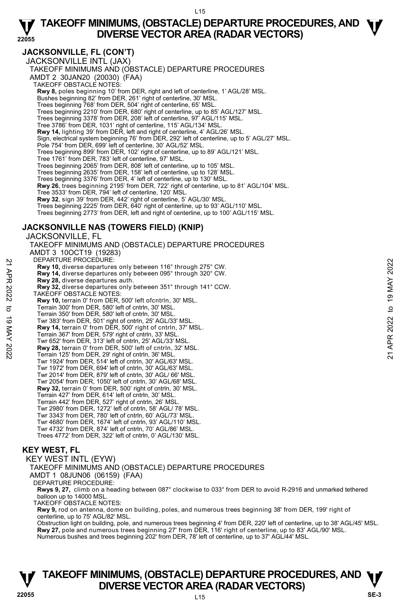**JACKSONVILLE, FL (CON'T)** 

JACKSONVILLE INTL (JAX) TAKEOFF MINIMUMS AND (OBSTACLE) DEPARTURE PROCEDURES AMDT 2 30JAN20 (20030) (FAA) TAKEOFF OBSTACLE NOTES: **Rwy 8,** poles beginning 10' from DER, right and left of centerline, 1' AGL/28' MSL. Bushes beginning 82' from DER, 261' right of centerline, 30' MSL. Trees beginning 768' from DER, 504' right of centerline, 65' MSL. Trees beginning 2210' from DER, 680' right of centerline, up to 85' AGL/127' MSL. Trees beginning 3378' from DER, 208' left of centerline, 97' AGL/115' MSL. Tree 3786' from DER, 1031' right of centerline, 115' AGL/134' MSL. **Rwy 14,** lighting 39' from DER, left and right of centerline, 4' AGL/26' MSL. Sign, electrical system beginning 76' from DER, 292' left of centerline, up to 5' AGL/27' MSL. Pole 754' from DER, 699' left of centerline, 30' AGL/52' MSL. Trees beginning 899' from DER, 102' right of centerline, up to 89' AGL/121' MSL. Tree 1761' from DER, 783' left of centerline, 97' MSL. Trees beginning 2065' from DER, 808' left of centerline, up to 105' MSL. Trees beginning 2635' from DER, 158' left of centerline, up to 128' MSL. Trees beginning 3376' from DER, 4' left of centerline, up to 130' MSL. **Rwy 26**, trees beginning 2195' from DER, 722' right of centerline, up to 81' AGL/104' MSL.<br>Tree 3533' from DER, 794' left of centerline, 120' MSL. **Rwy 32**, sign 39' from DER, 442' right of centerline, 5' AGL/30' MSL. Trees beginning 2225' from DER, 640' right of centerline, up to 93' AGL/110' MSL. Trees beginning 2773' from DER, left and right of centerline, up to 100' AGL/115' MSL.

#### **JACKSONVILLE NAS (TOWERS FIELD) (KNIP)**

JACKSONVILLE, FL

TAKEOFF MINIMUMS AND (OBSTACLE) DEPARTURE PROCEDURES AMDT 3 10OCT19 (19283) DEPARTURE PROCEDURE: **Rwy 10,** diverse departures only between 116° through 275° CW. **Rwy 14,** diverse departures only between 095° through 320° CW. **Rwy 28,** diverse departures auth. **Rwy 32,** diverse departures only between 351° through 141° CCW. TAKEOFF OBSTACLE NOTES: **Rwy 10,** terrain 0' from DER, 500' left ofcntrln, 30' MSL. Terrain 300' from DER, 580' left of cntrln, 30' MSL. Terrain 350' from DER, 580' left of cntrln, 30' MSL. Twr 383' from DER, 501' right of cntrln, 25' AGL/33' MSL. **Rwy 14,** terrain 0' from DER, 500' right of cntrln, 37' MSL. Terrain 367' from DER, 579' right of cntrln, 33' MSL. Twr 652' from DER, 313' left of cntrln, 25' AGL/33' MSL. **Rwy 28,** terrain 0' from DER, 500' left of cntrln, 32' MSL. Terrain 125' from DER, 29' right of cntrln, 36' MSL. Twr 1924' from DER, 514' left of cntrln, 30' AGL/63' MSL. Twr 1972' from DER, 694' left of cntrln, 30' AGL/63' MSL. Twr 2014' from DER, 879' left of cntrln, 30' AGL/ 66' MSL. Twr 2054' from DER, 1050' left of cntrln, 30' AGL/68' MSL. **Rwy 32,** terrain 0' from DER, 500' right of cntrln, 30' MSL. Terrain 427' from DER, 614' left of cntrln, 30' MSL. Terrain 442' from DER, 527' right of cntrln, 26' MSL. Twr 2980' from DER, 1272' left of cntrln, 58' AGL/ 78' MSL. Twr 3343' from DER, 780' left of cntrln, 60' AGL/73' MSL. Twr 4680' from DER, 1674' left of cntrln, 93' AGL/110' MSL. Twr 4732' from DER, 874' left of cntrln, 70' AGL/86' MSL. Trees 4772' from DER, 322' left of cntrln, 0' AGL/130' MSL. **KEY WEST, FL**  22 DEPARTUNE PROCEDUNE:<br> **22 Rwy 10,** diverse departures only between 195° through 320° CW.<br> **23 Rwy 23**, diverse departures auth, between 095° through 320° CW.<br> **23 Rwy 32**, diverse departures only between 351° through 1

KEY WEST INTL (EYW)

TAKEOFF MINIMUMS AND (OBSTACLE) DEPARTURE PROCEDURES

AMDT 1 08JUN06 (06159) (FAA)

DEPARTURE PROCEDURE:

**Rwys 9, 27,** climb on a heading between 087° clockwise to 033° from DER to avoid R-2916 and unmarked tethered balloon up to 14000 MSL.

TAKEOFF OBSTACLE NOTES:

**Rwy 9,** rod on antenna, dome on building, poles, and numerous trees beginning 38' from DER, 199' right of centerline, up to 75' AGL/82' MSL.

Obstruction light on building, pole, and numerous trees beginning 4' from DER, 220' left of centerline, up to 38' AGL/45' MSL. **Rwy 27,** pole and numerous trees beginning 27' from DER, 116' right of centerline, up to 83' AGL/90' MSL.<br>Numerous bushes and trees beginning 202' from DER, 78' left of centerline, up to 37' AGL/44' MSL.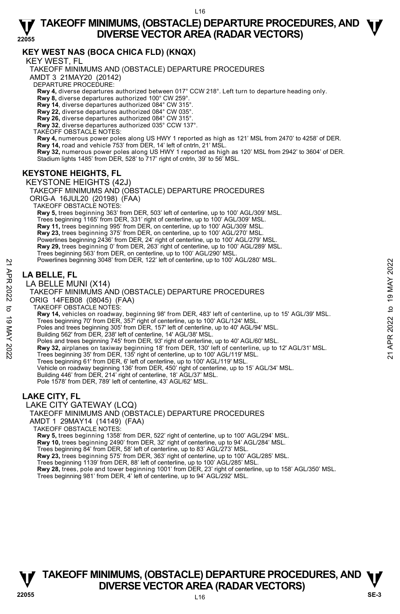#### **KEY WEST NAS (BOCA CHICA FLD) (KNQX)**

KEY WEST, FL

TAKEOFF MINIMUMS AND (OBSTACLE) DEPARTURE PROCEDURES

AMDT 3 21MAY20 (20142)

DEPARTURE PROCEDURE:

**Rwy 4,** diverse departures authorized between 017° CCW 218°. Left turn to departure heading only.

**Rwy 8,** diverse departures authorized 100° CW 259°.

**Rwy 14**, diverse departures authorized 084° CW 315°.

**Rwy 22,** diverse departures authorized 084° CW 035°.

**Rwy 26,** diverse departures authorized 084° CW 315°. **Rwy 32**, diverse departures authorized 035° CCW 137°.

TAKEOFF OBSTACLE NOTES:

**Rwy 4,** numerous power poles along US HWY 1 reported as high as 121' MSL from 2470' to 4258' of DER. **Rwy 14,** road and vehicle 753' from DER, 14' left of cntrln, 21' MSL.

**Rwy 32,** numerous power poles along US HWY 1 reported as high as 120' MSL from 2942' to 3604' of DER. Stadium lights 1485' from DER, 528' to 717' right of cntrln, 39' to 56' MSL.

#### **KEYSTONE HEIGHTS, FL**

KEYSTONE HEIGHTS (42J) TAKEOFF MINIMUMS AND (OBSTACLE) DEPARTURE PROCEDURES ORIG-A 16JUL20 (20198) (FAA) TAKEOFF OBSTACLE NOTES: **Rwy 5,** trees beginning 363' from DER, 503' left of centerline, up to 100' AGL/309' MSL. Trees beginning 1165' from DER, 331' right of centerline, up to 100' AGL/309' MSL. **Rwy 11,** trees beginning 995' from DER, on centerline, up to 100' AGL/309' MSL. **Rwy 23,** trees beginning 375' from DER, on centerline, up to 100' AGL/270' MSL.<br>Powerlines beginning 2436' from DER, 24' right of centerline, up to 100' AGL/279' MSL. **Rwy 29,** trees beginning 0' from DER, 263' right of centerline, up to 100' AGL/289' MSL. Trees beginning 563' from DER, on centerline, up to 100' AGL/290' MSL. Powerlines beginning 3048' from DER, 122' left of centerline, up to 100' AGL/280' MSL. **LA BELLE, FL**  LA BELLE MUNI (X14) TAKEOFF MINIMUMS AND (OBSTACLE) DEPARTURE PROCEDURES ORIG 14FEB08 (08045) (FAA) TAKEOFF OBSTACLE NOTES: **Rwy 14,** vehicles on roadway, beginning 98' from DER, 483' left of centerline, up to 15' AGL/39' MSL. Trees beginning 70' from DER, 357' right of centerline, up to 100' AGL/124' MSL. Poles and trees beginning 305' from DER, 157' left of centerline, up to 40' AGL/94' MSL. Building 562' from DER, 238' left of centerline, 14' AGL/38' MSL. Poles and trees beginning 745' from DER, 93' right of centerline, up to 40' AGL/60' MSL. Powerlines beginning 3048 from DER, 122' left of centerline, up to 100' AGL/280' MSL.<br> **LA BELLE, FL**<br>
LA BELLE MUNI (X14)<br>
TAKEOFF MINIMUMS AND (OBSTACLE) DEPARTURE PROCEDURES<br>
ORIG 14FEB08 (08045) (FAA)<br>
TAKEOFF MINIMUM Trees beginning 61' from DER, 6' left of centerline, up to 100' AGL/119' MSL. Vehicle on roadway beginning 136' from DER, 450' right of centerline, up to 15' AGL/34' MSL.<br>Building 446' from DER, 214' right of centerline, 18' AGL/37' MSL. Pole 1578' from DER, 789' left of centerline, 43' AGL/62' MSL. LAKE CITY GATEWAY (LCQ)

#### **LAKE CITY, FL**

TAKEOFF MINIMUMS AND (OBSTACLE) DEPARTURE PROCEDURES

AMDT 1 29MAY14 (14149) (FAA)

TAKEOFF OBSTACLE NOTES:

**Rwy 5,** trees beginning 1358' from DER, 522' right of centerline, up to 100' AGL/294' MSL.

**Rwy 10,** trees beginning 2490' from DER, 32' right of centerline, up to 94' AGL/284' MSL.

Trees beginning 84' from DER, 58' left of centerline, up to 83' AGL/273' MSL.

**Rwy 23,** trees beginning 575' from DER, 363' right of centerline, up to 100' AGL/285' MSL.

Trees beginning 1139' from DER, 88' left of centerline, up to 100' AGL/285' MSL.<br>**Rwy 28,** trees, pole and tower beginning 1001' from DER, 23' right of centerline, up to 158' AGL/350' MSL.

Trees beginning 981' from DER, 4' left of centerline, up to 94' AGL/292' MSL.

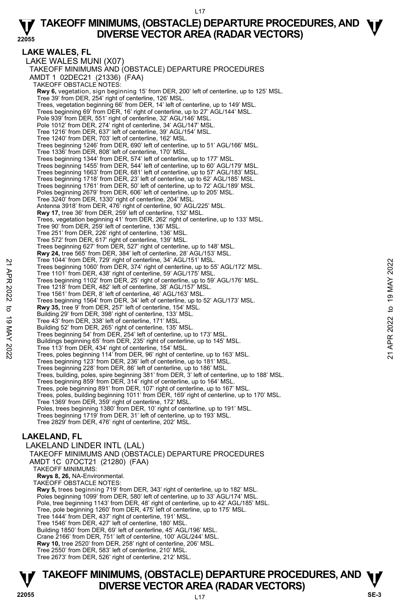**LAKE WALES, FL**  LAKE WALES MUNI (X07) TAKEOFF MINIMUMS AND (OBSTACLE) DEPARTURE PROCEDURES AMDT 1 02DEC21 (21336) (FAA) TAKEOFF OBSTACLE NOTES: **Rwy 6,** vegetation, sign beginning 15' from DER, 200' left of centerline, up to 125' MSL.<br>Tree 39' from DER, 254' right of centerline, 126' MSL. Trees, vegetation beginning 66' from DER, 14' left of centerline, up to 149' MSL. Trees beginning 69' from DER, 16' right of centerline, up to 27' AGL/144' MSL. Pole 939' from DER, 551' right of centerline, 32' AGL/146' MSL Pole 1012' from DER, 274' right of centerline, 34' AGL/147' MSL. Tree 1216' from DER, 637' left of centerline, 39' AGL/154' MSL. Tree 1240' from DER, 703' left of centerline, 162' MSL. Trees beginning 1246' from DER, 690' left of centerline, up to 51' AGL/166' MSL. Tree 1336' from DER, 808' left of centerline, 170' MSL. Trees beginning 1344' from DER, 574' left of centerline, up to 177' MSL. Trees beginning 1455' from DER, 544' left of centerline, up to 60' AGL/179' MSL. Trees beginning 1663' from DER, 681' left of centerline, up to 57' AGL/183' MSL. Trees beginning 1718' from DER, 23' left of centerline, up to 62' AGL/185' MSL. Trees beginning 1761' from DER, 50' left of centerline, up to 72' AGL/189' MSL. Poles beginning 2679' from DER, 606' left of centerline, up to 205' MSL. Tree 3240' from DER, 1330' right of centerline, 204' MSL. Antenna 3918' from DER, 476' right of centerline, 90' AGL/225' MSL. **Rwy 17,** tree 36' from DER, 259' left of centerline, 132' MSL. Trees, vegetation beginning 41' from DER, 262' right of centerline, up to 133' MSL. Tree 90' from DER, 259' left of centerline, 136' MSL. Tree 251' from DER, 226' right of centerline, 136' MSL. Tree 572' from DER, 617' right of centerline, 139' MSL. Trees beginning 627' from DER, 527' right of centerline, up to 148' MSL. **Rwy 24,** tree 565' from DER, 384' left of centerline, 28' AGL/153' MSL. Tree 1044' from DER, 729' right of centerline, 34' AGL/151' MSL. Trees beginning 1060' from DER, 374' right of centerline, up to 55' AGL/172' MSL. Tree 1101' from DER, 438' right of centerline, 59' AGL/175' MSL Trees beginning 1102' from DER, 25' right of centerline, up to 59' AGL/176' MSL. Tree 1218' from DER, 482' left of centerline, 38' AGL/157' MSL. Tree 1561' from DER, 8' left of centerline, 46' AGL/163' MSL. Trees beginning 1564' from DER, 34' left of centerline, up to 52' AGL/173' MSL.<br>**Rwy 35,** tree 9' from DER, 257' left of centerline, 154' MSL. Building 29' from DER, 398' right of centerline, 133' MSL. Tree 43' from DER, 338' left of centerline, 171' MSL. Building 52' from DER, 265' right of centerline, 135' MSL. Trees beginning 54' from DER, 254' left of centerline, up to 173' MSL. Buildings beginning 65' from DER, 235' right of centerline, up to 145' MSL. Tree 113' from DER, 434' right of centerline, 154' MSL. Trees, poles beginning 114' from DER, 96' right of centerline, up to 163' MSL. Trees beginning 123' from DER, 236' left of centerline, up to 181' MSL. Trees beginning 228' from DER, 86' left of centerline, up to 186' MSL. Trees, building, poles, spire beginning 381' from DER, 3' left of centerline, up to 188' MSL. Trees beginning 859' from DER, 314' right of centerline, up to 164' MSL. Trees, pole beginning 891' from DER, 107' right of centerline, up to 167' MSL.<br>Trees, poles, building beginning 1011' from DER, 169' right of centerline, up to 170' MSL. Tree 1369' from DER, 359' right of centerline, 172' MSL. Poles, trees beginning 1380' from DER, 10' right of centerline, up to 191' MSL. Trees beginning 1719' from DER, 31' left of centerline, up to 193' MSL. Tree 2829' from DER, 476' right of centerline, 202' MSL. Tree 1044 from DER, 729 right of centerline, 34 YaiL/151' MSL.<br>
Trees beginning 1060' from DER, 374' right of centerline, up to 55' AGL/172' MSL.<br>
Trees beginning 1060' from DER, 25' right of centerline, up to 59' AGL/176'

### **LAKELAND, FL**

LAKELAND LINDER INTL (LAL) TAKEOFF MINIMUMS AND (OBSTACLE) DEPARTURE PROCEDURES AMDT 1C 07OCT21 (21280) (FAA) TAKEOFF MINIMUMS: **Rwys 8, 26,** NA-Environmental. TAKEOFF OBSTACLE NOTES: **Rwy 5,** trees beginning 719' from DER, 343' right of centerline, up to 182' MSL. Poles beginning 1099' from DER, 580' left of centerline, up to 33' AGL/174' MSL. Pole, tree beginning 1143' from DER, 48' right of centerline, up to 42' AGL/185' MSL. Tree, pole beginning 1260' from DER, 475' left of centerline, up to 175' MSL. Tree 1444' from DER, 437' right of centerline, 191' MSL. Tree 1546' from DER, 427' left of centerline, 180' MSL. Building 1850' from DER, 69' left of centerline, 45' AGL/196' MSL. Crane 2166' from DER, 751' left of centerline, 100' AGL/244' MSL. **Rwy 10,** tree 2520' from DER, 258' right of centerline, 206' MSL. Tree 2550' from DER, 583' left of centerline, 210' MSL. Tree 2673' from DER, 526' right of centerline, 212' MSL.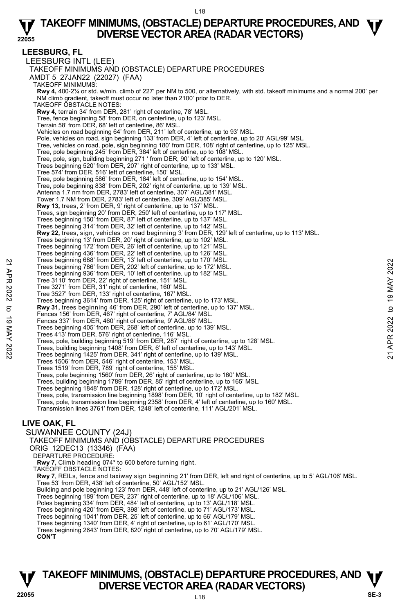**LEESBURG, FL**  LEESBURG INTL (LEE) TAKEOFF MINIMUMS AND (OBSTACLE) DEPARTURE PROCEDURES AMDT 5 27JAN22 (22027) (FAA) TAKEOFF MINIMUMS: **Rwy 4,** 400-2¼ or std. w/min. climb of 227' per NM to 500, or alternatively, with std. takeoff minimums and a normal 200' per NM climb gradient, takeoff must occur no later than 2100' prior to DER. TAKEOFF OBSTACLE NOTES: **Rwy 4,** terrain 34' from DER, 281' right of centerline, 78' MSL. Tree, fence beginning 58' from DER, on centerline, up to 123' MSL. Terrain 58' from DER, 68' left of centerline, 86' MSL. Vehicles on road beginning 64' from DER, 211' left of centerline, up to 93' MSL. Pole, vehicles on road, sign beginning 133' from DER, 4' left of centerline, up to 20' AGL/99' MSL Tree, vehicles on road, pole, sign beginning 180' from DER, 108' right of centerline, up to 125' MSL. Tree, pole beginning 245' from DER, 384' left of centerline, up to 108' MSL. Tree, pole, sign, building beginning 271 ' from DER, 90' left of centerline, up to 120' MSL. Trees beginning 520' from DER, 207' right of centerline, up to 133' MSL. Tree 574' from DER, 516' left of centerline, 150' MSL. Tree, pole beginning 586' from DER, 184' left of centerline, up to 154' MSL. Tree, pole beginning 838' from DER, 202' right of centerline, up to 139' MSL. Antenna 1.7 nm from DER, 2783' left of centerline, 307' AGL/381' MSL. Tower 1.7 NM from DER, 2783' left of centerline, 309' AGL/385' MSL. **Rwy 13,** trees, 2' from DER, 9' right of centerline, up to 137' MSL.<br>Trees, sign beginning 20' from DER, 250' left of centerline, up to 117' MSL. Trees beginning 150' from DER, 87' left of centerline, up to 137' MSL. Trees beginning 314' from DER, 32' left of centerline, up to 142' MSL. **Rwy 22,** trees, sign, vehicles on road beginning 3' from DER, 129' left of centerline, up to 113' MSL.<br>Trees beginning 13' from DER, 20' right of centerline, up to 102' MSL. Trees beginning 172' from DER, 26' left of centerline, up to 121' MSL. Trees beginning 436' from DER, 22' left of centerline, up to 126' MSL. Trees beginning 688' from DER, 13' left of centerline, up to 170' MSL. Trees beginning 786' from DER, 202' left of centerline, up to 172' MSL. Trees beginning 936' from DER, 10' left of centerline, up to 182' MSL. Tree 3110' from DER, 22' right of centerline, 151' MSL. Tree 3271' from DER, 31' right of centerline, 160' MSL. Tree 3527' from DER, 133' right of centerline, 167' MSL. Trees beginning 3614' from DER, 125' right of centerline, up to 173' MSL. **Rwy 31,** trees beginning 46' from DER, 290' left of centerline, up to 137' MSL. Fences 156' from DER, 467' right of centerline, 7' AGL/84' MSL. Fences 337' from DER, 460' right of centerline, 9' AGL/86' MSL. Trees beginning 405' from DER, 268' left of centerline, up to 139' MSL. Trees 413' from DER, 576' right of centerline, 116' MSL. Trees, pole, building beginning 519' from DER, 287' right of centerline, up to 128' MSL. Trees, building beginning 1408' from DER, 6' left of centerline, up to 143' MSL. Trees beginning 1425' from DER, 341' right of centerline, up to 139' MSL. Trees 1506' from DER, 546' right of centerline, 153' MSL. Trees 1519' from DER, 789' right of centerline, 155' MSL. Trees, pole beginning 1560' from DER, 26' right of centerline, up to 160' MSL. Trees, building beginning 1789' from DER, 85' right of centerline, up to 165' MSL. Trees beginning 1848' from DER, 128' right of centerline, up to 172' MSL. Trees, pole, transmission line beginning 1898' from DER, 10' right of centerline, up to 182' MSL. Trees, pole, transmission line beginning 2358' from DER, 4' left of centerline, up to 160' MSL. Transmission lines 3761' from DER, 1248' left of centerline, 111' AGL/201' MSL. **LIVE OAK, FL**  SUWANNEE COUNTY (24J) TAKEOFF MINIMUMS AND (OBSTACLE) DEPARTURE PROCEDURES ORIG 12DEC13 (13346) (FAA) DEPARTURE PROCEDURE: **Rwy 7,** Climb heading 074° to 600 before turning right. TAKEOFF OBSTACLE NOTES: **Rwy 7**, REILs, fence and taxiway sign beginning 21' from DER, left and right of centerline, up to 5' AGL/106' MSL. Trees beginning 688' from DER, 12' lett of centerline, up to 170' MSL.<br>
Trees beginning 786' from DER, 202' left of centerline, up to 172' MSL.<br>
Trees beginning 936' from DER, 10' left of centerline, up to 182' MSL.<br>
Tree

Tree 53' from DER, 438' left of centerline, 50' AGL/152' MSL. Building and pole beginning 123' from DER, 448' left of centerline, up to 21' AGL/126' MSL.

- Trees beginning 189' from DER, 237' right of centerline, up to 18' AGL/106' MSL.
- 
- Poles beginning 334' from DER, 484' left of centerline, up to 13' AGL/118' MSL. Trees beginning 420' from DER, 398' left of centerline, up to 71' AGL/173' MSL.
- Trees beginning 1041' from DER, 25' left of centerline, up to 66' AGL/179' MSL.
- Trees beginning 1340' from DER, 4' right of centerline, up to 61' AGL/170' MSL.

Trees beginning 2643' from DER, 820' right of centerline, up to 70' AGL/179' MSL.

**CON'T**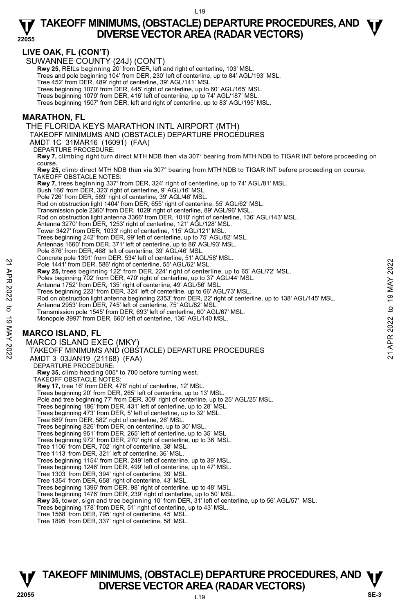**22055** 

#### **LIVE OAK, FL (CON'T)**

SUWANNEE COUNTY (24J) (CON'T)

**Rwy 25**, REILs beginning 20' from DER, left and right of centerline, 103' MSL.<br>Trees and pole beginning 104' from DER, 230' left of centerline, up to 84' AGL/193' MSL.

Tree 452' from DER, 489' right of centerline, 39' AGL/141' MSL.

Trees beginning 1070' from DER, 445' right of centerline, up to 60' AGL/165' MSL. Trees beginning 1079' from DER, 416' left of centerline, up to 74' AGL/187' MSL.

Trees beginning 1507' from DER, left and right of centerline, up to 83' AGL/195' MSL.

#### **MARATHON, FL**

THE FLORIDA KEYS MARATHON INTL AIRPORT (MTH)

TAKEOFF MINIMUMS AND (OBSTACLE) DEPARTURE PROCEDURES

AMDT 1C 31MAR16 (16091) (FAA)

DEPARTURE PROCEDURE:

**Rwy 7,** climbing right turn direct MTH NDB then via 307° bearing from MTH NDB to TIGAR INT before proceeding on course.

**Rwy 25,** climb direct MTH NDB then via 307° bearing from MTH NDB to TIGAR INT before proceeding on course. TAKEOFF OBSTACLE NOTES:

**Rwy 7,** trees beginning 337' from DER, 324' right of centerline, up to 74' AGL/81' MSL.<br>Bush 166' from DER, 323' right of centerline, 9' AGL/16' MSL. Pole 726' from DER, 589' right of centerline, 39' AGL/46' MSL. Rod on obstruction light 1404' from DER, 655' right of centerline, 55' AGL/62' MSL. Transmission pole 2360' from DER, 1029' right of centerline, 89' AGL/96' MSL. Rod on obstruction light antenna 3366' from DER, 1010' right of centerline, 136' AGL/143' MSL. Antenna 3270' from DER, 1253' right of centerline, 121' AGL/128' MSL. Tower 3427' from DER, 1033' right of centerline, 115' AGL/121' MSL. Trees beginning 242' from DER, 99' left of centerline, up to 75' AGL/82' MSL. Antennas 1660' from DER, 371' left of centerline, up to 86' AGL/93' MSL. Pole 876' from DER, 468' left of centerline, 39' AGL/46' MSL. Concrete pole 1391' from DER, 534' left of centerline, 51' AGL/58' MSL. Pole 1441' from DER, 586' right of centerline, 55' AGL/62' MSL. **Rwy 25,** trees beginning 122' from DER, 224' right of centerline, up to 65' AGL/72' MSL. Poles beginning 702' from DER, 470' right of centerline, up to 37' AGL/44' MSL. Antenna 1752' from DER, 135' right of centerline, 49' AGL/56' MSL. Trees beginning 223' from DER, 324' left of centerline, up to 66' AGL/73' MSL. Rod on obstruction light antenna beginning 2353' from DER, 22' right of centerline, up to 138' AGL/145' MSL.<br>Antenna 2953' from DER, 745' left of centerline, 75' AGL/82' MSL. Transmission pole 1545' from DER, 693' left of centerline, 60' AGL/67' MSL. Monopole 3997' from DER, 660' left of centerline, 136' AGL/140 MSL. **MARCO ISLAND, FL**  MARCO ISLAND EXEC (MKY) TAKEOFF MINIMUMS AND (OBSTACLE) DEPARTURE PROCEDURES AMDT 3 03JAN19 (21168) (FAA) DEPARTURE PROCEDURE: **Rwy 35,** climb heading 005° to 700 before turning west. TAKEOFF OBSTACLE NOTES: **Rwy 17,** tree 16' from DER, 478' right of centerline, 12' MSL. Trees beginning 20' from DER, 265' left of centerline, up to 13' MSL. Pole and tree beginning 77' from DER, 309' right of centerline, up to 25' AGL/25' MSL. Trees beginning 186' from DER, 431' left of centerline, up to 28' MSL. Trees beginning 473' from DER, 5' left of centerline, up to 32' MSL. Tree 689' from DER, 582' right of centerline, 26' MSL. Trees beginning 826' from DER, on centerline, up to 30' MSL. Trees beginning 951' from DER, 265' left of centerline, up to 35' MSL. Trees beginning 972' from DER, 270' right of centerline, up to 36' MSL. Tree 1106' from DER, 702' right of centerline, 38' MSL. Tree 1113' from DER, 321' left of centerline, 36' MSL. Trees beginning 1154' from DER, 249' left of centerline, up to 39' MSL. Trees beginning 1246' from DER, 499' left of centerline, up to 47' MSL. Tree 1303' from DER, 394' right of centerline, 39' MSL. Tree 1354' from DER, 658' right of centerline, 43' MSL. Trees beginning 1396' from DER, 98' right of centerline, up to 48' MSL. Trees beginning 1476' from DER, 239' right of centerline, up to 50' MSL. **Rwy 35,** tower, sign and tree beginning 10' from DER, 31' left of centerline, up to 56' AGL/57' MSL. Trees beginning 178' from DER, 51' right of centerline, up to 43' MSL. Tree 1568' from DER, 795' right of centerline, 45' MSL. Tree 1895' from DER, 337' right of centerline, 58' MSL. Pole 1441' from DER, 586' right of centerline, 55' AGL/82' MSL.<br> **21** Pole 1441' from DER, 286' right of centerline, 55' AGL/82' MSL.<br> **22 Rwy 25**, trees beginning 702' from DER, 124' right of centerline, up to 37' AGL/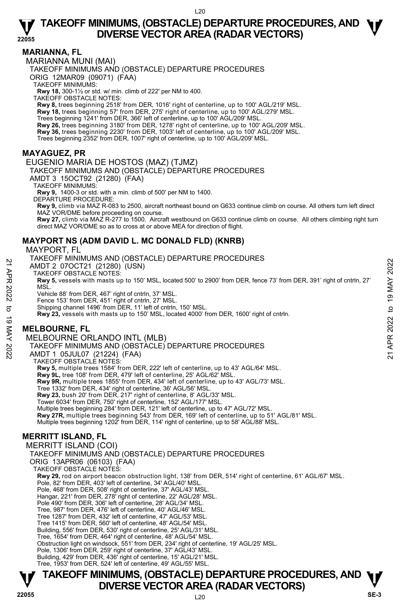#### **MARIANNA, FL**

MARIANNA MUNI (MAI)

TAKEOFF MINIMUMS AND (OBSTACLE) DEPARTURE PROCEDURES

ORIG 12MAR09 (09071) (FAA)

TAKEOFF MINIMUMS:

**Rwy 18,** 300-1½ or std. w/ min. climb of 222' per NM to 400.

TAKEOFF OBSTACLE NOTES:

**Rwy 8,** trees beginning 2518' from DER, 1016' right of centerline, up to 100' AGL/219' MSL. **Rwy 18,** trees beginning 57' from DER, 275' right of centerline, up to 100' AGL/279' MSL.

Trees beginning 1241' from DER, 366' left of centerline, up to 100' AGL/209' MSL.

**Rwy 26,** trees beginning 3180' from DER, 1278' right of centerline, up to 100' AGL/209' MSL.

**Rwy 36,** trees beginning 2230' from DER, 1003' left of centerline, up to 100' AGL/209' MSL.

Trees beginning 2352' from DER, 1007' right of centerline, up to 100' AGL/209' MSL.

#### **MAYAGUEZ, PR**

EUGENIO MARIA DE HOSTOS (MAZ) (TJMZ)

TAKEOFF MINIMUMS AND (OBSTACLE) DEPARTURE PROCEDURES

AMDT 3 15OCT92 (21280) (FAA)

TAKEOFF MINIMUMS:

**Rwy 9,** 1400-3 or std. with a min. climb of 500' per NM to 1400.

DEPARTURE PROCEDURE:

**Rwy 9,** climb via MAZ R-083 to 2500, aircraft northeast bound on G633 continue climb on course. All others turn left direct MAZ VOR/DME before proceeding on course.

**Rwy 27,** climb via MAZ R-277 to 1500. Aircraft westbound on G633 continue climb on course. All others climbing right turn direct MAZ VOR/DME so as to cross at or above MEA for direction of flight.

#### **MAYPORT NS (ADM DAVID L. MC DONALD FLD) (KNRB)**

MAYPORT, FL

TAKEOFF MINIMUMS AND (OBSTACLE) DEPARTURE PROCEDURES

AMDT 2 07OCT21 (21280) (USN)

TAKEOFF OBSTACLE NOTES:

**Rwy 5,** vessels with masts up to 150' MSL, located 500' to 2900' from DER, fence 73' from DER, 391' right of cntrln, 27' MSL. AMDT 2 07OCT21 (21280) (USN)<br>
AMDT 2 07OCT21 (21280) (USN)<br>
TAKEOFF OBSTACLE NOTES:<br>
Rwy 5, vessels with masts up to 150' MSL, located 500' to 2900' from DER, fence 73' from DER, 391' right of cntrin, 27'<br>
MSL.<br>
Wehicle 88

Vehicle 88' from DER, 467' right of cntrln, 37' MSL.

Fence 153' from DER, 451' right of cntrln, 27' MSL.

Shipping channel 1496' from DER, 11' left of cntrln, 150' MSL.

**Rwy 23,** vessels with masts up to 150' MSL, located 4000' from DER, 1600' right of cntrln.

### **MELBOURNE, FL**

MELBOURNE ORLANDO INTL (MLB)

TAKEOFF MINIMUMS AND (OBSTACLE) DEPARTURE PROCEDURES

AMDT 1 05JUL07 (21224) (FAA)

TAKEOFF OBSTACLE NOTES:

**Rwy 5,** multiple trees 1584' from DER, 222' left of centerline, up to 43' AGL/64' MSL.

**Rwy 9L,** tree 108' from DER, 479' left of centerline, 25' AGL/62' MSL.

**Rwy 9R,** multiple trees 1855' from DER, 434' left of centerline, up to 43' AGL/73' MSL.

Tree 1332' from DER, 434' right of centerline, 36' AGL/56' MSL.

**Rwy 23,** bush 20' from DER, 217' right of centerline, 8' AGL/33' MSL.

Tower 6034' from DER, 750' right of centerline, 152' AGL/177' MSL.

Multiple trees beginning 284' from DER, 121' left of centerline, up to 47' AGL/72' MSL.

**Rwy 27R,** multiple trees beginning 543' from DER, 169' left of centerline, up to 51' AGL/81' MSL.<br>Multiple trees beginning 1202' from DER, 114' right of centerline, up to 58' AGL/88' MSL.

### **MERRITT ISLAND, FL**

MERRITT ISLAND (COI) TAKEOFF MINIMUMS AND (OBSTACLE) DEPARTURE PROCEDURES ORIG 13APR06 (06103) (FAA) TAKEOFF OBSTACLE NOTES: **Rwy 29,** rod on airport beacon obstruction light, 138' from DER, 514' right of centerline, 61' AGL/67' MSL. Pole, 82' from DER, 403' left of centerline, 34' AGL/40' MSL. Pole, 468' from DER, 508' right of centerline, 37' AGL/43' MSL. Hangar, 221' from DER, 278' right of centerline, 22' AGL/28' MSL. Pole 490' from DER, 306' left of centerline, 28' AGL/34' MSL. Tree, 987' from DER, 476' left of centerline, 40' AGL/46' MSL. Tree 1287' from DER, 432' left of centerline, 47' AGL/53' MSL. Tree 1415' from DER, 560' left of centerline, 48' AGL/54' MSL. Building, 556' from DER, 530' right of centerline, 25' AGL/31' MSL. Tree, 1654' from DER, 464' right of centerline, 48' AGL/54' MSL. Obstruction light on windsock, 551' from DER, 234' right of centerline, 19' AGL/25' MSL. Pole, 1306' from DER, 259' right of centerline, 37' AGL/43' MSL. Building, 429' from DER, 436' right of centerline, 15' AGL/21' MSL. Tree, 1953' from DER, 524' left of centerline, 49' AGL/55' MSL.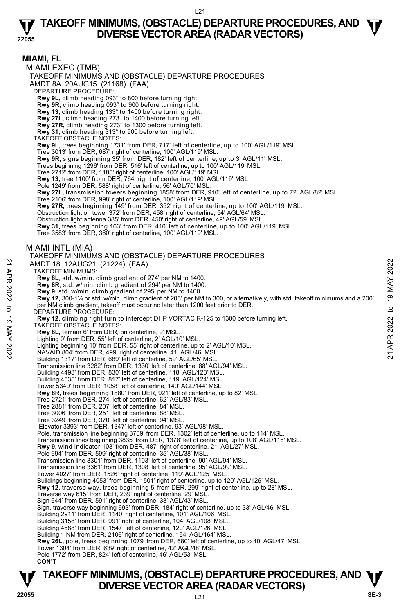

### **TAKEOFF MINIMUMS, (OBSTACLE) DEPARTURE PROCEDURES, AND**  $\Psi$ **V** TAKEOFF MINIMUMS, (OBSTACLE) DEPARTURE PROCEL<br>DIVERSE VECTOR AREA (RADAR VECTORS)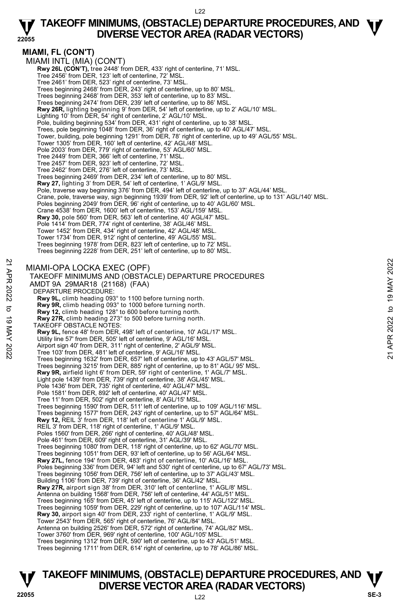**MIAMI, FL (CON'T)**  MIAMI INTL (MIA) (CON'T)  **Rwy 26L (CON'T),** tree 2448' from DER, 433' right of centerline, 71' MSL. Tree 2456' from DER, 123' left of centerline, 72' MSL. Tree 2461' from DER, 523' right of centerline, 73' MSL. Trees beginning 2468' from DER, 243' right of centerline, up to 80' MSL. Trees beginning 2468' from DER, 353' left of centerline, up to 83' MSL. Trees beginning 2474' from DER, 239' left of centerline, up to 86' MSL. **Rwy 26R,** lighting beginning 9' from DER, 54' left of centerline, up to 2' AGL/10' MSL. Lighting 10' from DER, 54' right of centerline, 2' AGL/10' MSL. Pole, building beginning 534' from DER, 431' right of centerline, up to 38' MSL. Trees, pole beginning 1048' from DER, 36' right of centerline, up to 40' AGL/47' MSL. Tower, building, pole beginning 1291' from DER, 78' right of centerline, up to 49' AGL/55' MSL. Tower 1305' from DER, 160' left of centerline, 42' AGL/48' MSL. Pole 2003' from DER, 779' right of centerline, 53' AGL/60' MSL. Tree 2449' from DER, 366' left of centerline, 71' MSL. Tree 2457' from DER, 923' left of centerline, 72' MSL. Tree 2462' from DER, 276' left of centerline, 73' MSL. Trees beginning 2469' from DER, 234' left of centerline, up to 80' MSL. **Rwy 27,** lighting 3' from DER, 54' left of centerline, 1' AGL/9' MSL. Pole, traverse way beginning 376' from DER, 494' left of centerline, up to 37' AGL/44' MSL. Crane, pole, traverse way, sign beginning 1939' from DER, 92' left of centerline, up to 131' AGL/140' MSL. Poles beginning 2049' from DER, 96' right of centerline, up to 40' AGL/60' MSL. Crane 4538' from DER, 1600' left of centerline, 153' AGL/159' MSL. **Rwy 30,** pole 560' from DER, 563' left of centerline, 40' AGL/47' MSL. Pole 1414' from DER, 774' right of centerline, 38' AGL/46' MSL. Tower 1452' from DER, 434' right of centerline, 42' AGL/48' MSL. Tower 1734' from DER, 912' right of centerline, 49' AGL/55' MSL. Trees beginning 1978' from DER, 823' left of centerline, up to 72' MSL. Trees beginning 2228' from DER, 251' left of centerline, up to 80' MSL. MIAMI-OPA LOCKA EXEC (OPF) TAKEOFF MINIMUMS AND (OBSTACLE) DEPARTURE PROCEDURES AMDT 9A 29MAR18 (21168) (FAA) DEPARTURE PROCEDURE: **Rwy 9L,** climb heading 093° to 1100 before turning north. **Rwy 9R,** climb heading 093° to 1000 before turning north. **Rwy 12,** climb heading 128° to 600 before turning north. 27R, climb heading 273° to 500 before turning north. TAKEOFF OBSTACLE NOTES: **Rwy 9L,** fence 48' from DER, 498' left of centerline, 10' AGL/17' MSL. Utility line 57' from DER, 505' left of centerline, 9' AGL/16' MSL. Airport sign 40' from DER, 311' right of centerline, 2' AGL/9' MSL. Tree 103' from DER, 481' left of centerline, 9' AGL/16' MSL. Trees beginning 1632' from DER, 657' left of centerline, up to 43' AGL/57' MSL. Trees beginning 3215' from DER, 885' right of centerline, up to 81' AGL/ 95' MSL. **Rwy 9R,** airfield light 6' from DER, 59' right of centerline, 1' AGL/7' MSL. Light pole 1439' from DER, 739' right of centerline, 38' AGL/45' MSL. Pole 1436' from DER, 735' right of centerline, 40' AGL/47' MSL. Pole 1581' from DER, 892' left of centerline, 40' AGL/47' MSL. Tree 11' from DER, 502' right of centerline, 8' AGL/15' MSL. Trees beginning 1590' from DER, 511' left of centerline, up to 109' AGL/116' MSL. Trees beginning 1577' from DER, 243' right of centerline, up to 57' AGL/64' MSL. **Rwy 12,** REIL 3' from DER, 118' left of centerline 1' AGL/9' MSL. REIL 3' from DER, 118' right of centerline, 1' AGL/9' MSL. Poles 1560' from DER, 266' right of centerline, 40' AGL/48' MSL. Pole 461' from DER, 609' right of centerline, 31' AGL/39' MSL. Trees beginning 1080' from DER, 118' right of centerline, up to 62' AGL/70' MSL. Trees beginning 1051' from DER, 93' left of centerline, up to 56' AGL/64' MSL. **Rwy 27L,** fence 194' from DER, 483' right of centerline, 10' AGL/16' MSL. Poles beginning 336' from DER, 94' left and 530' right of centerline, up to 67' AGL/73' MSL. Trees beginning 1056' from DER, 756' left of centerline, up to 37' AGL/43' MSL. Building 1106' from DER, 739' right of centerline, 36' AGL/42' MSL. **Rwy 27R,** airport sign 38' from DER, 310' left of centerline, 1' AGL/8' MSL. Antenna on building 1568' from DER, 756' left of centerline, 44' AGL/51' MSL. Trees beginning 165' from DER, 45' left of centerline, up to 115' AGL/122' MSL. Trees beginning 1059' from DER, 229' right of centerline, up to 107' AGL/114' MSL.<br>**Rwy 30,** airport sign 40' from DER, 233' right of centerline, 1' AGL/9' MSL. Tower 2543' from DER, 565' right of centerline, 76' AGL/84' MSL. Antenna on building 2526' from DER, 572' right of centerline, 74' AGL/82' MSL. Tower 3760' from DER, 969' right of centerline, 100' AGL/105' MSL. Trees beginning 1312' from DER, 590' left of centerline, up to 43' AGL/51' MSL. Trees beginning 1711' from DER, 614' right of centerline, up to 78' AGL/86' MSL. MIAMI-OPA LOCKA EXEC (OPF)<br>
TAKEOFF MINIMUMS AND (OBSTACLE) DEPARTURE PROCEDURES<br>
22 TAKEOFF MINIMUMS AND (OBSTACLE) DEPARTURE PROCEDURES<br>
22 AMDT 9A 29MAR18 (21168) (FAA)<br>
DEPARTURE PROCEDURE:<br> **RWY 9R**, climb heading 09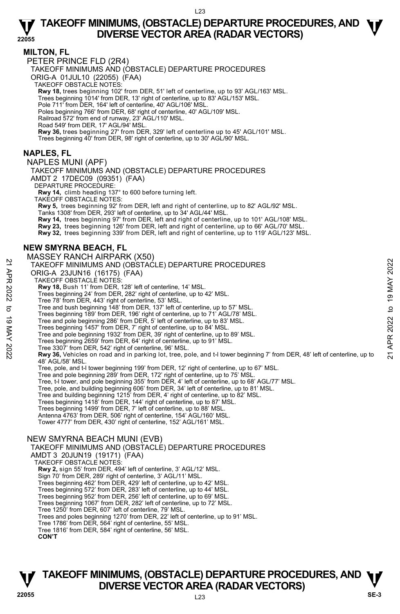#### **MILTON, FL**

PETER PRINCE FLD (2R4)

TAKEOFF MINIMUMS AND (OBSTACLE) DEPARTURE PROCEDURES

ORIG-A 01JUL10 (22055) (FAA)

TAKEOFF OBSTACLE NOTES:

**Rwy 18,** trees beginning 102' from DER, 51' left of centerline, up to 93' AGL/163' MSL.

Trees beginning 1014' from DER, 13' right of centerline, up to 83' AGL/153' MSL.

Pole 711' from DER, 164' left of centerline, 40' AGL/106' MSL.

Poles beginning 766' from DER, 68' right of centerline, 40' AGL/109' MSL.

Railroad 572' from end of runway, 23' AGL/110' MSL. Road 549' from DER, 17' AGL/94' MSL.

**Rwy 36,** trees beginning 27' from DER, 329' left of centerline up to 45' AGL/101' MSL.

Trees beginning 40' from DER, 98' right of centerline, up to 30' AGL/90' MSL.

#### **NAPLES, FL**

NAPLES MUNI (APF) TAKEOFF MINIMUMS AND (OBSTACLE) DEPARTURE PROCEDURES AMDT 2 17DEC09 (09351) (FAA) DEPARTURE PROCEDURE **Rwy 14,** climb heading 137° to 600 before turning left. TAKEOFF OBSTACLE NOTES: **Rwy 5,** trees beginning 92' from DER, left and right of centerline, up to 82' AGL/92' MSL. <br>Tanks 1308' from DER, 293' left of centerline, up to 34' AGL/44' MSL. **Rwy 14,** trees beginning 97' from DER, left and right of centerline, up to 101' AGL/108' MSL. **Rwy 23,** trees beginning 126' from DER, left and right of centerline, up to 66' AGL/70' MSL. **Rwy 32,** trees beginning 339' from DER, left and right of centerline, up to 119' AGL/123' MSL.

#### **NEW SMYRNA BEACH, FL**

#### MASSEY RANCH AIRPARK (X50) TAKEOFF MINIMUMS AND (OBSTACLE) DEPARTURE PROCEDURES ORIG-A 23JUN16 (16175) (FAA) TAKEOFF OBSTACLE NOTES: **Rwy 18,** Bush 11' from DER, 128' left of centerline, 14' MSL. Trees beginning 24' from DER, 282' right of centerline, up to 42' MSL. Tree 78' from DER, 443' right of centerline, 53' MSL. Tree and bush beginning 148' from DER, 137' left of centerline, up to 57' MSL. Trees beginning 189' from DER, 196' right of centerline, up to 71' AGL/78' MSL. Tree and pole beginning 286' from DER, 5' left of centerline, up to 83' MSL. Trees beginning 1457' from DER, 7' right of centerline, up to 84' MSL. Tree and pole beginning 1932' from DER, 39' right of centerline, up to 89' MSL. Trees beginning 2659' from DER, 64' right of centerline, up to 91' MSL. Tree 3307' from DER, 542' right of centerline, 96' MSL. **Rwy 36,** Vehicles on road and in parking lot, tree, pole, and t-l tower beginning 7' from DER, 48' left of centerline, up to 48' AGL/58' MSL. Tree, pole, and t-l tower beginning 199' from DER, 12' right of centerline, up to 67' MSL. Tree and pole beginning 289' from DER, 172' right of centerline, up to 75' MSL. Tree, t-l tower, and pole beginning 355' from DER, 4' left of centerline, up to 68' AGL/77' MSL. Tree, pole, and building beginning 606' from DER, 34' left of centerline, up to 81' MSL. Tree and building beginning 1215' from DER, 4' right of centerline, up to 82' MSL. Trees beginning 1418' from DER, 144' right of centerline, up to 87' MSL. Trees beginning 1499' from DER, 7' left of centerline, up to 88' MSL. Antenna 4763' from DER, 506' right of centerline, 154' AGL/160' MSL. Tower 4777' from DER, 430' right of centerline, 152' AGL/161' MSL. NEW SMYRNA BEACH MUNI (EVB) TAKEOFF MINIMUMS AND (OBSTACLE) DEPARTURE PROCEDURES AMDT 3 20JUN19 (19171) (FAA) TAKEOFF OBSTACLE NOTES: **Rwy 2,** sign 55' from DER, 494' left of centerline, 3' AGL/12' MSL. 21 TAKEOFF MINIMUMS AND (OBSTACLE) DEPARTURE PROCEDURES<br>
22 TAKEOFF MINIMUMS AND (OBSTACLE) DEPARTURE PROCEDURES<br>
22 TAKEOFF MINIMUMS AND (OBSTACLE) FAA)<br>
22 TAKEOFF MINIMUMS AND (OBSTACLE) FOR A 22 THE AT AND TRIVE TO ST

Sign 70' from DER, 289' right of centerline, 3' AGL/11' MSL.

Trees beginning 462' from DER, 429' left of centerline, up to 42' MSL. Trees beginning 572' from DER, 283' left of centerline, up to 44' MSL.

Trees beginning 952' from DER, 256' left of centerline, up to 69' MSL.

Trees beginning 1067' from DER, 282' left of centerline, up to 72' MSL. Tree 1250' from DER, 607' left of centerline, 79' MSL.

Trees and poles beginning 1270' from DER, 22' left of centerline, up to 91' MSL.

Tree 1786' from DER, 564' right of centerline, 55' MSL.

Tree 1816' from DER, 584' right of centerline, 56' MSL.

**CON'T**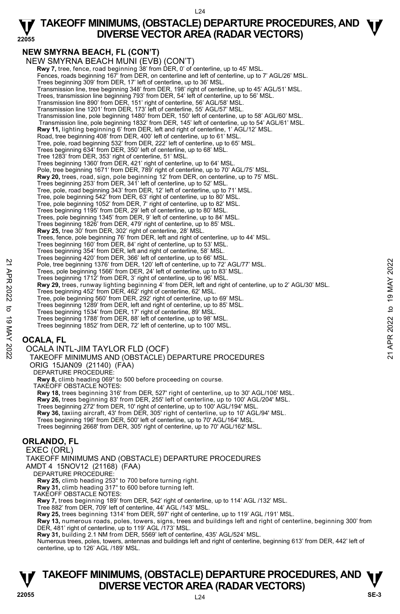#### **22055 TAKEOFF MINIMUMS, (OBSTACLE) DEPARTURE PROCEDURES, AND**  $\Psi$ **DIVERSE VECTOR AREA (RADAR VECTORS)**

### **NEW SMYRNA BEACH, FL (CON'T)**

NEW SMYRNA BEACH MUNI (EVB) (CON'T) **Rwy 7,** tree, fence, road beginning 38' from DER, 0' of centerline, up to 45' MSL.<br>Fences, roads beginning 167' from DER, on centerline and left of centerline, up to 7' AGL/26' MSL. Trees beginning 309' from DER, 17' left of centerline, up to 36' MSL. Transmission line, tree beginning 348' from DER, 198' right of centerline, up to 45' AGL/51' MSL. Trees, transmission line beginning 793' from DER, 54' left of centerline, up to 56' MSL. Transmission line 890' from DER, 151' right of centerline, 56' AGL/58' MSL. Transmission line 1201' from DER, 173' left of centerline, 55' AGL/57' MSL. Transmission line, pole beginning 1480' from DER, 150' left of centerline, up to 58' AGL/60' MSL. Transmission line, pole beginning 1832' from DER, 145' left of centerline, up to 54' AGL/61' MSL. **Rwy 11,** lighting beginning 6' from DER, left and right of centerline, 1' AGL/12' MSL. Road, tree beginning 408' from DER, 400' left of centerline, up to 61' MS Tree, pole, road beginning 532' from DER, 222' left of centerline, up to 65' MSL. Trees beginning 634' from DER, 350' left of centerline, up to 68' MSL. Tree 1283' from DER, 353' right of centerline, 51' MSL. Trees beginning 1360' from DER, 421' right of centerline, up to 64' MSL.<br>Pole, tree beginning 1671' from DER, 789' right of centerline, up to 70' AGL/75' MSL. **Rwy 20,** trees, road, sign, pole beginning 12' from DER, on centerline, up to 75' MSL. Trees beginning 253' from DER, 341' left of centerline, up to 52' MSL. Tree, pole, road beginning 343' from DER, 12' left of centerline, up to 71' MSL. Tree, pole beginning 542' from DER, 63' right of centerline, up to 80' MSL. Tree, pole beginning 1052' from DER, 7' right of centerline, up to 82' MSL. Trees beginning 1195' from DER, 29' left of centerline, up to 80' MSL. Trees, pole beginning 1345' from DER, 9' left of centerline, up to 84' MSL. Trees beginning 1826' from DER, 479' right of centerline, up to 85' MSL. **Rwy 25,** tree 30' from DER, 302' right of centerline, 28' MSL. Trees, fence, pole beginning 76' from DER, left and right of centerline, up to 44' MSL. Trees beginning 160' from DER, 84' right of centerline, up to 53' MSL. Trees beginning 354' from DER, left and right of centerline, 58' MSL. Trees beginning 420' from DER, 366' left of centerline, up to 66' MSL. Pole, tree beginning 1376' from DER, 120' left of centerline, up to 72' AGL/77' MSL. Trees, pole beginning 1566' from DER, 24' left of centerline, up to 83' MSL. Trees beginning 1712' from DER, 3' right of centerline, up to 96' MSL. **Rwy 29,** trees, runway lighting beginning 4' from DER, left and right of centerline, up to 2' AGL/30' MSL. Trees beginning 452' from DER, 462' right of centerline, 62' MSL. Tree, pole beginning 560' from DER, 292' right of centerline, up to 69' MSL. Trees beginning 1289' from DER, left and right of centerline, up to 85' MSL. Trees beginning 1534' from DER, 17' right of centerline, 89' MSL. Trees beginning 1788' from DER, 88' left of centerline, up to 98' MSL. Trees beginning 1852' from DER, 72' left of centerline, up to 100' MSL. **OCALA, FL**  OCALA INTL-JIM TAYLOR FLD (OCF) TAKEOFF MINIMUMS AND (OBSTACLE) DEPARTURE PROCEDURES ORIG 15JAN09 (21140) (FAA) DEPARTURE PROCEDURE **Rwy 8,** climb heading 069° to 500 before proceeding on course. TAKEOFF OBSTACLE NOTES: **Rwy 18,** trees beginning 316' from DER, 527' right of centerline, up to 30' AGL/106' MSL.<br>**Rwy 26,** trees beginning 83' from DER, 255' left of centerline, up to 100' AGL/204' MSL. Trees beginning 272' from DER, 10' right of centerline, up to 100' AGL/194' MSL. **Rwy 36,** taxiing aircraft, 43' from DER, 305' right of centerline, up to 10' AGL/94' MSL. Trees beginning 196' from DER, 500' left of centerline, up to 70' AGL/164' MSL. Trees beginning 2668' from DER, 305' right of centerline, up to 70' AGL/162' MSL. **ORLANDO, FL**  EXEC (ORL) TAKEOFF MINIMUMS AND (OBSTACLE) DEPARTURE PROCEDURES AMDT 4 15NOV12 (21168) (FAA) DEPARTURE PROCEDURE: **Rwy 25,** climb heading 253° to 700 before turning right. **Rwy 31,** climb heading 317° to 600 before turning left. TAKEOFF OBSTACLE NOTES: Pole, tree beginning 136° from DER, 120' left of centerline, up to 22' AGL/77' MSL.<br>
Trees, pole beginning 136° from DER, 24' left of centerline, up to 23' MSL.<br>
Trees beginning 1376' from DER, 24' left of centerline, up t

**Rwy 7,** trees beginning 189' from DER, 542' right of centerline, up to 114' AGL /132' MSL.

Tree 882' from DER, 709' left of centerline, 44' AGL /143' MSL. **Rwy 25,** trees beginning 1314' from DER, 597' right of centerline, up to 119' AGL /191' MSL.

**Rwy 13,** numerous roads, poles, towers, signs, trees and buildings left and right of centerline, beginning 300' from DER, 481' right of centerline, up to 119' AGL /173' MSL.

**Rwy 31,** building 2.1 NM from DER, 5569' left of centerline, 435' AGL/524' MSL.

Numerous trees, poles, towers, antennas and buildings left and right of centerline, beginning 613' from DER, 442' left of centerline, up to 126' AGL /189' MSL.

### **TAKEOFF MINIMUMS, (OBSTACLE) DEPARTURE PROCEDURES, AND**  $\Psi$ **V**<br><sup>22055</sup><br> $^{124}$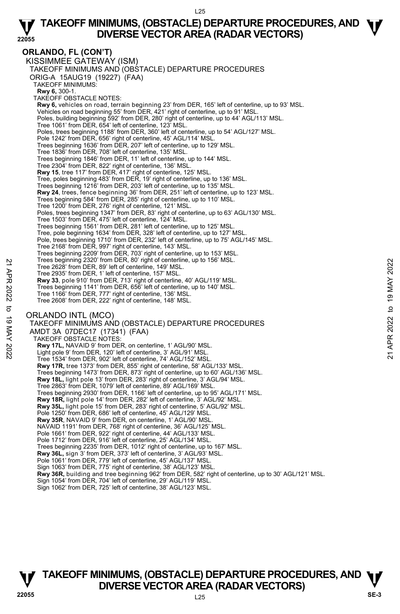**ORLANDO, FL (CON'T)**  KISSIMMEE GATEWAY (ISM) TAKEOFF MINIMUMS AND (OBSTACLE) DEPARTURE PROCEDURES ORIG-A 15AUG19 (19227) (FAA) TAKEOFF MINIMUMS: **Rwy 6,** 300-1. TAKEOFF OBSTACLE NOTES: **Rwy 6,** vehicles on road, terrain beginning 23' from DER, 165' left of centerline, up to 93' MSL. Vehicles on road beginning 55' from DER, 421' right of centerline, up to 91' MSL. Poles, building beginning 592' from DER, 280' right of centerline, up to 44' AGL/113' MSL. Tree 1061' from DER, 654' left of centerline, 123' MSL. Poles, trees beginning 1188' from DER, 360' left of centerline, up to 54' AGL/127' MSL. Pole 1242' from DER, 656' right of centerline, 45' AGL/114' MSL. Trees beginning 1636' from DER, 207' left of centerline, up to 129' MSL. Tree 1836' from DER, 708' left of centerline, 135' MSL. Trees beginning 1846' from DER, 11' left of centerline, up to 144' MSL. Tree 2304' from DER, 822' right of centerline, 136' MSL.  **Rwy 15**, tree 117' from DER, 417' right of centerline, 125' MSL. Tree, poles beginning 483' from DER, 19' right of centerline, up to 136' MSL. Trees beginning 1216' from DER, 203' left of centerline, up to 135' MSL. **Rwy 24**, trees, fence beginning 36' from DER, 251' left of centerline, up to 123' MSL.<br>Trees beginning 584' from DER, 285' right of centerline, up to 110' MSL. Tree 1200' from DER, 276' right of centerline, 121' MSL. Poles, trees beginning 1347' from DER, 83' right of centerline, up to 63' AGL/130' MSL. Tree 1503' from DER, 475' left of centerline, 124' MSL. Trees beginning 1561' from DER, 281' left of centerline, up to 125' MSL. Tree, pole beginning 1634' from DER, 328' left of centerline, up to 127' MSL. Pole, trees beginning 1710' from DER, 232' left of centerline, up to 75' AGL/145' MSL. Tree 2168' from DER, 997' right of centerline, 143' MSL. Trees beginning 2209' from DER, 703' right of centerline, up to 153' MSL. Trees beginning 2320' from DER, 80' right of centerline, up to 156' MSL. Tree 2628' from DER, 89' left of centerline, 149' MSL. Tree 2935' from DER, 1' left of centerline, 157' MSL. **Rwy 33**, pole 910' from DER, 713' right of centerline, 40' AGL/119' MSL. Trees beginning 1141' from DER, 656' left of centerline, up to 140' MSL. Tree 1166' from DER, 777' right of centerline, 136' MSL. Tree 2608' from DER, 222' right of centerline, 148' MSL. ORLANDO INTL (MCO) TAKEOFF MINIMUMS AND (OBSTACLE) DEPARTURE PROCEDURES AMDT 3A 07DEC17 (17341) (FAA) TAKEOFF OBSTACLE NOTES: **Rwy 17L,** NAVAID 9' from DER, on centerline, 1' AGL/90' MSL. Light pole 9' from DER, 120' left of centerline, 3' AGL/91' MSL. Tree 1534' from DER, 902' left of centerline, 74' AGL/152' MSL. **Rwy 17R,** tree 1373' from DER, 855' right of centerline, 58' AGL/133' MSL. Trees beginning 1473' from DER, 873' right of centerline, up to 60' AGL/136' MSL. **Rwy 18L,** light pole 13' from DER, 283' right of centerline, 3' AGL/94' MSL. Tree 2863' from DER, 1079' left of centerline, 89' AGL/169' MSL. Trees beginning 2930' from DER, 1166' left of centerline, up to 95' AGL/171' MSL. **Rwy 18R,** light pole 14' from DER, 282' left of centerline, 3' AGL/92' MSL. **Rwy 35L,** light pole 15' from DER, 283' right of centerline, 5' AGL/92' MSL. Pole 1250' from DER, 686' left of centerline, 45' AGL/129' MSL. **Rwy 35R**, NAVAID 9' from DER, on centerline, 1' AGL/90' MSL. NAVAID 1191' from DER, 768' right of centerline, 36' AGL/125' MSL. Pole 1661' from DER, 922' right of centerline, 44' AGL/133' MSL. Pole 1712' from DER, 916' left of centerline, 25' AGL/134' MSL. Trees beginning 2235' from DER, 1012' right of centerline, up to 167' MSL. **Rwy 36L,** sign 3' from DER, 373' left of centerline, 3' AGL/93' MSL. Pole 1061' from DER, 779' left of centerline, 45' AGL/137' MSL Sign 1063' from DER, 775' right of centerline, 38' AGL/123' MSL. **Rwy 36R,** building and tree beginning 962' from DER, 582' right of centerline, up to 30' AGL/121' MSL. Sign 1054' from DER, 704' left of centerline, 29' AGL/119' MSL. Tree 2628' from DER, 89' left of centerline, 149' MSL.<br>
Tree 2628' from DER, 1' left of centerline, 149' MSL.<br> **21 Tree 2035'** from DER, 1' left of centerline, 157' MSL.<br> **221 Tree 5** Apple 910' from DER, 713' right of cen

Sign 1062' from DER, 725' left of centerline, 38' AGL/123' MSL.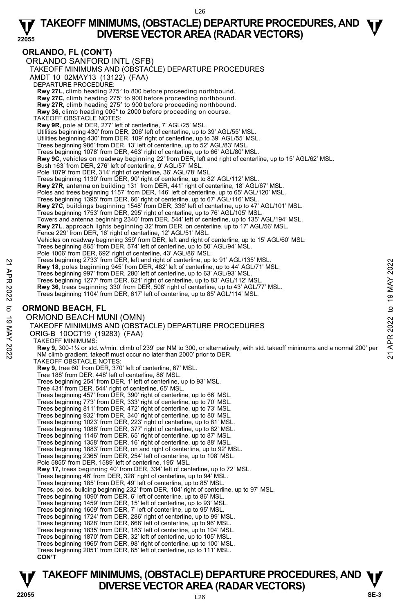**22055 ORLANDO, FL (CON'T)**  ORLANDO SANFORD INTL (SFB) TAKEOFF MINIMUMS AND (OBSTACLE) DEPARTURE PROCEDURES AMDT 10 02MAY13 (13122) (FAA) DEPARTURE PROCEDURE: **Rwy 27L,** climb heading 275° to 800 before proceeding northbound. **Rwy 27C,** climb heading 275° to 900 before proceeding northbound. **Rwy 27R,** climb heading 275° to 900 before proceeding northbound. **Rwy 36,** climb heading 005° to 2000 before proceeding on course. TAKEOFF OBSTACLE NOTES: **Rwy 9R**, pole at DER, 277' left of centerline, 7' AGL/25' MSL. Utilities beginning 430' from DER, 206' left of centerline, up to 39' AGL/55' MSL. Utilities beginning 430' from DER, 109' right of centerline, up to 39' AGL/55' MSL. Trees beginning 986' from DER, 13' left of centerline, up to 52' AGL/83' MSL. Trees beginning 1078' from DER, 463' right of centerline, up to 66' AGL/80' MSL. **Rwy 9C**, vehicles on roadway beginning 22' from DER, left and right of centerline, up to 15' AGL/62' MSL. Bush 163' from DER, 276' left of centerline, 9' AGL/57' MSL. Pole 1079' from DER, 314' right of centerline, 36' AGL/78' MSL. Trees beginning 1130' from DER, 90' right of centerline, up to 82' AGL/112' MSL. **Rwy 27R**, antenna on building 131' from DER, 441' right of centerline, 18' AGL/67' MSL.<br>Poles and trees beginning 1157' from DER, 146' left of centerline, up to 65' AGL/120' MSL.<br>Trees beginning 1395' from DER, 66' right **Rwy 27C**, buildings beginning 1548' from DER, 336' left of centerline, up to 47' AGL/101' MSL.<br>Trees beginning 1753' from DER, 295' right of centerline, up to 76' AGL/105' MSL. Towers and antenna beginning 2340' from DER, 544' left of centerline, up to 135' AGL/194' MSL. **Rwy 27L**, approach lights beginning 32' from DER, on centerline, up to 17' AGL/56' MSL. Fence 229' from DER, 16' right of centerline, 12' AGL/51' MSL. Vehicles on roadway beginning 359' from DER, left and right of centerline, up to 15' AGL/60' MSL. Trees beginning 865' from DER, 574' left of centerline, up to 50' AGL/94' MSL. Pole 1006' from DER, 692' right of centerline, 43' AGL/86' MSL. Trees beginning 2733' from DER, left and right of centerline, up to 91' AGL/135' MSL. **Rwy 18**, poles beginning 945' from DER, 482' left of centerline, up to 44' AGL/71' MSL. Trees beginning 997' from DER, 280' left of centerline, up to 63' AGL/93' MSL. Trees beginning 1277' from DER, 621' right of centerline, up to 83' AGL/112' MSL. **Rwy 36**, trees beginning 330' from DER, 508' right of centerline, up to 43' AGL/77' MSL. Trees beginning 1104' from DER, 617' left of centerline, up to 85' AGL/114' MSL. **ORMOND BEACH, FL**  ORMOND BEACH MUNI (OMN) TAKEOFF MINIMUMS AND (OBSTACLE) DEPARTURE PROCEDURES ORIG-B 10OCT19 (19283) (FAA) TAKEOFF MINIMUMS: Trees beginning 2433 from DER, 482 left of centerline, up to 44' AGL/131'MSL.<br>The set beginning 945' from DER, 482' left of centerline, up to 44' AGL/13' MSL.<br>Trees beginning 1977' from DER, 280' left of centerline, up to TAKEOFF OBSTACLE NOTES: **Rwy 9,** tree 60' from DER, 370' left of centerline, 67' MSL. Tree 188' from DER, 448' left of centerline, 86' MSL. Trees beginning 254' from DER, 1' left of centerline, up to 93' MSL. Tree 431' from DER, 544' right of centerline, 65' MSL. Trees beginning 457' from DER, 390' right of centerline, up to 66' MSL. Trees beginning 773' from DER, 333' right of centerline, up to 70' MSL. Trees beginning 811' from DER, 472' right of centerline, up to 73' MSL. Trees beginning 932' from DER, 340' right of centerline, up to 80' MSL. Trees beginning 1023' from DER, 223' right of centerline, up to 81' MSL. Trees beginning 1088' from DER, 377' right of centerline, up to 82' MSL. Trees beginning 1146' from DER, 65' right of centerline, up to 87' MSL. Trees beginning 1358' from DER, 16' right of centerline, up to 88' MSL. Trees beginning 1883' from DER, on and right of centerline, up to 92' MSL. Trees beginning 2365' from DER, 254' left of centerline, up to 108' MSL. Pole 5855' from DER, 1589' left of centerline, 195' MSL. **Rwy 17,** trees beginning 40' from DER, 334' left of centerline, up to 72' MSL. Trees beginning 46' from DER, 328' right of centerline, up to 94' MSL. Trees beginning 185' from DER, 49' left of centerline, up to 85' MSL. Trees, poles, building beginning 232' from DER, 104' right of centerline, up to 97' MSL. Trees beginning 1090' from DER, 6' left of centerline, up to 86' MSL. Trees beginning 1459' from DER, 15' left of centerline, up to 93' MSL. Trees beginning 1609' from DER, 7' left of centerline, up to 95' MSL. Trees beginning 1724' from DER, 286' right of centerline, up to 99' MSL. Trees beginning 1828' from DER, 668' left of centerline, up to 96' MSL. Trees beginning 1835' from DER, 183' left of centerline, up to 104' MSL. Trees beginning 1870' from DER, 32' left of centerline, up to 105' MSL. Trees beginning 1965' from DER, 98' right of centerline, up to 100' MSL. Trees beginning 2051' from DER, 85' left of centerline, up to 111' MSL. **CON'T**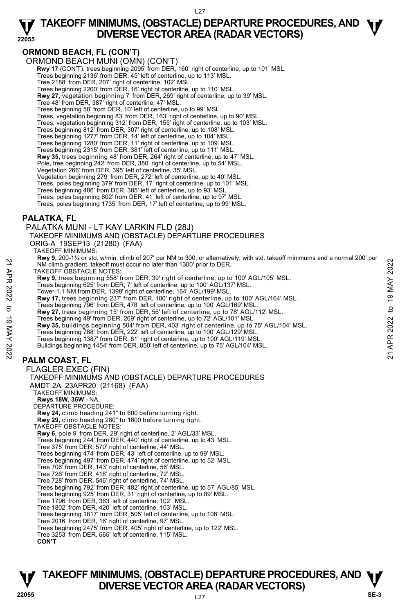#### **ORMOND BEACH, FL (CON'T)**

ORMOND BEACH MUNI (OMN) (CON'T)  **Rwy 17** (CON'T). trees beginning 2095' from DER, 160' right of centerline, up to 101' MSL. Trees beginning 2136' from DER, 45' left of centerline, up to 113' MSL. Tree 2188' from DER, 207' right of centerline, 102' MSL. Trees beginning 2200' from DER, 16' right of centerline, up to 110' MSL. **Rwy 27,** vegetation beginning 7' from DER, 269' right of centerline, up to 39' MSL. Tree 48' from DER, 387' right of centerline, 47' MSL. Trees beginning 58' from DER, 10' left of centerline, up to 99' MSL. Trees, vegetation beginning 83' from DER, 163' right of centerline, up to 90' MSL. Trees, vegetation beginning 312' from DER, 155' right of centerline, up to 103' MSL. Trees beginning 812' from DER, 307' right of centerline, up to 108' MSL. Trees beginning 1277' from DER, 14' left of centerline, up to 104' MSL. Trees beginning 1280' from DER, 11' right of centerline, up to 109' MSL. Trees beginning 2315' from DER, 381' left of centerline, up to 111' MSL. **Rwy 35,** trees beginning 48' from DER, 264' right of centerline, up to 47' MSL. Pole, tree beginning 242' from DER, 380' right of centerline, up to 54' MSL. Vegetation 266' from DER, 395' left of centerline, 35' MSL. Vegetation beginning 279' from DER, 272' left of centerline, up to 40' MSL. Trees, poles beginning 379' from DER, 17' right of centerline, up to 101' MSL. Trees beginning 486' from DER, 385' left of centerline, up to 93' MSL. Trees, poles beginning 602' from DER, 41' left of centerline, up to 97' MSL. Trees, poles beginning 1735' from DER, 17' left of centerline, up to 99' MSL. **PALATKA, FL**  PALATKA MUNI - LT KAY LARKIN FLD (28J) TAKEOFF MINIMUMS AND (OBSTACLE) DEPARTURE PROCEDURES ORIG-A 19SEP13 (21280) (FAA) TAKEOFF MINIMUMS: **Rwy 9,** 200-1¼ or std. w/min. climb of 207' per NM to 300, or alternatively, with std. takeoff minimums and a normal 200' per<br>NM climb gradient, takeoff must occur no later than 1300' prior to DER. TAKEOFF OBSTACLE NOTES: **Rwy 9,** trees beginning 558' from DER, 39' right of centerline, up to 100' AGL/105' MSL.<br>Trees beginning 625' from DER, 7' left of centerline, up to 100' AGL/137' MSL. Tower 1.1 NM from DER, 1398' right of centerline, 164' AGL/199' MSL. **Rwy 17,** trees beginning 237' from DER, 100' right of centerline, up to 100' AGL/164' MSL.<br>Trees beginning 796' from DER, 478' left of centerline, up to 100' AGL/169' MSL. **Rwy 27,** trees beginning 15' from DER, 56' left of centerline, up to 78' AGL/112' MSL. Trees beginning 49' from DER, 269' right of centerline, up to 72' AGL/101' MSL. **Rwy 35,** buildings beginning 504' from DER, 403' right of centerline, up to 75' AGL/104' MSL.<br>Trees beginning 788' from DER, 222' left of centerline, up to 100' AGL/129' MSL. Trees beginning 1387' from DER, 81' right of centerline, up to 100' AGL/119' MSL. Buildings beginning 1454' from DER, 850' left of centerline, up to 75' AGL/104' MSL. **PALM COAST, FL**  FLAGLER EXEC (FIN) TAKEOFF MINIMUMS AND (OBSTACLE) DEPARTURE PROCEDURES AMDT 2A 23APR20 (21168) (FAA) TAKEOFF MINIMUMS: **Rwys 18W, 36W** - NA. DEPARTURE PROCEDURE: **Rwy 24,** climb heading 241° to 600 before turning right. **Rwy 29,** climb heading 280° to 1600 before turning right. TAKEOFF OBSTACLE NOTES: **Rwy 6,** pole 9' from DER, 29' right of centerline, 2' AGL/33' MSL. Trees beginning 244' from DER, 440' right of centerline, up to 43' MSL. Tree 375' from DER, 570' right of centerline, 44' MSL. Trees beginning 474' from DER, 43' left of centerline, up to 99' MSL. Trees beginning 497' from DER, 474' right of centerline, up to 52' MSL. Tree 706' from DER, 143' right of centerline, 56' MSL. Tree 726' from DER, 418' right of centerline, 72' MSL. Tree 728' from DER, 546' right of centerline, 74' MSL. Trees beginning 792' from DER, 482' right of centerline, up to 57' AGL/85' MSL. Trees beginning 925' from DER, 31' right of centerline, up to 89' MSL. Tree 1796' from DER, 363' left of centerline, 102' MSL. Tree 1802' from DER, 420' left of centerline, 103' MSL. Trees beginning 1817' from DER, 505' left of centerline, up to 108' MSL. Tree 2016' from DER, 16' right of centerline, 97' MSL. Trees beginning 2475' from DER, 405' right of centerline, up to 122' MSL. Tree 3253' from DER, 565' left of centerline, 115' MSL. 22 MW climb gradient, takeoff must occur no later than 1300' prior to DER.<br>
22 TAKEOFF OBSTACLE NOTES:<br>
Trees beginning 625' from DER, 79' right of centerline, up to 100' AGL/105' MSL.<br>
Trees beginning 625' from DER, 1398'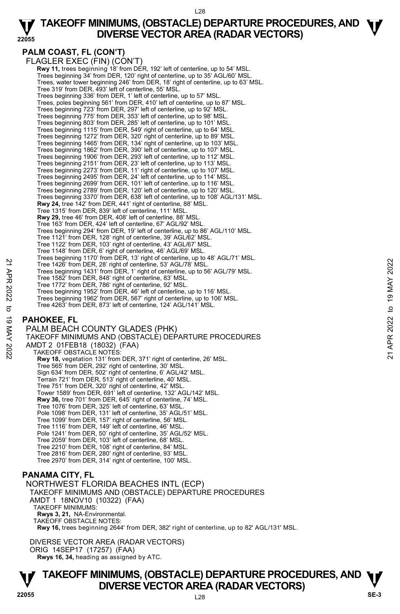#### **22055 TAKEOFF MINIMUMS, (OBSTACLE) DEPARTURE PROCEDURES, AND**  $\Psi$ **DIVERSE VECTOR AREA (RADAR VECTORS)**

#### **PALM COAST, FL (CON'T)**

FLAGLER EXEC (FIN) (CON'T) **Rwy 11, trees beginning 18' from DER, 192' left of centerline, up to 54' MSL.** Trees beginning 34' from DER, 120' right of centerline, up to 35' AGL/60' MSL. Trees, water tower beginning 246' from DER, 18' right of centerline, up to 63' MSL. Tree 319' from DER, 493' left of centerline, 55' MSL. Trees beginning 336' from DER, 1' left of centerline, up to 57' MSL. Trees, poles beginning 561' from DER, 410' left of centerline, up to 87' MSL. Trees beginning 723' from DER, 297' left of centerline, up to 92' MSL. Trees beginning 775' from DER, 353' left of centerline, up to 98' MSL. Trees beginning 803' from DER, 285' left of centerline, up to 101' MSL. Trees beginning 1115' from DER, 549' right of centerline, up to 64' MSL. Trees beginning 1272' from DER, 320' right of centerline, up to 89' MSL. Trees beginning 1465' from DER, 134' right of centerline, up to 103' MSL. Trees beginning 1862' from DER, 390' left of centerline, up to 107' MSL. Trees beginning 1906' from DER, 293' left of centerline, up to 112' MSL. Trees beginning 2151' from DER, 23' left of centerline, up to 113' MSL. Trees beginning 2273' from DER, 11' right of centerline, up to 107' MSL. Trees beginning 2495' from DER, 24' left of centerline, up to 114' MSL. Trees beginning 2699' from DER, 101' left of centerline, up to 116' MSL. Trees beginning 2789' from DER, 120' left of centerline, up to 120' MSL. Trees beginning 3370' from DER, 638' left of centerline, up to 108' AGL/131' MSL. **Rwy 24,** tree 142' from DER, 441' right of centerline, 88' MSL. Tree 1315' from DER, 839' left of centerline, 111' MSL. **Rwy 29,** tree 46' from DER, 408' left of centerline, 88' MSL. Tree 163' from DER, 424' left of centerline, 67' AGL/92' MSL. Trees beginning 294' from DER, 19' left of centerline, up to 86' AGL/110' MSL. Tree 1121' from DER, 128' right of centerline, 39' AGL/62' MSL. Tree 1122' from DER, 103' right of centerline, 43' AGL/67' MSL. Tree 1148' from DER, 6' right of centerline, 46' AGL/69' MSL. Trees beginning 1170' from DER, 13' right of centerline, up to 48' AGL/71' MSL. Tree 1426' from DER, 28' right of centerline, 53' AGL/78' MSL. Trees beginning 1431' from DER, 1' right of centerline, up to 56' AGL/79' MSL. Tree 1582' from DER, 848' right of centerline, 83' MSL. Tree 1772' from DER, 786' right of centerline, 92' MSL. Trees beginning 1952' from DER, 46' left of centerline, up to 116' MSL. Trees beginning 1962' from DER, 567' right of centerline, up to 106' MSL. Tree 4263' from DER, 873' left of centerline, 124' AGL/141' MSL. Tree 1426' from DER, 28' right of centerline, 53' AGL/78' MSL.<br>
Tree 1426' from DER, 28' right of centerline, 53' AGL/78' MSL.<br>
Tree 1582' from DER, 848' right of centerline, 92' MSL.<br>
Tree beginning 1952' from DER, 46' le

#### **PAHOKEE, FL**

PALM BEACH COUNTY GLADES (PHK) TAKEOFF MINIMUMS AND (OBSTACLE) DEPARTURE PROCEDURES AMDT 2 01FEB18 (18032) (FAA) TAKEOFF OBSTACLE NOTES: **Rwy 18,** vegetation 131' from DER, 371' right of centerline, 26' MSL. Tree 565' from DER, 292' right of centerline, 30' MSL. Sign 634' from DER, 502' right of centerline, 6' AGL/42' MSL. Terrain 721' from DER, 513' right of centerline, 40' MSL. Tree 751' from DER, 320' right of centerline, 42' MSL. Tower 1589' from DER, 691' left of centerline, 132' AGL/142' MSL. **Rwy 36,** tree 701' from DER, 645' right of centerline, 74' MSL. Tree 1076' from DER, 325' left of centerline, 63' MSL. Pole 1098' from DER, 131' left of centerline, 35' AGL/51' MSL. Tree 1099' from DER, 157' right of centerline, 56' MSL. Tree 1116' from DER, 149' left of centerline, 46' MSL. Pole 1241' from DER, 50' right of centerline, 35' AGL/52' MSL. Tree 2059' from DER, 103' left of centerline, 68' MSL. Tree 2210' from DER, 108' right of centerline, 84' MSL. Tree 2816' from DER, 280' right of centerline, 93' MSL. Tree 2970' from DER, 314' right of centerline, 100' MSL.

#### **PANAMA CITY, FL**

NORTHWEST FLORIDA BEACHES INTL (ECP) TAKEOFF MINIMUMS AND (OBSTACLE) DEPARTURE PROCEDURES AMDT 1 18NOV10 (10322) (FAA) TAKEOFF MINIMUMS: **Rwys 3, 21,** NA-Environmental. TAKEOFF OBSTACLE NOTES: **Rwy 16,** trees beginning 2644' from DER, 382' right of centerline, up to 82' AGL/131' MSL.

DIVERSE VECTOR AREA (RADAR VECTORS) ORIG 14SEP17 (17257) (FAA)  **Rwys 16, 34,** heading as assigned by ATC.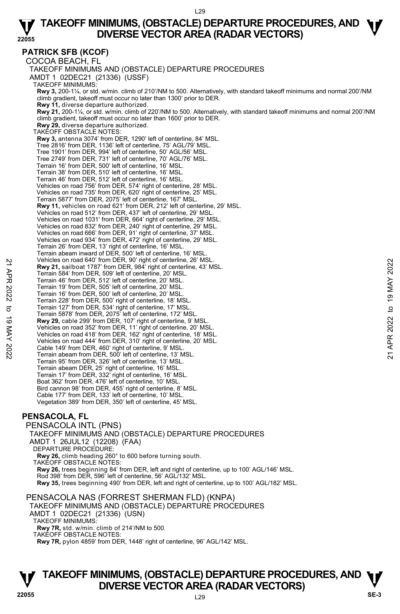**PATRICK SFB (KCOF)**  COCOA BEACH, FL TAKEOFF MINIMUMS AND (OBSTACLE) DEPARTURE PROCEDURES AMDT 1 02DEC21 (21336) (USSF) TAKEOFF MINIMUMS: **Rwy 3,** 200-1¼, or std. w/min. climb of 210'/NM to 500. Alternatively, with standard takeoff minimums and normal 200'/NM climb gradient, takeoff must occur no later than 1300' prior to DER. **Rwy 11,** diverse departure authorized. **Rwy 21,** 200-1¼, or std. w/min. climb of 220'/NM to 500. Alternatively, with standard takeoff minimums and normal 200'/NM climb gradient, takeoff must occur no later than 1600' prior to DER.  **Rwy 29,** diverse departure authorized. TAKEOFF OBSTACLE NOTES: **Rwy 3,** antenna 3074' from DER, 1290' left of centerline, 84' MSL. Tree 2816' from DER, 1136' left of centerline, 75' AGL/79' MSL. Tree 1901' from DER, 994' left of centerline, 50' AGL/56' MSL. Tree 2749' from DER, 731' left of centerline, 70' AGL/76' MSL. Terrain 16' from DER, 500' left of centerline, 16' MSL. Terrain 38' from DER, 510' left of centerline, 16' MSL. Terrain 46' from DER, 512' left of centerline, 16' MSL. Vehicles on road 756' from DER, 574' right of centerline, 28' MSL. Vehicles on road 735' from DER, 620' right of centerline, 25' MSL. Terrain 5877' from DER, 2075' left of centerline, 167' MSL.  **Rwy 11,** vehicles on road 621' from DER, 212' left of centerline, 29' MSL. Vehicles on road 512' from DER, 437' left of centerline, 29' MSL. Vehicles on road 1031' from DER, 664' right of centerline, 29' MSL. Vehicles on road 832' from DER, 240' right of centerline, 29' MSL. Vehicles on road 666' from DER, 91' right of centerline, 37' MSL. Vehicles on road 934' from DER, 472' right of centerline, 29' MSL. Terrain 26' from DER, 13' right of centerline, 16' MSL. Terrain abeam inward of DER, 500' left of centerline, 16' MSL. Vehicles on road 640' from DER, 90' right of centerline, 26' MSL.  **Rwy 21,** sailboat 1787' from DER, 984' right of centerline, 43' MSL. Terrain 584' from DER, 509' left of centerline, 20' MSL. Terrain 46' from DER, 512' left of centerline, 20' MSL. Terrain 19' from DER, 505' left of centerline, 20' MSL. Terrain 16' from DER, 500' left of centerline, 20' MSL. Terrain 228' from DER, 500' right of centerline, 18' MSL. Terrain 127' from DER, 534' right of centerline, 17' MSL. Terrain 5878' from DER, 2075' left of centerline, 172' MSL.  **Rwy 29,** cable 299' from DER, 107' right of centerline, 9' MSL. Vehicles on road 352' from DER, 11' right of centerline, 20' MSL. Vehicles on road 418' from DER, 162' right of centerline, 18' MSL. Vehicles on road 444' from DER, 310' right of centerline, 20' MSL. Cable 149' from DER, 460' right of centerline, 9' MSL. Terrain abeam from DER, 500' left of centerline, 13' MSL. Terrain 95' from DER, 326' left of centerline, 13' MSL. Terrain abeam DER, 25' right of centerline, 16' MSL. Terrain 17' from DER, 332' right of centerline, 16' MSL. Boat 362' from DER, 476' left of centerline, 10' MSL. Bird cannon 98' from DER, 455' right of centerline, 8' MSL. Cable 177' from DER, 133' left of centerline, 10' MSL. Vegetation 389' from DER, 350' left of centerline, 45' MSL. Neuroles on road 540 Trom DER, 904' right of centerline, 20' MSL.<br>
Terrain 584' from DER, 509' left of centerline, 20' MSL.<br>
Terrain 46' from DER, 512' left of centerline, 20' MSL.<br>
Terrain 49' from DER, 512' left of cent

#### **PENSACOLA, FL**

PENSACOLA INTL (PNS) TAKEOFF MINIMUMS AND (OBSTACLE) DEPARTURE PROCEDURES AMDT 1 26JUL12 (12208) (FAA) DEPARTURE PROCEDURE: **Rwy 26,** climb heading 260° to 600 before turning south. TAKEOFF OBSTACLE NOTES: **Rwy 26,** trees beginning 84' from DER, left and right of centerline, up to 100' AGL/146' MSL. Rod 398' from DER, 596' left of centerline, 56' AGL/132' MSL. **Rwy 35,** trees beginning 490' from DER, left and right of centerline, up to 100' AGL/182' MSL.

PENSACOLA NAS (FORREST SHERMAN FLD) (KNPA) TAKEOFF MINIMUMS AND (OBSTACLE) DEPARTURE PROCEDURES AMDT 1 02DEC21 (21336) (USN) TAKEOFF MINIMUMS: **Rwy 7R,** std. w/min. climb of 214'/NM to 500. TAKEOFF OBSTACLE NOTES: **Rwy 7R,** pylon 4859' from DER, 1448' right of centerline, 96' AGL/142' MSL.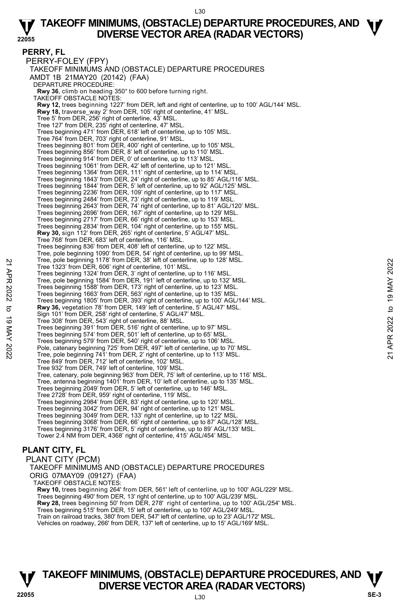**PERRY, FL**  PERRY-FOLEY (FPY) TAKEOFF MINIMUMS AND (OBSTACLE) DEPARTURE PROCEDURES AMDT 1B 21MAY20 (20142) (FAA) DEPARTURE PROCEDURE: **Rwy 36**, climb on heading 350° to 600 before turning right. TAKEOFF OBSTACLE NOTES: **Rwy 12,** trees beginning 1227' from DER, left and right of centerline, up to 100' AGL/144' MSL. **Rwy 18,** traverse\_way 2' from DER, 105' right of centerline, 41' MSL. Tree 5' from DER, 256' right of centerline, 43' MSL. Tree 127' from DER, 235' right of centerline, 47' MSL. Trees beginning 471' from DER, 618' left of centerline, up to 105' MSL. Tree 764' from DER, 703' right of centerline, 91' MSL. Trees beginning 801' from DER, 400' right of centerline, up to 105' MSL. Trees beginning 856' from DER, 8' left of centerline, up to 110' MSL. Trees beginning 914' from DER, 0' of centerline, up to 113' MSL. Trees beginning 1061' from DER, 42' left of centerline, up to 121' MSL. Trees beginning 1364' from DER, 111' right of centerline, up to 114' MSL. Trees beginning 1843' from DER, 24' right of centerline, up to 85' AGL/116' MSL. Trees beginning 1844' from DER, 5' left of centerline, up to 92' AGL/125' MSL.<br>Trees beginning 2236' from DER, 109' right of centerline, up to 117' MSL.<br>Trees beginning 2484' from DER, 73' right of centerline, up to 119' M Trees beginning 2643' from DER, 74' right of centerline, up to 81' AGL/120' MSL. Trees beginning 2696' from DER, 167' right of centerline, up to 129' MSL. Trees beginning 2717' from DER, 66' right of centerline, up to 153' MSL. Trees beginning 2834' from DER, 104' right of centerline, up to 155' MSL. **Rwy 30,** sign 112' from DER, 265' right of centerline, 5' AGL/47' MSL. Tree 768' from DER, 683' left of centerline, 116' MSL. Trees beginning 836' from DER, 408' left of centerline, up to 122' MSL. Tree, pole beginning 1090' from DER, 54' right of centerline, up to 99' MSL. Tree, pole beginning 1178' from DER, 38' left of centerline, up to 128' MSL. Tree 1323' from DER, 606' right of centerline, 101' MSL. Trees beginning 1324' from DER, 3' right of centerline, up to 116' MSL. Tree, pole beginning 1584' from DER, 191' left of centerline, up to 132' MSL. Trees beginning 1588' from DER, 173' right of centerline, up to 123' MSL. Trees beginning 1663' from DER, 563' right of centerline, up to 135' MSL. Trees beginning 1805' from DER, 393' right of centerline, up to 100' AGL/144' MSL.<br>**Rwy 36,** vegetation 78' from DER, 149' left of centerline, 5' AGL/47' MSL. Sign 101' from DER, 258' right of centerline, 5' AGL/47' MSL. Tree 308' from DER, 543' right of centerline, 88' MSL. Trees beginning 391' from DER, 516' right of centerline, up to 97' MSL. Trees beginning 574' from DER, 501' left of centerline, up to 65' MSL. Trees beginning 579' from DER, 540' right of centerline, up to 106' MSL. Pole, catenary beginning 725' from DER, 497' left of centerline, up to 70' MSL. Tree, pole beginning 741' from DER, 2' right of centerline, up to 113' MSL. Tree 849' from DER, 712' left of centerline, 102' MSL. Tree 932' from DER, 749' left of centerline, 109' MSL. Tree, catenary, pole beginning 963' from DER, 75' left of centerline, up to 116' MSL. Tree, antenna beginning 1401' from DER, 10' left of centerline, up to 135' MSL. Trees beginning 2049' from DER, 5' left of centerline, up to 146' MSL. Tree 2728' from DER, 959' right of centerline, 119' MSL. Trees beginning 2984' from DER, 83' right of centerline, up to 120' MSL. Trees beginning 3042' from DER, 94' right of centerline, up to 121' MSL. Trees beginning 3049' from DER, 133' right of centerline, up to 122' MSL Trees beginning 3068' from DER, 66' right of centerline, up to 87' AGL/128' MSL. Trees beginning 3176' from DER, 5' right of centerline, up to 89' AGL/133' MSL. Tower 2.4 NM from DER, 4368' right of centerline, 415' AGL/454' MSL. Tree, pole beginning 11/8 trom DER, 38' eit of centerline, up to 128' MSL.<br>
Tree 1323' from DER, 806' right of centerline, up to 116' MSL.<br>
Tree beginning 1324' from DER, 13' right of centerline, up to 132' MSL.<br>
Trees beg

#### **PLANT CITY, FL**

PLANT CITY (PCM) TAKEOFF MINIMUMS AND (OBSTACLE) DEPARTURE PROCEDURES ORIG 07MAY09 (09127) (FAA) TAKEOFF OBSTACLE NOTES: **Rwy 10,** trees beginning 264' from DER, 561' left of centerline, up to 100' AGL/229' MSL. Trees beginning 490' from DER, 13' right of centerline, up to 100' AGL/239' MSL. **Rwy 28,** trees beginning 50' from DER, 278' right of centerline, up to 100' AGL/254' MSL. Trees beginning 515' from DER, 15' left of centerline, up to 100' AGL/249' MSL. Train on railroad tracks, 380' from DER, 547' left of centerline, up to 23' AGL/172' MSL.

Vehicles on roadway, 266' from DER, 137' left of centerline, up to 15' AGL/169' MSL.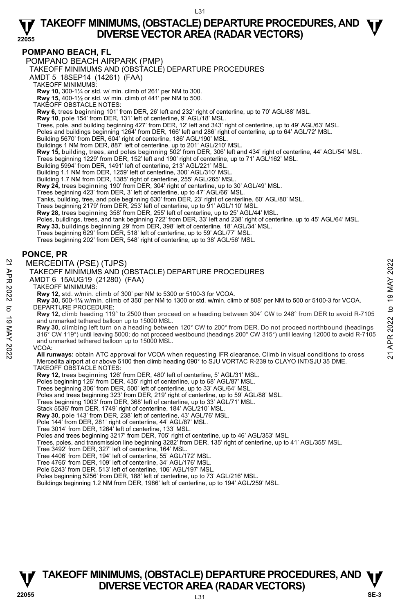#### **POMPANO BEACH, FL**

POMPANO BEACH AIRPARK (PMP)

TAKEOFF MINIMUMS AND (OBSTACLE) DEPARTURE PROCEDURES

AMDT 5 18SEP14 (14261) (FAA)

TAKEOFF MINIMUMS:

**Rwy 10,** 300-1¼ or std. w/ min. climb of 261' per NM to 300. **Rwy 15,** 400-1½ or std. w/ min. climb of 441' per NM to 500.

TAKEOFF OBSTACLE NOTES:

**Rwy 6,** trees beginning 101' from DER, 26' left and 232' right of centerline, up to 70' AGL/88' MSL.

**Rwy 10**, pole 154' from DER, 131' left of centerline, 9' AGL/18' MSL.<br>Trees, pole, and building beginning 427' from DER, 12' left and 343' right of centerline, up to 49' AGL/63' MSL.

Poles and buildings beginning 1264' from DER, 166' left and 286' right of centerline, up to 64' AGL/72' MSL.

Building 5670' from DER, 604' right of centerline, 186' AGL/190' MSL.

Buildings 1 NM from DER, 887' left of centerline, up to 201' AGL/210' MSL.

**Rwy 15,** building, trees, and poles beginning 502' from DER, 306' left and 434' right of centerline, 44' AGL/54' MSL.

Trees beginning 1229' from DER, 152' left and 190' right of centerline, up to 71' AGL/162' MSL.

Building 5994' from DER, 1491' left of centerline, 213' AGL/221' MSL.

Building 1.1 NM from DER, 1259' left of centerline, 300' AGL/310' MSL. Building 1.7 NM from DER, 1385' right of centerline, 255' AGL/265' MSL.

**Rwy 24,** trees beginning 190' from DER, 304' right of centerline, up to 30' AGL/49' MSL. Trees beginning 423' from DER, 3' left of centerline, up to 47' AGL/66' MSL.

Tanks, building, tree, and pole beginning 630' from DER, 23' right of centerline, 60' AGL/80' MSL.

Trees beginning 2179' from DER, 253' left of centerline, up to 91' AGL/110' MSL.

**Rwy 28,** trees beginning 358' from DER, 255' left of centerline, up to 25' AGL/44' MSL.

Poles, buildings, trees, and tank beginning 722' from DER, 33' left and 238' right of centerline, up to 45' AGL/64' MSL.

**Rwy 33,** buildings beginning 29' from DER, 398' left of centerline, 18' AGL/34' MSL.

Trees beginning 629' from DER, 518' left of centerline, up to 59' AGL/77' MSL.

Trees beginning 202' from DER, 548' right of centerline, up to 38' AGL/56' MSL.

#### **PONCE, PR**

#### MERCEDITA (PSE) (TJPS)

TAKEOFF MINIMUMS AND (OBSTACLE) DEPARTURE PROCEDURES

AMDT 6 15AUG19 (21280) (FAA)

TAKEOFF MINIMUMS:

**Rwy 12,** std. w/min. climb of 300' per NM to 5300 or 5100-3 for VCOA.

**Rwy 30,** 500-1**⅛** w/min. climb of 350' per NM to 1300 or std. w/min. climb of 808' per NM to 500 or 5100-3 for VCOA. DEPARTURE PROCEDURE:

**Rwy 12,** climb heading 119° to 2500 then proceed on a heading between 304° CW to 248° from DER to avoid R-7105 and unmarked tethered balloon up to 15000 MSL.

**Rwy 30,** climbing left turn on a heading between 120° CW to 200° from DER. Do not proceed northbound (headings 316° CW 119°) until leaving 5000; do not proceed westbound (headings 200° CW 315°) until leaving 12000 to avoid R-7105 and unmarked tethered balloon up to 15000 MSL. MERCEDITA (PSE) (TJPS)<br>
TAKEOFF MINIMUMS AND (OBSTACLE) DEPARTURE PROCEDURES<br>
AMDT 6 15AUG19 (21280) (FAA)<br>
TAKEOFF MINIMUMS:<br>
TAKEOFF MINIMUMS:<br>
TAKEOFF MINIMUMS:<br>
TAKEOFF MINIMUMS:<br>
TAKEOFF MINIMUMS:<br>
TAKEOFF MINIMUMS:<br>

#### VCOA:

**All runways:** obtain ATC approval for VCOA when requesting IFR clearance. Climb in visual conditions to cross Mercedita airport at or above 5100 then climb heading 090° to SJU VORTAC R-239 to CLAYO INT/SJU 35 DME.

#### TAKEOFF OBSTACLE NOTES:

**Rwy 12,** trees beginning 126' from DER, 480' left of centerline, 5' AGL/31' MSL.

Poles beginning 126' from DER, 435' right of centerline, up to 68' AGL/87' MSL.

Trees beginning 306' from DER, 500' left of centerline, up to 33' AGL/64' MSL.

Poles and trees beginning 323' from DER, 219' right of centerline, up to 59' AGL/88' MSL.

Trees beginning 1003' from DER, 368' left of centerline, up to 33' AGL/71' MSL.

Stack 5536' from DER, 1749' right of centerline, 184' AGL/210' MSL.

**Rwy 30,** pole 143' from DER, 238' left of centerline, 43' AGL/76' MSL.<br>Pole 144' from DER, 281' right of centerline, 44' AGL/87' MSL.

Tree 3014' from DER, 1264' left of centerline, 133' MSL.

Poles and trees beginning 3217' from DER, 705' right of centerline, up to 46' AGL/353' MSL. Trees, poles, and transmission line beginning 3282' from DER, 135' right of centerline, up to 41' AGL/355' MSL.

Tree 3492' from DER, 327' left of centerline, 164' MSL.

Tree 4406' from DER, 194' left of centerline, 55' AGL/172' MSL.

Tree 4765' from DER, 109' left of centerline, 34' AGL/176' MSL. Pole 5243' from DER, 513' left of centerline, 106' AGL/197' MSL.

Poles beginning 5256' from DER, 188' left of centerline, up to 73' AGL/216' MSL.

Buildings beginning 1.2 NM from DER, 1986' left of centerline, up to 194' AGL/259' MSL.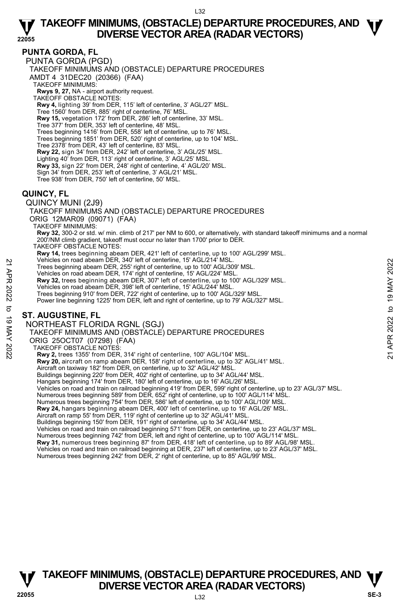#### **PUNTA GORDA, FL**

PUNTA GORDA (PGD) TAKEOFF MINIMUMS AND (OBSTACLE) DEPARTURE PROCEDURES AMDT 4 31DEC20 (20366) (FAA) TAKEOFF MINIMUMS: **Rwys 9, 27,** NA - airport authority request. TAKEOFF OBSTACLE NOTES: **Rwy 4,** lighting 39' from DER, 115' left of centerline, 3' AGL/27' MSL. Tree 1560' from DER, 885' right of centerline, 76' MSL. **Rwy 15,** vegetation 172' from DER, 286' left of centerline, 33' MSL.<br>Tree 377' from DER, 353' left of centerline, 48' MSL. Trees beginning 1416' from DER, 558' left of centerline, up to 76' MSL. Trees beginning 1851' from DER, 520' right of centerline, up to 104' MSL. Tree 2378' from DER, 43' left of centerline, 83' MSL. **Rwy 22,** sign 34' from DER, 242' left of centerline, 3' AGL/25' MSL. Lighting 40' from DER, 113' right of centerline, 3' AGL/25' MSL.<br>**Rwy 33,** sign 22' from DER, 248' right of centerline, 4' AGL/20' MSL. Sign 34' from DER, 253' left of centerline, 3' AGL/21' MSL. Tree 938' from DER, 750' left of centerline, 50' MSL.

#### **QUINCY, FL**

QUINCY MUNI (2J9)

TAKEOFF MINIMUMS AND (OBSTACLE) DEPARTURE PROCEDURES ORIG 12MAR09 (09071) (FAA) TAKEOFF MINIMUMS: **Rwy 32,** 300-2 or std. w/ min. climb of 217' per NM to 600, or alternatively, with standard takeoff minimums and a normal 200'/NM climb gradient, takeoff must occur no later than 1700' prior to DER.

TAKEOFF OBSTACLE NOTES:

**Rwy 14,** trees beginning abeam DER, 421' left of centerline, up to 100' AGL/299' MSL.<br>Vehicles on road abeam DER, 340' left of centerline, 15' AGL/214' MSL.

Trees beginning abeam DER, 255' right of centerline, up to 100' AGL/309' MSL.

Vehicles on road abeam DER, 174' right of centerline, 15' AGL/224' MSL.

**Rwy 32,** trees beginning abeam DER, 307' left of centerline, up to 100' AGL/329' MSL. Precides on road abeam DER, 340' let of centerline, up to 100' AGL/309' MSL.<br>
Trees beginning abeam DER, 355' right of centerline, up to 100' AGL/309' MSL.<br>
Wehicles on road abeam DER, 174' right of centerline, 15' AGL/22

Vehicles on road abeam DER, 398' left of centerline, 15' AGL/244' MSL.

Trees beginning 910' from DER, 722' right of centerline, up to 100' AGL/329' MSL.

Power line beginning 1225' from DER, left and right of centerline, up to 79' AGL/327' MSL.

#### **ST. AUGUSTINE, FL**

NORTHEAST FLORIDA RGNL (SGJ)

TAKEOFF MINIMUMS AND (OBSTACLE) DEPARTURE PROCEDURES

ORIG 25OCT07 (07298) (FAA)

TAKEOFF OBSTACLE NOTES:

**Rwy 2,** trees 1355' from DER, 314' right of centerline, 100' AGL/104' MSL.

**Rwy 20,** aircraft on ramp abeam DER, 158' right of centerline, up to 32' AGL/41' MSL.

Aircraft on taxiway 182' from DER, on centerline, up to 32' AGL/42' MSL. Buildings beginning 220' from DER, 402' right of centerline, up to 34' AGL/44' MSL.

Hangars beginning 174' from DER, 180' left of centerline, up to 16' AGL/26' MSL.

Vehicles on road and train on railroad beginning 419' from DER, 599' right of centerline, up to 23' AGL/37' MSL.

Numerous trees beginning 589' from DER, 652' right of centerline, up to 100' AGL/114' MSL. Numerous trees beginning 754' from DER, 586' left of centerline, up to 100' AGL/109' MSL.

**Rwy 24,** hangars beginning abeam DER, 400' left of centerline, up to 16' AGL/26' MSL.

Aircraft on ramp 55' from DER, 119' right of centerline up to 32' AGL/41' MSL.<br>Buildings beginning 150' from DER, 191' right of centerline, up to 34' AGL/44' MSL.

Vehicles on road and train on railroad beginning 571' from DER, on centerline, up to 23' AGL/37' MSL.

Numerous trees beginning 742' from DER, left and right of centerline, up to 100' AGL/114' MSL.<br>**Rwy 31,** numerous trees beginning 87' from DER, 418' left of centerline, up to 89' AGL/98' MSL.

Vehicles on road and train on railroad beginning at DER, 237' left of centerline, up to 23' AGL/37' MSL.

Numerous trees beginning 242' from DER, 2' right of centerline, up to 85' AGL/99' MSL.

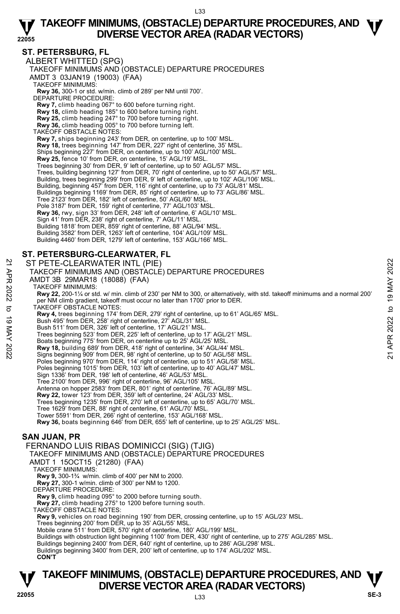#### **ST. PETERSBURG, FL**

ALBERT WHITTED (SPG) TAKEOFF MINIMUMS AND (OBSTACLE) DEPARTURE PROCEDURES AMDT 3 03JAN19 (19003) (FAA) TAKEOFF MINIMUMS: **Rwy 36,** 300-1 or std. w/min. climb of 289' per NM until 700'. DEPARTURE PROCEDURE: **Rwy 7,** climb heading 067° to 600 before turning right. **Rwy 18,** climb heading 185° to 600 before turning right. **Rwy 25,** climb heading 247° to 700 before turning right. **Rwy 36,** climb heading 005° to 700 before turning left. TAKEOFF OBSTACLE NOTES: **Rwy 7,** ships beginning 243' from DER, on centerline, up to 100' MSL. **Rwy 18,** trees beginning 147' from DER, 227' right of centerline, 35' MSL. Ships beginning 227' from DER, on centerline, up to 100' AGL/100' MSL. **Rwy 25,** fence 10' from DER, on centerline, 15' AGL/19' MSL. Trees beginning 30' from DER, 9' left of centerline, up to 50' AGL/57' MSL. Trees, building beginning 127' from DER, 70' right of centerline, up to 50' AGL/57' MSL. Building, trees beginning 299' from DER, 9' left of centerline, up to 102' AGL/106' MSL. Building, beginning 457<sup>°</sup> from DER, 116' right of centerline, up to 73' AGL/81' MSL Buildings beginning 1169' from DER, 85' right of centerline, up to 73' AGL/86' MSL. Tree 2123' from DER, 182' left of centerline, 50' AGL/60' MSL. Pole 3187' from DER, 159' right of centerline, 77' AGL/103' MSL. **Rwy 36,** rwy, sign 33' from DER, 248' left of centerline, 6' AGL/10' MSL. Sign 41' from DER, 238' right of centerline, 7' AGL/11' MSL. Building 1818' from DER, 859' right of centerline, 88' AGL/94' MSL. Building 3582' from DER, 1263' left of centerline, 104' AGL/109' MSL. Building 4460' from DER, 1279' left of centerline, 153' AGL/166' MSL. **ST. PETERSBURG-CLEARWATER, FL**  ST PETE-CLEARWATER INTL (PIE) TAKEOFF MINIMUMS AND (OBSTACLE) DEPARTURE PROCEDURES AMDT 3B 29MAR18 (18088) (FAA) TAKEOFF MINIMUMS: **Rwy 22,** 200-1¼ or std. w/ min. climb of 230' per NM to 300, or alternatively, with std. takeoff minimums and a normal 200' per NM climb gradient, takeoff must occur no later than 1700' prior to DER. TAKEOFF OBSTACLE NOTES: **Rwy 4,** trees beginning 174' from DER, 279' right of centerline, up to 61' AGL/65' MSL. Bush 495' from DER, 258' right of centerline, 27' AGL/31' MSL. Bush 511' from DER, 326' left of centerline, 17' AGL/21' MSL. Trees beginning 523' from DER, 225' left of centerline, up to 17' AGL/21' MSL. Boats beginning 775' from DER, on centerline up to 25' AGL/25' MSL. ST PETE-CLEARWATER INTL (PIE)<br>
TAKEOFF MINIMUMS AND (OBSTACLE) DEPARTURE PROCEDURES<br>
AMDT 3B 29MAR18 (18088) (FAA)<br>
TAKEOFF MINIMUMS:<br>
TAKEOFF MINIMUMS:<br>
New 22, 200-1¼ or std. w/ min. climb of 230' per NM to 300, or alte Poles beginning 970' from DER, 114' right of centerline, up to 51' AGL/58' MSL. Poles beginning 1015' from DER, 103' left of centerline, up to 40' AGL/47' MSL. Sign 1336' from DER, 198' left of centerline, 46' AGL/53' MSL. Tree 2100' from DER, 996' right of centerline, 96' AGL/105' MSL. Antenna on hopper 2583' from DER, 801' right of centerline, 76' AGL/89' MSL. **Rwy 22,** tower 123' from DER, 359' left of centerline, 24' AGL/33' MSL. Trees beginning 1235' from DER, 270' left of centerline, up to 65' AGL/70' MSL. Tree 1629' from DER, 88' right of centerline, 61' AGL/70' MSL. Tower 5591' from DER, 266' right of centerline, 153' AGL/168' MSL.<br>**Rwy 36,** boats beginning 646' from DER, 655' left of centerline, up to 25' AGL/25' MSL. **SAN JUAN, PR**  FERNANDO LUIS RIBAS DOMINICCI (SIG) (TJIG) TAKEOFF MINIMUMS AND (OBSTACLE) DEPARTURE PROCEDURES AMDT 1 15OCT15 (21280) (FAA) TAKEOFF MINIMUMS: **Rwy 9,** 300-1¾ w/min. climb of 400' per NM to 2000. **Rwy 27,** 300-1 w/min. climb of 300' per NM to 1200. DEPARTURE PROCEDURE: **Rwy 9,** climb heading 095° to 2000 before turning south. **Rwy 27,** climb heading 275° to 1200 before turning south. TAKEOFF OBSTACLE NOTES: **Rwy 9,** vehicles on road beginning 190' from DER, crossing centerline, up to 15' AGL/23' MSL. Trees beginning 200' from DER, up to 35' AGL/55' MSL.

Mobile crane 511' from DER, 570' right of centerline, 180' AGL/199' MSL.

Buildings with obstruction light beginning 1100' from DER, 430' right of centerline, up to 275' AGL/285' MSL.<br>Buildings beginning 2400' from DER, 640' right of centerline, up to 286' AGL/298' MSL.

Buildings beginning 3400' from DER, 200' left of centerline, up to 174' AGL/202' MSL.

**CON'T**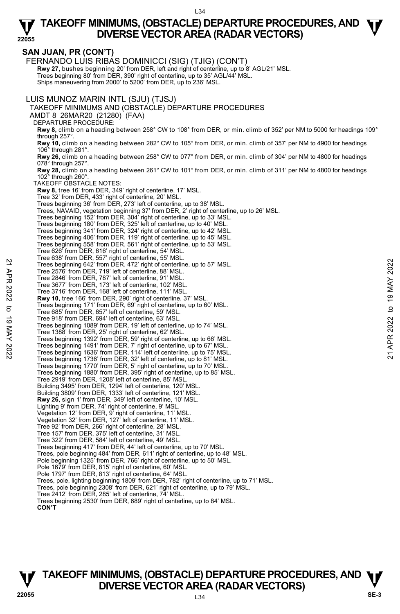### **SAN JUAN, PR (CON'T)**

**22055**  FERNANDO LUIS RIBAS DOMINICCI (SIG) (TJIG) (CON'T) **Rwy 27,** bushes beginning 20' from DER, left and right of centerline, up to 8' AGL/21' MSL.<br>Trees beginning 80' from DER, 390' right of centerline, up to 35' AGL/44' MSL. Ships maneuvering from 2000' to 5200' from DER, up to 236' MSL. LUIS MUNOZ MARIN INTL (SJU) (TJSJ) TAKEOFF MINIMUMS AND (OBSTACLE) DEPARTURE PROCEDURES AMDT 8 26MAR20 (21280) (FAA) DEPARTURE PROCEDURE: **Rwy 8,** climb on a heading between 258° CW to 108° from DER, or min. climb of 352' per NM to 5000 for headings 109° through 257°. **Rwy 10,** climb on a heading between 282° CW to 105° from DER, or min. climb of 357' per NM to 4900 for headings 106° through 281°. **Rwy 26,** climb on a heading between 258° CW to 077° from DER, or min. climb of 304' per NM to 4800 for headings 078° through 257°. **Rwy 28,** climb on a heading between 261° CW to 101° from DER, or min. climb of 311' per NM to 4800 for headings 102° through 260°. TAKEOFF OBSTACLE NOTES: **Rwy 8,** tree 16' from DER, 349' right of centerline, 17' MSL. Tree 32' from DER, 433' right of centerline, 20' MSL. Trees beginning 36' from DER, 273' left of centerline, up to 38' MSL. Trees, NAVAID, vegetation beginning 37' from DER, 2' right of centerline, up to 26' MSL.<br>Trees beginning 152' from DER, 304' right of centerline, up to 33' MSL.<br>Trees beginning 180' from DER, 325' left of centerline, up to Trees beginning 341' from DER, 324' right of centerline, up to 42' MSL.<br>Trees beginning 406' from DER, 119' right of centerline, up to 43' MSL.<br>Trees beginning 558' from DER, 561' right of centerline, up to 53' MSL. Tree 626' from DER, 616' right of centerline, 54' MSL. Tree 638' from DER, 557' right of centerline, 55' MSL. Trees beginning 642' from DER, 472' right of centerline, up to 57' MSL. Tree 2576' from DER, 719' left of centerline, 88' MSL. Tree 2846' from DER, 787' left of centerline, 91' MSL. Tree 3677' from DER, 173' left of centerline, 102' MSL. Tree 3716' from DER, 168' left of centerline, 111' MSL. **Rwy 10,** tree 166' from DER, 290' right of centerline, 37' MSL. Trees beginning 171' from DER, 69' right of centerline, up to 60' MSL. Tree 685' from DER, 657' left of centerline, 59' MSL. Tree 918' from DER, 694' left of centerline, 63' MSL. Trees beginning 1089' from DER, 19' left of centerline, up to 74' MSL. Tree 1388' from DER, 25' right of centerline, 62' MSL. Trees beginning 1392' from DER, 59' right of centerline, up to 66' MSL. Trees beginning 1491' from DER, 7' right of centerline, up to 67' MSL. Trees beginning 1636' from DER, 114' left of centerline, up to 75' MSL. Trees beginning 1736' from DER, 32' left of centerline, up to 81' MSL. Trees beginning 1770' from DER, 5' right of centerline, up to 70' MSL. Trees beginning 1880' from DER, 395' right of centerline, up to 85' MSL. Tree 2919' from DER, 1208' left of centerline, 85' MSL. Building 3495' from DER, 1294' left of centerline, 120' MSL. Building 3809' from DER, 1333' left of centerline, 121' MSL. **Rwy 26,** sign 1' from DER, 349' left of centerline, 10' MSL. Lighting 9' from DER, 74' right of centerline, 9' MSL. Vegetation 12' from DER, 9' right of centerline, 11' MSL. Vegetation 32' from DER, 127' left of centerline, 11' MSL. Tree 92' from DER, 266' right of centerline, 28' MSL. Tree 157' from DER, 375' left of centerline, 31' MSL. Tree 322' from DER, 584' left of centerline, 49' MSL. Trees beginning 417' from DER, 44' left of centerline, up to 70' MSL. Trees, pole beginning 484' from DER, 611' right of centerline, up to 48' MSL. Pole beginning 1325' from DER, 766' right of centerline, up to 50' MSL. Pole 1679' from DER, 815' right of centerline, 60' MSL. Pole 1797' from DER, 813' right of centerline, 64' MSL. Trees, pole, lighting beginning 1809' from DER, 782' right of centerline, up to 71' MSL. Trees, pole beginning 2308' from DER, 621' right of centerline, up to 79' MSL. Tree 2412' from DER, 285' left of centerline, 74' MSL. 22 Tree 2576' from DER, 472' right of centerline, up to 57' MSL.<br>
Tree 2576' from DER, 719' left of centerline, app to 57' MSL.<br>
Tree 2576' from DER, 787' left of centerline, 91' MSL.<br>
Tree 3846' from DER, 787' left of cen

Trees beginning 2530' from DER, 689' right of centerline, up to 84' MSL. **CON'T**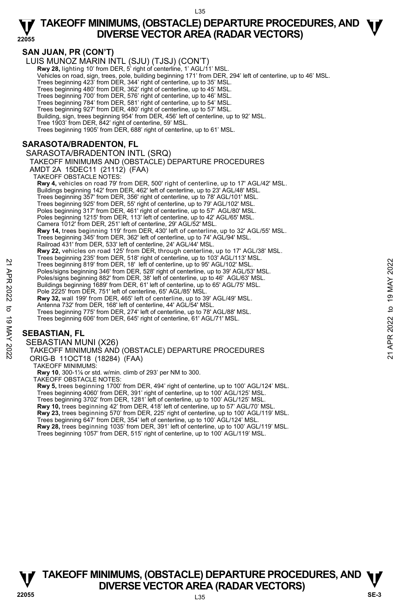#### **22055 TAKEOFF MINIMUMS, (OBSTACLE) DEPARTURE PROCEDURES, AND**  $\Psi$ **DIVERSE VECTOR AREA (RADAR VECTORS)**

### **SAN JUAN, PR (CON'T)**

LUIS MUNOZ MARIN INTL (SJU) (TJSJ) (CON'T)

**Rwy 28, lighting 10' from DER, 5' right of centerline, 1' AGL/11' MSL** 

Vehicles on road, sign, trees, pole, building beginning 171' from DER, 294' left of centerline, up to 46' MSL.

Trees beginning 423' from DER, 344' right of centerline, up to 35' MSL.

Trees beginning 480' from DER, 362' right of centerline, up to 45' MSL.

Trees beginning 700' from DER, 576' right of centerline, up to 46' MSL.

Trees beginning 784' from DER, 581' right of centerline, up to 54' MSL.

Trees beginning 927' from DER, 480' right of centerline, up to 57' MSL.

Building, sign, trees beginning 954' from DER, 456' left of centerline, up to 92' MSL. Tree 1903' from DER, 842' right of centerline, 59' MSL.

Trees beginning 1905' from DER, 688' right of centerline, up to 61' MSL.

#### **SARASOTA/BRADENTON, FL**

SARASOTA/BRADENTON INTL (SRQ)

#### TAKEOFF MINIMUMS AND (OBSTACLE) DEPARTURE PROCEDURES

AMDT 2A 15DEC11 (21112) (FAA)

TAKEOFF OBSTACLE NOTES:

**Rwy 4,** vehicles on road 79' from DER, 500' right of centerline, up to 17' AGL/42' MSL. Buildings beginning 142' from DER, 462' left of centerline, up to 23' AGL/48' MSL. Trees beginning 357' from DER, 356' right of centerline, up to 78' AGL/101' MSL. Trees beginning 925' from DER, 55' right of centerline, up to 79' AGL/102' MSL. Poles beginning 317' from DER, 461' right of centerline, up to 57' AGL/80' MSL. Poles beginning 1215' from DER, 113' left of centerline, up to 42' AGL/65' MSL. Camera 1012' from DER, 251' left of centerline, 29' AGL/52' MSL. **Rwy 14,** trees beginning 119' from DER, 430' left of centerline, up to 32' AGL/55' MSL. Trees beginning 345' from DER, 362' left of centerline, up to 74' AGL/94' MSL. Railroad 431' from DER, 533' left of centerline, 24' AGL/44' MSL. **Rwy 22,** vehicles on road 125' from DER, through centerline, up to 17' AGL/38' MSL. Trees beginning 235' from DER, 518' right of centerline, up to 103' AGL/113' MSL. Trees beginning 819' from DER, 18' left of centerline, up to 95' AGL/102' MSL. Poles/signs beginning 346' from DER, 528' right of centerline, up to 39' AGL/53' MSL. Poles/signs beginning 882' from DER, 38' left of centerline, up to 46' AGL/63' MSL. Buildings beginning 1689' from DER, 61' left of centerline, up to 65' AGL/75' MSL. Pole 2225' from DER, 751' left of centerline, 65' AGL/85' MSL. **Rwy 32,** wall 199' from DER, 465' left of centerline, up to 39' AGL/49' MSL. Antenna 732' from DER, 168' left of centerline, 44' AGL/54' MSL. Trees beginning 775' from DER, 274' left of centerline, up to 78' AGL/88' MSL. Trees beginning 606' from DER, 645' right of centerline, 61' AGL/71' MSL. Trees beginning 819 from DER, 18' left of centerline, up to 95' AGL/102' MSL.<br>
Poles/signs beginning 349' from DER, 52' right of centerline, up to 95' AGL/102' MSL.<br>
Poles/signs beginning 182' from DER, 38' right of center

#### **SEBASTIAN, FL**

SEBASTIAN MUNI (X26)

TAKEOFF MINIMUMS AND (OBSTACLE) DEPARTURE PROCEDURES ORIG-B 11OCT18 (18284) (FAA)

TAKEOFF MINIMUMS:

**Rwy 10**, 300-1⅛ or std. w/min. climb of 293' per NM to 300.

TAKEOFF OBSTACLE NOTES:

**Rwy 5,** trees beginning 1700' from DER, 494' right of centerline, up to 100' AGL/124' MSL. Trees beginning 4060' from DER, 391' right of centerline, up to 100' AGL/125' MSL. Trees beginning 3702' from DER, 1281' left of centerline, up to 100' AGL/125' MSL. **Rwy 10,** trees beginning 42' from DER, 418' left of centerline, up to 57' AGL/70' MSL.

**Rwy 23,** trees beginning 570' from DER, 225' right of centerline, up to 100' AGL/119' MSL.<br>Trees beginning 647' from DER, 354' left of centerline, up to 100' AGL/124' MSL.

**Rwy 28,** trees beginning 1035' from DER, 391' left of centerline, up to 100' AGL/119' MSL. Trees beginning 1057' from DER, 515' right of centerline, up to 100' AGL/119' MSL.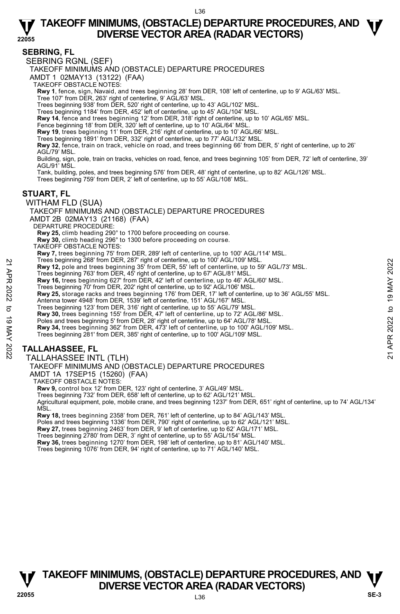#### **SEBRING, FL**

SEBRING RGNL (SEF)

TAKEOFF MINIMUMS AND (OBSTACLE) DEPARTURE PROCEDURES

AMDT 1 02MAY13 (13122) (FAA)

TAKEOFF OBSTACLE NOTES:

**Rwy 1**, fence, sign, Navaid, and trees beginning 28' from DER, 108' left of centerline, up to 9' AGL/63' MSL.

Tree 107' from DER, 263' right of centerline, 9' AGL/63' MSL.

Trees beginning 938' from DER, 520' right of centerline, up to 43' AGL/102' MSL.

Trees beginning 1184' from DER, 452' left of centerline, up to 45' AGL/104' MSL.

**Rwy 14**, fence and trees beginning 12' from DER, 318' right of centerline, up to 10' AGL/65' MSL.<br>Fence beginning 18' from DER, 320' left of centerline, up to 10' AGL/64' MSL.

**Rwy 19**, trees beginning 11' from DER, 216' right of centerline, up to 10' AGL/66' MSL.

Trees beginning 1891' from DER, 332' right of centerline, up to 77' AGL/132' MSL.

**Rwy 32**, fence, train on track, vehicle on road, and trees beginning 66' from DER, 5' right of centerline, up to 26' AGL/79' MSL.

Building, sign, pole, train on tracks, vehicles on road, fence, and trees beginning 105' from DER, 72' left of centerline, 39' AGL/91' MSL.

Tank, building, poles, and trees beginning 576' from DER, 48' right of centerline, up to 82' AGL/126' MSL.

Trees beginning 759' from DER, 2' left of centerline, up to 55' AGL/108' MSL.

#### **STUART, FL**

WITHAM FLD (SUA)

TAKEOFF MINIMUMS AND (OBSTACLE) DEPARTURE PROCEDURES AMDT 2B 02MAY13 (21168) (FAA) DEPARTURE PROCEDURE: **Rwy 25,** climb heading 290° to 1700 before proceeding on course. **Rwy 30,** climb heading 296° to 1300 before proceeding on course.

TAKEOFF OBSTACLE NOTES:

**Rwy 7,** trees beginning 75' from DER, 289' left of centerline, up to 100' AGL/114' MSL.<br>Trees beginning 268' from DER, 287' right of centerline, up to 100' AGL/109' MSL.

**Rwy 12,** pole and trees beginning 35' from DER, 55' left of centerline, up to 59' AGL/73' MSL.

Trees beginning 763' from DER, 45' right of centerline, up to 67' AGL/81' MSL.

**Rwy 16,** trees beginning 627' from DER, 42' left of centerline, up to 46' AGL/60' MSL.

Trees beginning 70' from DER, 202' right of centerline, up to 92' AGL/106' MSL.

**Rwy 25,** storage racks and trees beginning 176' from DER, 17' left of centerline, up to 36' AGL/55' MSL. Frees beginning 269' from DER, 26' right of centerline, up to 100' AGL/109' MSL.<br> **21 Ewy 12**, pole and tress beginning 35' from DER, 55' left of centerline, up to 59' AGL/81' MSL.<br> **221 Evertherical and tress beginni** 

Antenna tower 4948' from DER, 1539' left of centerline, 151' AGL/167' MSL. Trees beginning 123' from DER, 316' right of centerline, up to 55' AGL/79' MSL.

**Rwy 30,** trees beginning 155' from DER, 47' left of centerline, up to 72' AGL/86' MSL.

Poles and trees beginning 5' from DER, 28' right of centerline, up to 64' AGL/78' MSL. **Rwy 34,** trees beginning 362' from DER, 473' left of centerline, up to 100' AGL/109' MSL.

Trees beginning 281' from DER, 385' right of centerline, up to 100' AGL/109' MSL.

**TALLAHASSEE, FL** 

TALLAHASSEE INTL (TLH)

TAKEOFF MINIMUMS AND (OBSTACLE) DEPARTURE PROCEDURES

AMDT 1A 17SEP15 (15260) (FAA)

TAKEOFF OBSTACLE NOTES:

**Rwv 9,** control box 12' from DER, 123' right of centerline, 3' AGL/49' MSL.

Trees beginning 732' from DER, 658' left of centerline, up to 62' AGL/121' MSL.

Agricultural equipment, pole, mobile crane, and trees beginning 1237' from DER, 651' right of centerline, up to 74' AGL/134' MSL.

**Rwy 18,** trees beginning 2358' from DER, 761' left of centerline, up to 84' AGL/143' MSL.<br>Poles and trees beginning 1336' from DER, 790' right of centerline, up to 62' AGL/121' MSL.<br>**Rwy 27,** trees beginning 2463' from DE

Trees beginning 2780' from DER, 3' right of centerline, up to 55' AGL/154' MSL.

**Rwy 36,** trees beginning 1270' from DER, 198' left of centerline, up to 81' AGL/140' MSL.

Trees beginning 1076' from DER, 94' right of centerline, up to 71' AGL/140' MSL.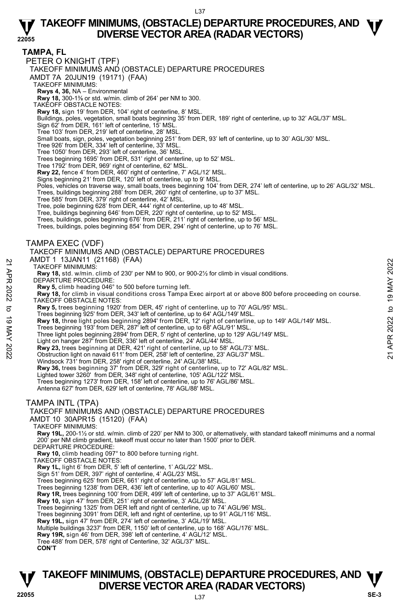**TAMPA, FL** 

PETER O KNIGHT (TPF)

TAKEOFF MINIMUMS AND (OBSTACLE) DEPARTURE PROCEDURES

AMDT 7A 20JUN19 (19171) (FAA)

TAKEOFF MINIMUMS:

**Rwys 4, 36,** NA – Environmental **Rwy 18,** 300-1⅜ or std. w/min. climb of 264' per NM to 300.

TAKEOFF OBSTACLE NOTES:

**Rwy 18,** sign 19' from DER, 104' right of centerline, 8' MSL.

Buildings, poles, vegetation, small boats beginning 35' from DER, 189' right of centerline, up to 32' AGL/37' MSL.<br>Sign 62' from DER, 161' left of centerline, 15' MSL.

Tree 103' from DER, 219' left of centerline, 28' MSL.

Small boats, sign, poles, vegetation beginning 251' from DER, 93' left of centerline, up to 30' AGL/30' MSL. Tree 926' from DER, 334' left of centerline, 33' MSL.

Tree 1050' from DER, 293' left of centerline, 36' MSL.

Trees beginning 1695' from DER, 531' right of centerline, up to 52' MSL.

Tree 1792' from DER, 969' right of centerline, 62' MSL.

**Rwy 22,** fence 4' from DER, 460' right of centerline, 7' AGL/12' MSL.

Signs beginning 21' from DER, 120' left of centerline, up to 9' MSL.

Poles, vehicles on traverse way, small boats, trees beginning 104' from DER, 274' left of centerline, up to 26' AGL/32' MSL.<br>Trees, buildings beginning 288' from DER, 260' right of centerline, up to 37' MSL.

Tree 585' from DER, 379' right of centerline, 42' MSL.

Tree, pole beginning 628' from DER, 444' right of centerline, up to 48' MSL. Tree, buildings beginning 646' from DER, 220' right of centerline, up to 52' MSL.

Trees, buildings, poles beginning 676' from DER, 211' right of centerline, up to 56' MSL.

Trees, buildings, poles beginning 854' from DER, 294' right of centerline, up to 76' MSL.

TAMPA EXEC (VDF)

TAKEOFF MINIMUMS AND (OBSTACLE) DEPARTURE PROCEDURES

AMDT 1 13JAN11 (21168) (FAA)

TAKEOFF MINIMUMS:

**Rwy 18,** std. w/min. climb of 230' per NM to 900, or 900-2½ for climb in visual conditions. DEPARTURE PROCEDURE:

**Rwy 5,** climb heading 046° to 500 before turning left.

**Rwy 18,** for climb in visual conditions cross Tampa Exec airport at or above 800 before proceeding on course. TAKEOFF OBSTACLE NOTES: AND THISDANTI (21100) (FAA)<br>
21 TAKEOFF MINIMUMS:<br> **21** TAKEOFF MINIMUMS:<br> **22** DEPARTURE PROCEDURE:<br> **23** DEPARTURE PROCEDURE:<br> **23** DEPARTURE PROCEDURE:<br> **23** NAV 5, climb hading 046° to 500 before turning left.<br> **23** N

**Rwy 5,** trees beginning 1920' from DER, 45' right of centerline, up to 70' AGL/95' MSL.

Trees beginning 925' from DER, 343' left of centerline, up to 64' AGL/149' MSL.

**Rwy 18,** three light poles beginning 2894' from DER, 12' right of centerline, up to 149' AGL/149' MSL.<br>Trees beginning 193' from DER, 287' left of centerline, up to 68' AGL/91' MSL.

Three light poles beginning 2894' from DER, 5' right of centerline, up to 129' AGL/149' MSL.

Light on hanger 287' from DER, 336' left of centerline, 24' AGL/44' MSL.

**Rwy 23,** trees beginning at DER, 421' right of centerline, up to 58' AGL/73' MSL.<br>Obstruction light on navaid 611' from DER, 258' left of centerline, 23' AGL/37' MSL.

Windsock 731' from DER, 258' right of centerline, 24' AGL/38' MSL.

**Rwy 36,** trees beginning 37' from DER, 329' right of centerline, up to 72' AGL/82' MSL. Lighted tower 3260' from DER, 348' right of centerline, 105' AGL/122' MSL.

Trees beginning 1273' from DER, 158' left of centerline, up to 76' AGL/86' MSL.

Antenna 627' from DER, 629' left of centerline, 78' AGL/88' MSL.

#### TAMPA INTL (TPA)

AMDT 10 30APR15 (15120) (FAA)

TAKEOFF MINIMUMS:

**Rwy 19L,** 200-1½ or std. w/min. climb of 220' per NM to 300, or alternatively, with standard takeoff minimums and a normal 200' per NM climb gradient, takeoff must occur no later than 1500' prior to DER. DEPARTURE PROCEDURE:

**Rwy 10,** climb heading 097° to 800 before turning right.

TAKEOFF OBSTACLE NOTES:

**Rwy 1L,** light 6' from DER, 5' left of centerline, 1' AGL/22' MSL.

Sign 51' from DER, 397' right of centerline, 4' AGL/23' MSL.

Trees beginning 625' from DER, 661' right of centerline, up to 57' AGL/81' MSL.

Trees beginning 1238' from DER, 436' left of centerline, up to 40' AGL/60' MSL

**Rwy 1R,** trees beginning 100' from DER, 499' left of centerline, up to 37' AGL/61' MSL.

**Rwy 10,** sign 47' from DER, 251' right of centerline, 3' AGL/28' MSL.

Trees beginning 1325' from DER left and right of centerline, up to 74' AGL/96' MSL. Trees beginning 3091' from DER, left and right of centerline, up to 91' AGL/116' MSL.

**Rwy 19L,** sign 47' from DER, 274' left of centerline, 3' AGL/19' MSL.

Multiple buildings 3237' from DER, 1150' left of centerline, up to 168' AGL/176' MSL. **Rwy 19R,** sign 46' from DER, 398' left of centerline, 4' AGL/12' MSL.

Tree 488' from DER, 578' right of Centerline, 32' AGL/37' MSL.

**CON'T** 

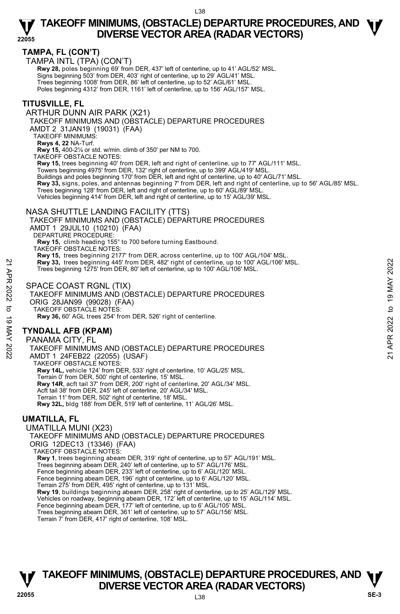#### **TAMPA, FL (CON'T)**

TAMPA INTL (TPA) (CON'T)

Rwy 28, poles beginning 69' from DER, 437' left of centerline, up to 41' AGL/52' MSL. Signs beginning 503' from DER, 403' right of centerline, up to 29' AGL/41' MSL. Trees beginning 1008' from DER, 86' left of centerline, up to 52' AGL/61' MSL. Poles beginning 4312' from DER, 1161' left of centerline, up to 156' AGL/157' MSL.

#### **TITUSVILLE, FL**

ARTHUR DUNN AIR PARK (X21)

TAKEOFF MINIMUMS AND (OBSTACLE) DEPARTURE PROCEDURES

AMDT 2 31JAN19 (19031) (FAA)

TAKEOFF MINIMUMS:

**Rwys 4, 22** NA-Turf.

**Rwy 15,** 400-2¼ or std. w/min. climb of 350' per NM to 700.

TAKEOFF OBSTACLE NOTES:

**Rwy 15,** trees beginning 40' from DER, left and right of centerline, up to 77' AGL/111' MSL.<br>Towers beginning 4975' from DER, 132' right of centerline, up to 399' AGL/419' MSL.

Buildings and poles beginning 170' from DER, left and right of centerline, up to 40' AGL/71' MSL.

**Rwy 33,** signs, poles, and antennas beginning 7' from DER, left and right of centerline, up to 56' AGL/85' MSL.

Trees beginning 128' from DER, left and right of centerline, up to 60' AGL/89' MSL.

Vehicles beginning 414' from DER, left and right of centerline, up to 15' AGL/39' MSL.

#### NASA SHUTTLE LANDING FACILITY (TTS)

#### TAKEOFF MINIMUMS AND (OBSTACLE) DEPARTURE PROCEDURES AMDT 1 29JUL10 (10210) (FAA)

DEPARTURE PROCEDURE:

**Rwy 15,** climb heading 155° to 700 before turning Eastbound. TAKEOFF OBSTACLE NOTES:

**Rwy 15,** trees beginning 2177' from DER, across centerline, up to 100' AGL/104' MSL.

**Rwy 33,** trees beginning 445' from DER, 482' right of centerline, up to 100' AGL/106' MSL.

Trees beginning 1275' from DER, 80' left of centerline, up to 100' AGL/106' MSL.

#### SPACE COAST RGNL (TIX)

TAKEOFF MINIMUMS AND (OBSTACLE) DEPARTURE PROCEDURES ORIG 28JAN99 (99028) (FAA) TAKEOFF OBSTACLE NOTES: **Rwy 36,** 60' AGL trees 254' from DER, 526' right of centerline. **EVALUATE:**<br> **EVALUATE:**<br>
Trees beginning 1275' from DER, 482' right of centerline, up to 100' AGL/106' MSL.<br>
Trees beginning 1275' from DER, 80' left of centerline, up to 100' AGL/106' MSL.<br>
SPACE COAST RGNL (TIX)<br>
TAKEO

### **TYNDALL AFB (KPAM)**

PANAMA CITY, FL TAKEOFF MINIMUMS AND (OBSTACLE) DEPARTURE PROCEDURES AMDT 1 24FEB22 (22055) (USAF) TAKEOFF OBSTACLE NOTES: **Rwy 14L,** vehicle 124' from DER, 533' right of centerline, 10' AGL/25' MSL. Terrain 0' from DER, 500' right of centerline, 15' MSL. **Rwy 14R**, acft tail 37' from DER, 200' right of centerline, 20' AGL/34' MSL. Acft tail 38' from DER, 245' left of centerline, 20' AGL/34' MSL. Terrain 11' from DER, 502' right of centerline, 18' MSL. **Rwy 32L,** bldg 188' from DER, 519' left of centerline, 11' AGL/26' MSL.

#### **UMATILLA, FL**

UMATILLA MUNI (X23) TAKEOFF MINIMUMS AND (OBSTACLE) DEPARTURE PROCEDURES ORIG 12DEC13 (13346) (FAA) TAKEOFF OBSTACLE NOTES: **Rwy 1**, trees beginning abeam DER, 319' right of centerline, up to 57' AGL/191' MSL. Trees beginning abeam DER, 240' left of centerline, up to 57' AGL/176' MSL. Fence beginning abeam DER, 233' left of centerline, up to 6' AGL/120' MSL. Fence beginning abeam DER, 196' right of centerline, up to 6' AGL/120' MSL. Terrain 275' from DER, 495' right of centerline, up to 131' MSL. **Rwy 19**, buildings beginning abeam DER, 258' right of centerline, up to 25' AGL/129' MSL. Vehicles on roadway, beginning abeam DER, 172' left of centerline, up to 15' AGL/114' MSL. Fence beginning abeam DER, 177' left of centerline, up to 6' AGL/105' MSL. Trees beginning abeam DER, 361' left of centerline, up to 57' AGL/156' MSL.

#### Terrain 7' from DER, 417' right of centerline, 108' MSL.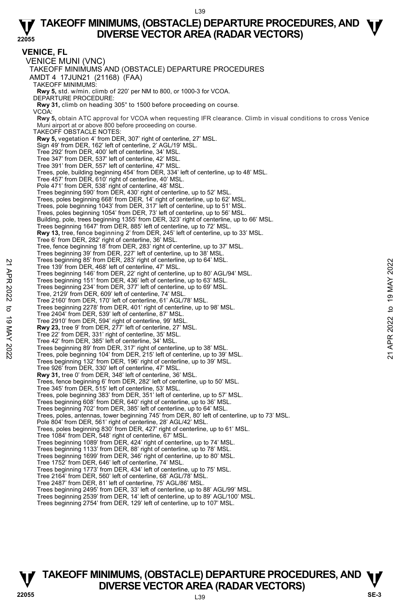#### **22055 TAKEOFF MINIMUMS, (OBSTACLE) DEPARTURE PROCEDURES, AND**  $\Psi$ **DIVERSE VECTOR AREA (RADAR VECTORS)**

**VENICE, FL**  VENICE MUNI (VNC) TAKEOFF MINIMUMS AND (OBSTACLE) DEPARTURE PROCEDURES AMDT 4 17JUN21 (21168) (FAA) TAKEOFF MINIMUMS: **Rwy 5,** std. w/min. climb of 220' per NM to 800, or 1000-3 for VCOA. DEPARTURE PROCEDURE: **Rwy 31,** climb on heading 305° to 1500 before proceeding on course. VCOA: **Rwy 5,** obtain ATC approval for VCOA when requesting IFR clearance. Climb in visual conditions to cross Venice Muni airport at or above 800 before proceeding on course. TAKEOFF OBSTACLE NOTES: **Rwy 5,** vegetation 4' from DER, 307' right of centerline, 27' MSL. Sign 49' from DER, 162' left of centerline, 2' AGL/19' MSL. Tree 292' from DER, 400' left of centerline, 34' MSL. Tree 347' from DER, 537' left of centerline, 42' MSL. Tree 391' from DER, 557' left of centerline, 47' MSL. Trees, pole, building beginning 454' from DER, 334' left of centerline, up to 48' MSL. Tree 457' from DER, 610' right of centerline, 40' MSL. Pole 471' from DER, 538' right of centerline, 48' MSL. Trees beginning 590' from DER, 430' right of centerline, up to 52' MSL. Trees, poles beginning 668' from DER, 14' right of centerline, up to 62' MSL. Trees, pole beginning 1043' from DER, 317' left of centerline, up to 51' MSL. Trees, poles beginning 1054' from DER, 73' left of centerline, up to 56' MSL. Building, pole, trees beginning 1355' from DER, 323' right of centerline, up to 66' MSL. Trees beginning 1647' from DER, 885' left of centerline, up to 72' MSL. **Rwy 13,** tree, fence beginning 2' from DER, 245' left of centerline, up to 33' MSL.<br>Tree 6' from DER, 282' right of centerline, 36' MSL. Tree, fence beginning 18' from DER, 283' right of centerline, up to 37' MSL. Trees beginning 39' from DER, 227' left of centerline, up to 38' MSL. Trees beginning 85' from DER, 283' right of centerline, up to 64' MSL. Tree 139' from DER, 468' left of centerline, 47' MSL. Trees beginning 146' from DER, 22' right of centerline, up to 80' AGL/94' MSL. Trees beginning 151' from DER, 436' left of centerline, up to 63' MSL. Trees beginning 234' from DER, 377' left of centerline, up to 69' MSL. Tree, 2129' from DER, 609' left of centerline, 74' MSL. Tree 2160' from DER, 170' left of centerline, 61' AGL/78' MSL. Trees beginning 2278' from DER, 401' right of centerline, up to 98' MSL. Tree 2404' from DER, 539' left of centerline, 87' MSL. Tree 2910' from DER, 594' right of centerline, 99' MSL. **Rwy 23,** tree 9' from DER, 277' left of centerline, 27' MSL. Tree 22' from DER, 331' right of centerline, 35' MSL. Tree 42' from DER, 385' left of centerline, 34' MSL. Trees beginning 89' from DER, 317' right of centerline, up to 38' MSL. Trees, pole beginning 104' from DER, 215' left of centerline, up to 39' MSL. Trees beginning 132' from DER, 196' right of centerline, up to 39' MSL. Tree 926' from DER, 330' left of centerline, 47' MSL. **Rwy 31,** tree 0' from DER, 348' left of centerline, 36' MSL. Trees, fence beginning 6' from DER, 282' left of centerline, up to 50' MSL. Tree 345' from DER, 515' left of centerline, 53' MSL. Trees, pole beginning 383' from DER, 351' left of centerline, up to 57' MSL. Trees beginning 608' from DER, 640' right of centerline, up to 36' MSL. Trees beginning 702' from DER, 385' left of centerline, up to 64' MSL. Trees, poles, antennas, tower beginning 745' from DER, 80' left of centerline, up to 73' MSL. Pole 804' from DER, 561' right of centerline, 28' AGL/42' MSL. Trees, poles beginning 830' from DER, 427' right of centerline, up to 61' MSL. Tree 1084' from DER, 548' right of centerline, 67' MSL. Trees beginning 1089' from DER, 424' right of centerline, up to 74' MSL. Trees beginning 1133' from DER, 88' right of centerline, up to 78' MSL. Trees beginning 1699' from DER, 346' right of centerline, up to 80' MSL. Tree 1752' from DER, 646' left of centerline, 74' MSL. Trees beginning 1773' from DER, 434' left of centerline, up to 75' MSL. Tree 2164' from DER, 560' left of centerline, 68' AGL/78' MSL. Tree 2487' from DER, 81' left of centerline, 75' AGL/86' MSL. Trees beginning 2495' from DER, 33' left of centerline, up to 88' AGL/99' MSL. Trees beginning 2539' from DER, 14' left of centerline, up to 89' AGL/100' MSL. Trees beginning 2754' from DER, 129' left of centerline, up to 107' MSL. Tree 199' from DER, 28' and the contentine, up to 64' MSL.<br>
Tree 139' from DER, 468' left of centerline, and to 19' MSL.<br>
Trees beginning 146' from DER, 22' right of centerline, up to 80' AGL/94' MSL.<br>
Trees beginning 234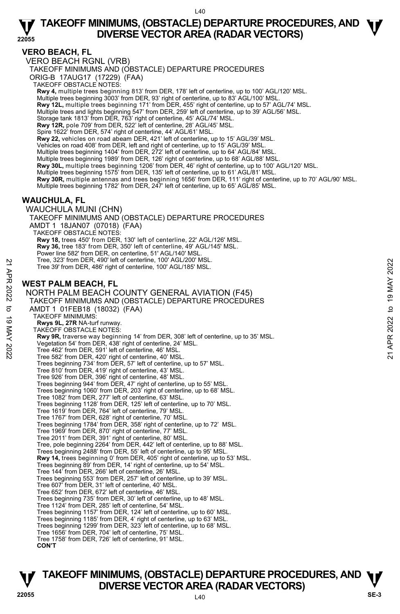#### **VERO BEACH, FL**

VERO BEACH RGNL (VRB)

TAKEOFF MINIMUMS AND (OBSTACLE) DEPARTURE PROCEDURES

ORIG-B 17AUG17 (17229) (FAA)

TAKEOFF OBSTACLE NOTES:

**Rwy 4,** multiple trees beginning 813' from DER, 178' left of centerline, up to 100' AGL/120' MSL.<br>Multiple trees beginning 3003' from DER, 93' right of centerline, up to 83' AGL/100' MSL.

**Rwy 12L,** multiple trees beginning 171' from DER, 455' right of centerline, up to 57' AGL/74' MSL.

Multiple trees and lights beginning 547' from DER, 259' left of centerline, up to 39' AGL/56' MSL.

Storage tank 1813' from DER, 763' right of centerline, 45' AGL/74' MSL. **Rwy 12R,** pole 709' from DER, 522' left of centerline, 28' AGL/45' MSL.

Spire 1622' from DER, 574' right of centerline, 44' AGL/61' MSL.

**Rwy 22,** vehicles on road abeam DER, 421' left of centerline, up to 15' AGL/39' MSL.

Vehicles on road 408' from DER, left and right of centerline, up to 15' AGL/39' MSL.

Multiple trees beginning 1404' from DER, 272' left of centerline, up to 64' AGL/84' MSL.

Multiple trees beginning 1989' from DER, 126' right of centerline, up to 68' AGL/88' MSL.

**Rwy 30L,** multiple trees beginning 1206' from DER, 46' right of centerline, up to 100' AGL/120' MSL.

Multiple trees beginning 1575' from DER, 135' left of centerline, up to 61' AGL/81' MSL.

**Rwy 30R,** multiple antennas and trees beginning 1656' from DER, 111' right of centerline, up to 70' AGL/90' MSL. Multiple trees beginning 1782' from DER, 247' left of centerline, up to 65' AGL/85' MSL.

#### **WAUCHULA, FL**

WAUCHULA MUNI (CHN) TAKEOFF MINIMUMS AND (OBSTACLE) DEPARTURE PROCEDURES AMDT 1 18JAN07 (07018) (FAA) TAKEOFF OBSTACLE NOTES: **Rwy 18,** trees 450' from DER, 130' left of centerline, 22' AGL/126' MSL. **Rwy 36,** tree 183' from DER, 350' left of centerline, 49' AGL/145' MSL. Power line 582' from DER, on centerline, 51' AGL/140' MSL Tree, 323' from DER, 490' left of centerline, 100' AGL/200' MSL. Tree 39' from DER, 486' right of centerline, 100' AGL/185' MSL.

#### **WEST PALM BEACH, FL**

NORTH PALM BEACH COUNTY GENERAL AVIATION (F45) TAKEOFF MINIMUMS AND (OBSTACLE) DEPARTURE PROCEDURES AMDT 1 01FEB18 (18032) (FAA) TAKEOFF MINIMUMS: **Rwys 9L, 27R** NA-turf runway. TAKEOFF OBSTACLE NOTES: **Rwy 9R,** traverse way beginning 14' from DER, 308' left of centerline, up to 35' MSL. Vegetation 54' from DER, 438' right of centerline, 24' MSL. Tree 462' from DER, 591' left of centerline, 46' MSL. Tree 582' from DER, 420' right of centerline, 40' MSL. Trees beginning 734' from DER, 57' left of centerline, up to 57' MSL. Tree 810' from DER, 419' right of centerline, 43' MSL. Tree 926' from DER, 396' right of centerline, 48' MSL. Trees beginning 944' from DER, 47' right of centerline, up to 55' MSL. Trees beginning 1060' from DER, 203' right of centerline, up to 68' MSL. Tree 1082' from DER, 277' left of centerline, 63' MSL. Trees beginning 1128' from DER, 125' left of centerline, up to 70' MSL. Tree 1619' from DER, 764' left of centerline, 79' MSL. Tree 1767' from DER, 628' right of centerline, 70' MSL. Trees beginning 1784' from DER, 358' right of centerline, up to 72' MSL. Tree 1969' from DER, 870' right of centerline, 77' MSL. Tree 2011' from DER, 391' right of centerline, 80' MSL. Tree, pole beginning 2264' from DER, 442' left of centerline, up to 88' MSL. Trees beginning 2488' from DER, 55' left of centerline, up to 95' MSL. **Rwy 14,** trees beginning 0' from DER, 405' right of centerline, up to 53' MSL.<br>Trees beginning 89' from DER, 14' right of centerline, up to 54' MSL. Tree 144' from DER, 266' left of centerline, 26' MSL. Trees beginning 553' from DER, 257' left of centerline, up to 39' MSL. Tree 607' from DER, 31' left of centerline, 40' MSL. Tree 652' from DER, 672' left of centerline, 46' MSL. Trees beginning 735' from DER, 30' left of centerline, up to 48' MSL. Tree 1124' from DER, 285' left of centerline, 54' MSL. Trees beginning 1157' from DER, 124' left of centerline, up to 60' MSL. Trees beginning 1185' from DER, 4' right of centerline, up to 63' MSL. Trees beginning 1299' from DER, 323' left of centerline, up to 68' MSL. Tree 1656' from DER, 704' left of centerline, 75' MSL. Tree 1758' from DER, 726' left of centerline, 91' MSL. **CON'T**  Tree, 323' from DER, 490' left of centerline, 100' AGL/200' MSL.<br>
Tree 39' from DER, 486' right of centerline, 100' AGL/185' MSL.<br> **WEST PALM BEACH, FL**<br>
NORTH PALM BEACH COUNTY GENERAL AVIATION (F45)<br>
TAKEOFF MINIMUMS AN

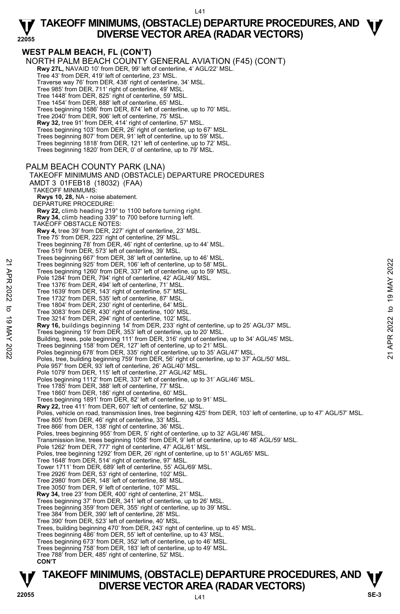#### **22055 WEST PALM BEACH, FL (CON'T)**  NORTH PALM BEACH COUNTY GENERAL AVIATION (F45) (CON'T) **Rwy 27L,** NAVAID 10' from DER, 99' left of centerline, 4' AGL/22' MSL. Tree 43' from DER, 419' left of centerline, 23' MSL. Traverse way 76' from DER, 438' right of centerline, 34' MSL. Tree 985' from DER, 711' right of centerline, 49' MSL. Tree 1448' from DER, 825' right of centerline, 59' MSL. Tree 1454' from DER, 888' left of centerline, 65' MSL. Trees beginning 1586' from DER, 874' left of centerline, up to 70' MSL. Tree 2040' from DER, 906' left of centerline, 75' MSL. **Rwy 32,** tree 91' from DER, 414' right of centerline, 57' MSL. Trees beginning 103' from DER, 26' right of centerline, up to 67' MSL. Trees beginning 807' from DER, 91' left of centerline, up to 59' MSL. Trees beginning 1818' from DER, 121' left of centerline, up to 72' MSL. Trees beginning 1820' from DER, 0' of centerline, up to 79' MSL. PALM BEACH COUNTY PARK (LNA) TAKEOFF MINIMUMS AND (OBSTACLE) DEPARTURE PROCEDURES AMDT 3 01FEB18 (18032) (FAA) TAKEOFF MINIMUMS: **Rwys 10, 28,** NA - noise abatement. DEPARTURE PROCEDURE: **Rwy 22,** climb heading 219° to 1100 before turning right. **Rwy 34,** climb heading 339° to 700 before turning left. TAKEOFF OBSTACLE NOTES: **Rwy 4,** tree 39' from DER, 227' right of centerline, 23' MSL. Tree 75' from DER, 223' right of centerline, 29' MSL. Trees beginning 78' from DER, 46' right of centerline, up to 44' MSL. Tree 519' from DER, 573' left of centerline, 39' MSL. Trees beginning 667' from DER, 38' left of centerline, up to 46' MSL. Trees beginning 925' from DER, 106' left of centerline, up to 58' MSL. Trees beginning 1260' from DER, 337' left of centerline, up to 59' MSL. Pole 1284' from DER, 794' right of centerline, 42' AGL/49' MSL. Tree 1376' from DER, 494' left of centerline, 71' MSL. Tree 1639' from DER, 143' right of centerline, 57' MSL. Tree 1732' from DER, 535' left of centerline, 87' MSL. Tree 1804' from DER, 230' right of centerline, 64' MSL. Tree 3083' from DER, 430' right of centerline, 100' MSL. Tree 3214' from DER, 294' right of centerline, 102' MSL. **Rwy 16,** buildings beginning 14' from DER, 233' right of centerline, up to 25' AGL/37' MSL.<br>Trees beginning 19' from DER, 353' left of centerline, up to 20' MSL. Building, trees, pole beginning 111' from DER, 316' right of centerline, up to 34' AGL/45' MSL. Trees beginning 158' from DER, 127' left of centerline, up to 21' MSL. Poles beginning 678' from DER, 335' right of centerline, up to 35' AGL/47' MSL. Poles, tree, building beginning 759' from DER, 56' right of centerline, up to 37' AGL/50' MSL. Pole 957' from DER, 93' left of centerline, 26' AGL/40' MSL. Pole 1079' from DER, 115' left of centerline, 27' AGL/42' MSL. Poles beginning 1112' from DER, 337' left of centerline, up to 31' AGL/46' MSL. Tree 1785' from DER, 388' left of centerline, 77' MSL. Tree 1860' from DER, 186' right of centerline, 60' MSL. Trees beginning 1891' from DER, 82' left of centerline, up to 91' MSL. **Rwy 22,** tree 411' from DER, 607' left of centerline, 52' MSL. Poles, vehicle on road, transmission lines, tree beginning 425' from DER, 103' left of centerline, up to 47' AGL/57' MSL. Tree 805' from DER, 46' right of centerline, 33' MSL. Tree 866' from DER, 138' right of centerline, 36' MSL. Poles, trees beginning 955' from DER, 5' right of centerline, up to 32' AGL/46' MSL. Transmission line, trees beginning 1058' from DER, 9' left of centerline, up to 48' AGL/59' MSL.<br>Pole 1262' from DER, 777' right of centerline, 47' AGL/61' MSL.<br>Poles, tree beginning 1292' from DER, 26' right of centerline Tree 1648' from DER, 514' right of centerline, 97' MSL. Tower 1711' from DER, 689' left of centerline, 55' AGL/69' MSL. Tree 2926' from DER, 53' right of centerline, 102' MSL. Tree 2980' from DER, 148' left of centerline, 88' MSL. Tree 3050' from DER, 9' left of centerline, 107' MSL. **Rwy 34,** tree 23' from DER, 400' right of centerline, 21' MSL. Trees beginning 37' from DER, 341' left of centerline, up to 26' MSL. Trees beginning 359' from DER, 355' right of centerline, up to 39' MSL. Tree 384' from DER, 390' left of centerline, 28' MSL. Tree 390' from DER, 523' left of centerline, 40' MSL. Trees, building beginning 470' from DER, 243' right of centerline, up to 45' MSL. Trees beginning 486' from DER, 55' left of centerline, up to 43' MSL. Trees beginning 673' from DER, 352' left of centerline, up to 46' MSL. Trees beginning 758' from DER, 183' left of centerline, up to 49' MSL. Tree 788' from DER, 485' right of centerline, 52' MSL. 22 Trees beginning 925' from DER, 106' left of centerline, up to 58' MSL.<br>
Trees beginning 925' from DER, 106' left of centerline, up to 59' MSL.<br>
Tree 1376' from DER, 194' right of centerline, 71' MSL.<br>
Tree 1372' from DE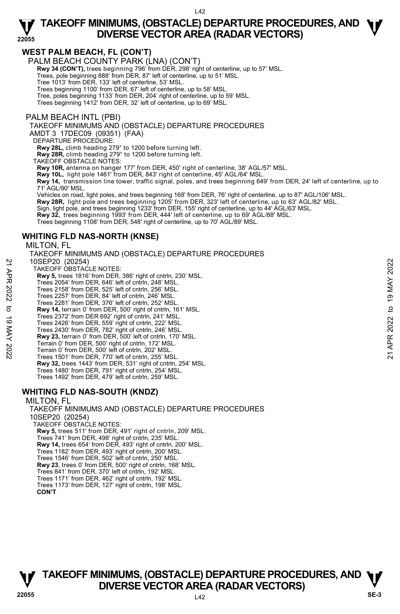#### **WEST PALM BEACH, FL (CON'T)**

PALM BEACH COUNTY PARK (LNA) (CON'T)

**Rwy 34 (CON'T),** trees beginning 796' from DER, 298' right of centerline, up to 57' MSL.<br>Trees, pole beginning 888' from DER, 87' left of centerline, up to 51' MSL.

Tree 1013' from DER, 133' left of centerline, 53' MSL.

Trees beginning 1100' from DER, 67' left of centerline, up to 58' MSL.

Tree, poles beginning 1133' from DER, 204' right of centerline, up to 59' MSL.

Trees beginning 1412' from DER, 32' left of centerline, up to 69' MSL.

#### PALM BEACH INTL (PBI)

#### TAKEOFF MINIMUMS AND (OBSTACLE) DEPARTURE PROCEDURES

AMDT 3 17DEC09 (09351) (FAA)

DEPARTURE PROCEDURE:

**Rwy 28L,** climb heading 279° to 1200 before turning left.

**Rwy 28R,** climb heading 279° to 1200 before turning left.

TAKEOFF OBSTACLE NOTES:

**Rwy 10R,** antenna on hanger 177' from DER, 450' right of centerline, 38' AGL/57' MSL.

**Rwy 10L,** light pole 1461' from DER, 843' right of centerline, 45' AGL/64' MSL.

**Rwy 14,** transmission line tower, traffic signal, poles, and trees beginning 649' from DER, 24' left of centerline, up to 71' AGL/90' MSL.

Vehicles on road, light poles, and trees beginning 168' from DER, 76' right of centerline, up to 87' AGL/106' MSL.

**Rwy 28R,** light pole and trees beginning 1205' from DER, 323' left of centerline, up to 63' AGL/82' MSL.

Sign, light pole, and trees beginning 1233' from DER, 155' right of centerline, up to 44' AGL/63' MSL.<br>**Rwy 32,** trees beginning 1993' from DER, 444' left of centerline, up to 69' AGL/88' MSL.

Trees beginning 1108' from DER, 548' right of centerline, up to 70' AGL/89' MSL.

#### **WHITING FLD NAS-NORTH (KNSE)**

#### MILTON, FL

TAKEOFF MINIMUMS AND (OBSTACLE) DEPARTURE PROCEDURES 10SEP20 (20254) TAKEOFF OBSTACLE NOTES: **Rwy 5,** trees 1816' from DER, 386' right of cntrln, 230' MSL. Trees 2054' from DER, 646' left of cntrln, 248' MSL. Trees 2158' from DER, 525' left of cntrln, 256' MSL. Trees 2257' from DER, 84' left of cntrln, 246' MSL. Trees 2281' from DER, 376' left of cntrln, 252' MSL. **Rwy 14,** terrain 0' from DER, 500' right of cntrln, 161' MSL. Trees 2372' from DER 692' right of cntrln, 241' MSL. Trees 2426' from DER, 559' right of cntrln, 222' MSL. Trees 2430' from DER, 782' right of cntrln, 246' MSL. **Rwy 23,** terrain 0' from DER, 500' left of cntrln, 170' MSL. Terrain 0' from DER, 500' right of cntrln, 172' MSL. Terrain 0' from DER, 500' left of cntrln, 202' MSL. Trees 1501' from DER, 770' left of cntrln, 255' MSL. **Rwy 32,** trees 1443' from DER, 531' right of cntrln, 254' MSL. Trees 1480' from DER, 791' right of cntrln, 254' MSL. Trees 1492' from DER, 479' left of cntrln, 259' MSL. 10SEP20 (20254)<br>
TAKEOFF OBSTACLE NOTES:<br>
THE WAS 5, trees 1816' from DER, 386' right of cntrin, 230' MSL.<br>
Trees 2054' from DER, 646' left of cntrin, 248' MSL.<br>
Trees 2257' from DER, 84' left of cntrin, 246' MSL.<br>
Trees

#### **WHITING FLD NAS-SOUTH (KNDZ)**

#### MILTON, FL

TAKEOFF MINIMUMS AND (OBSTACLE) DEPARTURE PROCEDURES 10SEP20 (20254) TAKEOFF OBSTACLE NOTES: **Rwy 5,** trees 511' from DER, 491' right of cntrln, 209' MSL. Trees 741' from DER, 498' right of cntrln, 235' MSL.<br>**Rwy 14,** trees 654' from DER, 493' right of cntrln, 200' MSL. Trees 1182' from DER, 493' right of cntrln, 200' MSL. Trees 1546' from DER, 502' left of cntrln, 250' MSL. **Rwy 23**, trees 0' from DER, 500' right of cntrln, 168' MSL. Trees 841' from DER, 370' left of cntrln, 192' MSL. Trees 1171' from DER, 462' right of cntrln, 192' MSL. Trees 1173' from DER, 127' right of cntrln, 198' MSL. **CON'T** 

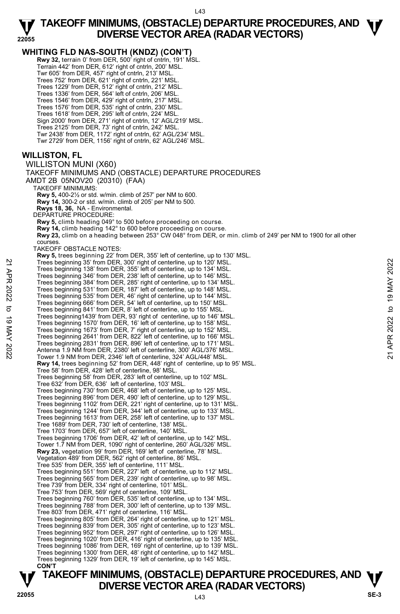**TAKEOFF MINIMUMS, (OBSTACLE) DEPARTURE PROCEDURES, AND**  $\Psi$ **WHITING FLD NAS-SOUTH (KNDZ) (CON'T) Rwy 32,** terrain 0' from DER, 500' right of cntrln, 191' MSL. Terrain 442' from DER, 612' right of cntrln, 200' MSL. Twr 605' from DER, 457' right of cntrln, 213' MSL. Trees 752' from DER, 621' right of cntrln, 221' MSL. Trees 1229' from DER, 512' right of cntrln, 212' MSL. Trees 1336' from DER, 564' left of cntrln, 206' MSL. Trees 1546' from DER, 429' right of cntrln, 217' MSL. Trees 1576' from DER, 535' right of cntrln, 230' MSL. Trees 1618' from DER, 295' left of cntrln, 224' MSL. Sign 2000' from DER, 271' right of cntrln, 12' AGL/219' MSL. Trees 2125' from DER, 73' right of cntrln, 242' MSL. Twr 2438' from DER, 1172' right of cntrln, 62' AGL/234' MSL. Twr 2729' from DER, 1156' right of cntrln, 62' AGL/246' MSL. **WILLISTON, FL**  WILLISTON MUNI (X60) TAKEOFF MINIMUMS AND (OBSTACLE) DEPARTURE PROCEDURES AMDT 2B 05NOV20 (20310) (FAA) TAKEOFF MINIMUMS: **Rwy 5,** 400-2½ or std. w/min. climb of 257' per NM to 600. **Rwy 14,** 300-2 or std. w/min. climb of 205' per NM to 500.  **Rwys 18, 36,** NA - Environmental. DEPARTURE PROCEDURE: **Rwy 5,** climb heading 049° to 500 before proceeding on course. **Rwy 14,** climb heading 142° to 600 before proceeding on course. **Rwy 23,** climb on a heading between 253° CW 048° from DER, or min. climb of 249' per NM to 1900 for all other courses. TAKEOFF OBSTACLE NOTES: **Rwy 5,** trees beginning 22' from DER, 355' left of centerline, up to 130' MSL.<br>Trees beginning 35' from DER, 300' right of centerline, up to 120' MSL. Trees beginning 138' from DER, 355' left of centerline, up to 134' MSL. Trees beginning 346' from DER, 238' left of centerline, up to 146' MSL. Trees beginning 384' from DER, 285' right of centerline, up to 134' MSL. Trees beginning 531' from DER, 187' left of centerline, up to 148' MSL. Trees beginning 535' from DER, 46' right of centerline, up to 144' MSL. Trees beginning 666' from DER, 54' left of centerline, up to 150' MSL. Trees beginning 841' from DER, 8' left of centerline, up to 155' MSL. Trees beginning1439' from DER, 93' right of centerline, up to 146' MSL. Trees beginning 1570' from DER, 16' left of centerline, up to 158' MSL. Trees beginning 1673' from DER, 7' right of centerline, up to 152' MSL. Trees beginning 2641' from DER, 822' left of centerline, up to 166' MSL. Trees beginning 2831' from DER, 896' left of centerline, up to 171' MSL. Antenna 1.9 NM from DER, 2380' left of centerline, 300' AGL/376' MSL. Tower 1.9 NM from DER, 2346' left of centerline, 324' AGL/448' MSL. **Rwy 14,** trees beginning 52' from DER, 448' right of centerline, up to 95' MSL. Tree 58' from DER, 428' left of centerline, 98' MSL. Trees beginning 58' from DER, 283' left of centerline, up to 102' MSL. Tree 632' from DER, 636' left of centerline, 103' MSL. Trees beginning 730' from DER, 468' left of centerline, up to 125' MSL. Trees beginning 896' from DER, 490' left of centerline, up to 129' MSL. Trees beginning 1102' from DER, 221' right of centerline, up to 131' MSL. Trees beginning 1244' from DER, 344' left of centerline, up to 133' MSL. Trees beginning 1613' from DER, 258' left of centerline, up to 137' MSL. Tree 1689' from DER, 730' left of centerline, 138' MSL. Tree 1703' from DER, 657' left of centerline, 140' MSL. Trees beginning 1706' from DER, 42' left of centerline, up to 142' MSL. Tower 1.7 NM from DER, 1090' right of centerline, 260' AGL/326' MSL. **Rwy 23,** vegetation 99' from DER, 169' left of centerline, 78' MSL. Vegetation 489' from DER, 562' right of centerline, 86' MSL. Tree 535' from DER, 355' left of centerline, 111' MSL. Trees beginning 551' from DER, 227' left of centerline, up to 112' MSL. Trees beginning 565' from DER, 239' right of centerline, up to 98' MSL. Tree 739' from DER, 334' right of centerline, 101' MSL. Tree 753' from DER, 569' right of centerline, 109' MSL. Trees beginning 760' from DER, 535' left of centerline, up to 134' MSL. Trees beginning 788' from DER, 300' left of centerline, up to 139' MSL. Tree 803' from DER, 471' right of centerline, 116' MSL. Trees beginning 805' from DER, 264' right of centerline, up to 121' MSL. Trees beginning 839' from DER, 305' right of centerline, up to 123' MSL. Trees beginning 952' from DER, 297' right of centerline, up to 126' MSL. Trees beginning 1020' from DER, 416' right of centerline, up to 135' MSL. Trees beginning 1086' from DER, 169' right of centerline, up to 139' MSL. Trees beginning 1300' from DER, 48' right of centerline, up to 142' MSL. Trees beginning 1329' from DER, 19' left of centerline, up to 145' MSL. **CON'T**  Trees beginning 35' from DER, 300' right of centerline, up to 120' MSL.<br>
Trees beginning 348' from DER, 238' left of centerline, up to 144' MSL.<br>
Trees beginning 384' from DER, 285' right of centerline, up to 134' MSL.<br>
T